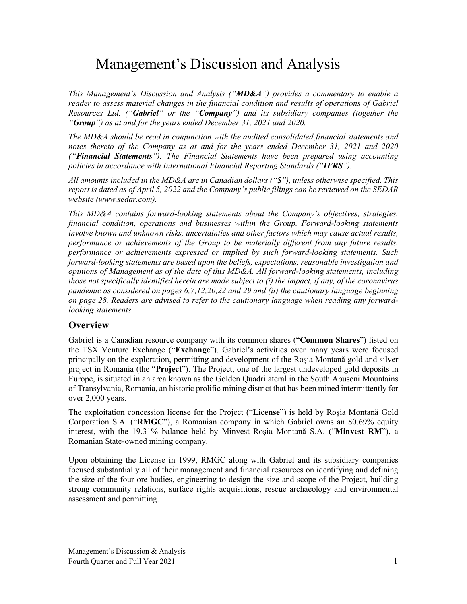# Management's Discussion and Analysis

*This Management's Discussion and Analysis ("MD&A") provides a commentary to enable a reader to assess material changes in the financial condition and results of operations of Gabriel Resources Ltd. ("Gabriel" or the "Company") and its subsidiary companies (together the "Group") as at and for the years ended December 31, 2021 and 2020.*

*The MD&A should be read in conjunction with the audited consolidated financial statements and notes thereto of the Company as at and for the years ended December 31, 2021 and 2020 ("Financial Statements"). The Financial Statements have been prepared using accounting policies in accordance with International Financial Reporting Standards ("IFRS").*

*All amounts included in the MD&A are in Canadian dollars ("\$"), unless otherwise specified. This report is dated as of April 5, 2022 and the Company's public filings can be reviewed on the SEDAR website (www.sedar.com).*

*This MD&A contains forward-looking statements about the Company's objectives, strategies, financial condition, operations and businesses within the Group. Forward-looking statements involve known and unknown risks, uncertainties and other factors which may cause actual results, performance or achievements of the Group to be materially different from any future results, performance or achievements expressed or implied by such forward-looking statements. Such forward-looking statements are based upon the beliefs, expectations, reasonable investigation and opinions of Management as of the date of this MD&A. All forward-looking statements, including those not specifically identified herein are made subject to (i) the impact, if any, of the coronavirus pandemic as considered on pages 6,7,12,20,22 and 29 and (ii) the cautionary language beginning on page 28. Readers are advised to refer to the cautionary language when reading any forwardlooking statements.*

## **Overview**

Gabriel is a Canadian resource company with its common shares ("**Common Shares**") listed on the TSX Venture Exchange ("**Exchange**"). Gabriel's activities over many years were focused principally on the exploration, permitting and development of the Roșia Montană gold and silver project in Romania (the "**Project**"). The Project, one of the largest undeveloped gold deposits in Europe, is situated in an area known as the Golden Quadrilateral in the South Apuseni Mountains of Transylvania, Romania, an historic prolific mining district that has been mined intermittently for over 2,000 years.

The exploitation concession license for the Project ("**License**") is held by Roșia Montană Gold Corporation S.A. ("**RMGC**"), a Romanian company in which Gabriel owns an 80.69% equity interest, with the 19.31% balance held by Minvest Roșia Montană S.A. ("**Minvest RM**"), a Romanian State-owned mining company.

Upon obtaining the License in 1999, RMGC along with Gabriel and its subsidiary companies focused substantially all of their management and financial resources on identifying and defining the size of the four ore bodies, engineering to design the size and scope of the Project, building strong community relations, surface rights acquisitions, rescue archaeology and environmental assessment and permitting.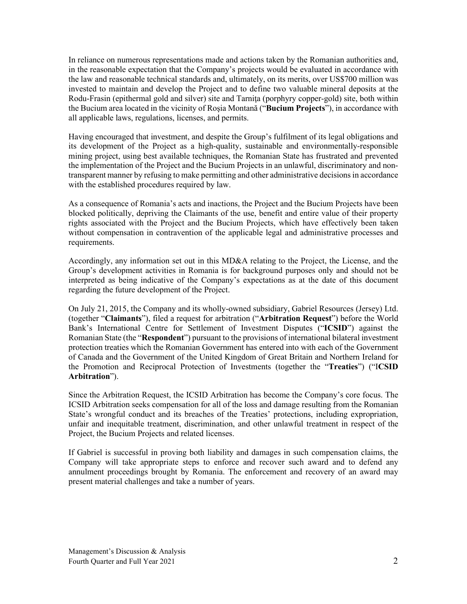In reliance on numerous representations made and actions taken by the Romanian authorities and, in the reasonable expectation that the Company's projects would be evaluated in accordance with the law and reasonable technical standards and, ultimately, on its merits, over US\$700 million was invested to maintain and develop the Project and to define two valuable mineral deposits at the Rodu-Frasin (epithermal gold and silver) site and Tarniţa (porphyry copper-gold) site, both within the Bucium area located in the vicinity of Roşia Montană ("**Bucium Projects**"), in accordance with all applicable laws, regulations, licenses, and permits.

Having encouraged that investment, and despite the Group's fulfilment of its legal obligations and its development of the Project as a high-quality, sustainable and environmentally-responsible mining project, using best available techniques, the Romanian State has frustrated and prevented the implementation of the Project and the Bucium Projects in an unlawful, discriminatory and nontransparent manner by refusing to make permitting and other administrative decisions in accordance with the established procedures required by law.

As a consequence of Romania's acts and inactions, the Project and the Bucium Projects have been blocked politically, depriving the Claimants of the use, benefit and entire value of their property rights associated with the Project and the Bucium Projects, which have effectively been taken without compensation in contravention of the applicable legal and administrative processes and requirements.

Accordingly, any information set out in this MD&A relating to the Project, the License, and the Group's development activities in Romania is for background purposes only and should not be interpreted as being indicative of the Company's expectations as at the date of this document regarding the future development of the Project.

On July 21, 2015, the Company and its wholly-owned subsidiary, Gabriel Resources (Jersey) Ltd. (together "**Claimants**"), filed a request for arbitration ("**Arbitration Request**") before the World Bank's International Centre for Settlement of Investment Disputes ("**ICSID**") against the Romanian State (the "**Respondent**") pursuant to the provisions of international bilateral investment protection treaties which the Romanian Government has entered into with each of the Government of Canada and the Government of the United Kingdom of Great Britain and Northern Ireland for the Promotion and Reciprocal Protection of Investments (together the "**Treaties**") ("I**CSID Arbitration**").

Since the Arbitration Request, the ICSID Arbitration has become the Company's core focus. The ICSID Arbitration seeks compensation for all of the loss and damage resulting from the Romanian State's wrongful conduct and its breaches of the Treaties' protections, including expropriation, unfair and inequitable treatment, discrimination, and other unlawful treatment in respect of the Project, the Bucium Projects and related licenses.

If Gabriel is successful in proving both liability and damages in such compensation claims, the Company will take appropriate steps to enforce and recover such award and to defend any annulment proceedings brought by Romania. The enforcement and recovery of an award may present material challenges and take a number of years.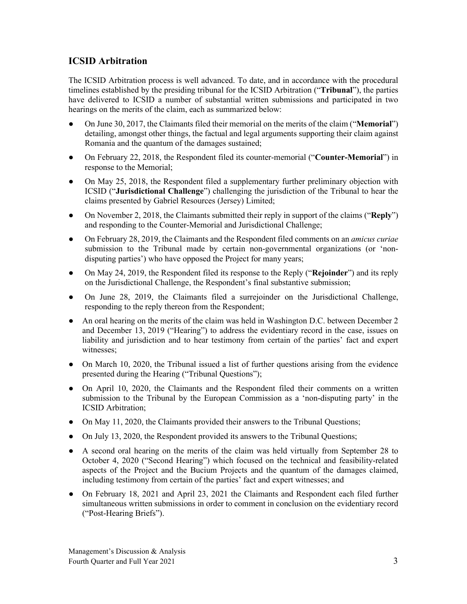# **ICSID Arbitration**

The ICSID Arbitration process is well advanced. To date, and in accordance with the procedural timelines established by the presiding tribunal for the ICSID Arbitration ("**Tribunal**"), the parties have delivered to ICSID a number of substantial written submissions and participated in two hearings on the merits of the claim, each as summarized below:

- On June 30, 2017, the Claimants filed their memorial on the merits of the claim ("**Memorial**") detailing, amongst other things, the factual and legal arguments supporting their claim against Romania and the quantum of the damages sustained;
- On February 22, 2018, the Respondent filed its counter-memorial ("**Counter-Memorial**") in response to the Memorial;
- On May 25, 2018, the Respondent filed a supplementary further preliminary objection with ICSID ("**Jurisdictional Challenge**") challenging the jurisdiction of the Tribunal to hear the claims presented by Gabriel Resources (Jersey) Limited;
- On November 2, 2018, the Claimants submitted their reply in support of the claims ("**Reply**") and responding to the Counter-Memorial and Jurisdictional Challenge;
- On February 28, 2019, the Claimants and the Respondent filed comments on an *amicus curiae* submission to the Tribunal made by certain non-governmental organizations (or 'nondisputing parties') who have opposed the Project for many years;
- On May 24, 2019, the Respondent filed its response to the Reply ("**Rejoinder**") and its reply on the Jurisdictional Challenge, the Respondent's final substantive submission;
- On June 28, 2019, the Claimants filed a surrejoinder on the Jurisdictional Challenge, responding to the reply thereon from the Respondent;
- An oral hearing on the merits of the claim was held in Washington D.C. between December 2 and December 13, 2019 ("Hearing") to address the evidentiary record in the case, issues on liability and jurisdiction and to hear testimony from certain of the parties' fact and expert witnesses;
- On March 10, 2020, the Tribunal issued a list of further questions arising from the evidence presented during the Hearing ("Tribunal Questions");
- On April 10, 2020, the Claimants and the Respondent filed their comments on a written submission to the Tribunal by the European Commission as a 'non-disputing party' in the ICSID Arbitration;
- On May 11, 2020, the Claimants provided their answers to the Tribunal Questions;
- On July 13, 2020, the Respondent provided its answers to the Tribunal Questions;
- A second oral hearing on the merits of the claim was held virtually from September 28 to October 4, 2020 ("Second Hearing") which focused on the technical and feasibility-related aspects of the Project and the Bucium Projects and the quantum of the damages claimed, including testimony from certain of the parties' fact and expert witnesses; and
- On February 18, 2021 and April 23, 2021 the Claimants and Respondent each filed further simultaneous written submissions in order to comment in conclusion on the evidentiary record ("Post-Hearing Briefs").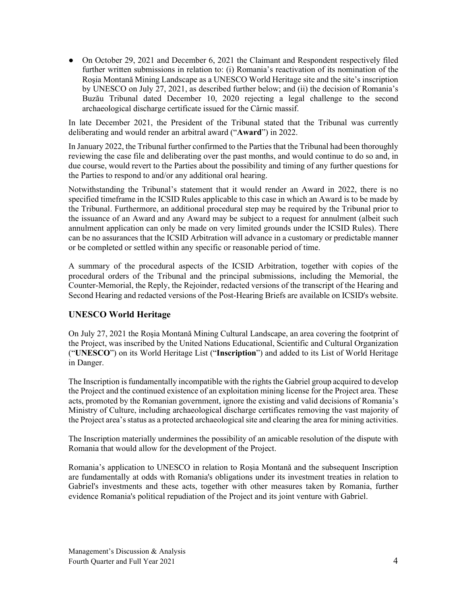• On October 29, 2021 and December 6, 2021 the Claimant and Respondent respectively filed further written submissions in relation to: (i) Romania's reactivation of its nomination of the Roşia Montană Mining Landscape as a UNESCO World Heritage site and the site's inscription by UNESCO on July 27, 2021, as described further below; and (ii) the decision of Romania's Buzău Tribunal dated December 10, 2020 rejecting a legal challenge to the second archaeological discharge certificate issued for the Cârnic massif.

In late December 2021, the President of the Tribunal stated that the Tribunal was currently deliberating and would render an arbitral award ("**Award**") in 2022.

In January 2022, the Tribunal further confirmed to the Parties that the Tribunal had been thoroughly reviewing the case file and deliberating over the past months, and would continue to do so and, in due course, would revert to the Parties about the possibility and timing of any further questions for the Parties to respond to and/or any additional oral hearing.

Notwithstanding the Tribunal's statement that it would render an Award in 2022, there is no specified timeframe in the ICSID Rules applicable to this case in which an Award is to be made by the Tribunal. Furthermore, an additional procedural step may be required by the Tribunal prior to the issuance of an Award and any Award may be subject to a request for annulment (albeit such annulment application can only be made on very limited grounds under the ICSID Rules). There can be no assurances that the ICSID Arbitration will advance in a customary or predictable manner or be completed or settled within any specific or reasonable period of time.

A summary of the procedural aspects of the ICSID Arbitration, together with copies of the procedural orders of the Tribunal and the principal submissions, including the Memorial, the Counter-Memorial, the Reply, the Rejoinder, redacted versions of the transcript of the Hearing and Second Hearing and redacted versions of the Post-Hearing Briefs are available on ICSID's website.

# **UNESCO World Heritage**

On July 27, 2021 the Roşia Montană Mining Cultural Landscape, an area covering the footprint of the Project, was inscribed by the United Nations Educational, Scientific and Cultural Organization ("**UNESCO**") on its World Heritage List ("**Inscription**") and added to its List of World Heritage in Danger.

The Inscription is fundamentally incompatible with the rights the Gabriel group acquired to develop the Project and the continued existence of an exploitation mining license for the Project area. These acts, promoted by the Romanian government, ignore the existing and valid decisions of Romania's Ministry of Culture, including archaeological discharge certificates removing the vast majority of the Project area's status as a protected archaeological site and clearing the area for mining activities.

The Inscription materially undermines the possibility of an amicable resolution of the dispute with Romania that would allow for the development of the Project.

Romania's application to UNESCO in relation to Roşia Montană and the subsequent Inscription are fundamentally at odds with Romania's obligations under its investment treaties in relation to Gabriel's investments and these acts, together with other measures taken by Romania, further evidence Romania's political repudiation of the Project and its joint venture with Gabriel.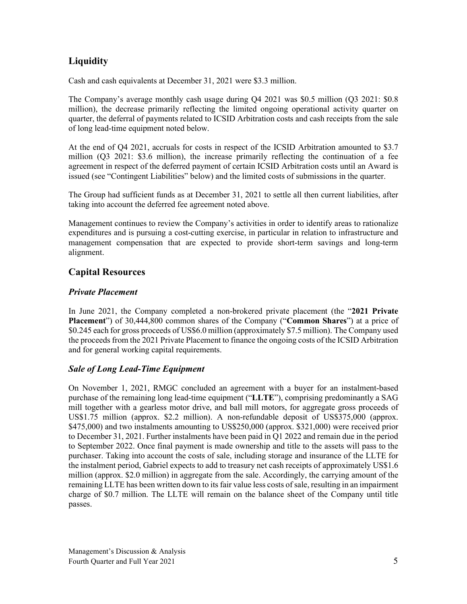# **Liquidity**

Cash and cash equivalents at December 31, 2021 were \$3.3 million.

The Company's average monthly cash usage during Q4 2021 was \$0.5 million (Q3 2021: \$0.8 million), the decrease primarily reflecting the limited ongoing operational activity quarter on quarter, the deferral of payments related to ICSID Arbitration costs and cash receipts from the sale of long lead-time equipment noted below.

At the end of Q4 2021, accruals for costs in respect of the ICSID Arbitration amounted to \$3.7 million (Q3 2021: \$3.6 million), the increase primarily reflecting the continuation of a fee agreement in respect of the deferred payment of certain ICSID Arbitration costs until an Award is issued (see "Contingent Liabilities" below) and the limited costs of submissions in the quarter.

The Group had sufficient funds as at December 31, 2021 to settle all then current liabilities, after taking into account the deferred fee agreement noted above.

Management continues to review the Company's activities in order to identify areas to rationalize expenditures and is pursuing a cost-cutting exercise, in particular in relation to infrastructure and management compensation that are expected to provide short-term savings and long-term alignment.

# **Capital Resources**

# *Private Placement*

In June 2021, the Company completed a non-brokered private placement (the "**2021 Private Placement**") of 30,444,800 common shares of the Company ("**Common Shares**") at a price of \$0.245 each for gross proceeds of US\$6.0 million (approximately \$7.5 million). The Company used the proceeds from the 2021 Private Placement to finance the ongoing costs of the ICSID Arbitration and for general working capital requirements.

# *Sale of Long Lead-Time Equipment*

On November 1, 2021, RMGC concluded an agreement with a buyer for an instalment-based purchase of the remaining long lead-time equipment ("**LLTE**"), comprising predominantly a SAG mill together with a gearless motor drive, and ball mill motors, for aggregate gross proceeds of US\$1.75 million (approx. \$2.2 million). A non-refundable deposit of US\$375,000 (approx. \$475,000) and two instalments amounting to US\$250,000 (approx. \$321,000) were received prior to December 31, 2021. Further instalments have been paid in Q1 2022 and remain due in the period to September 2022. Once final payment is made ownership and title to the assets will pass to the purchaser. Taking into account the costs of sale, including storage and insurance of the LLTE for the instalment period, Gabriel expects to add to treasury net cash receipts of approximately US\$1.6 million (approx. \$2.0 million) in aggregate from the sale. Accordingly, the carrying amount of the remaining LLTE has been written down to its fair value less costs of sale, resulting in an impairment charge of \$0.7 million. The LLTE will remain on the balance sheet of the Company until title passes.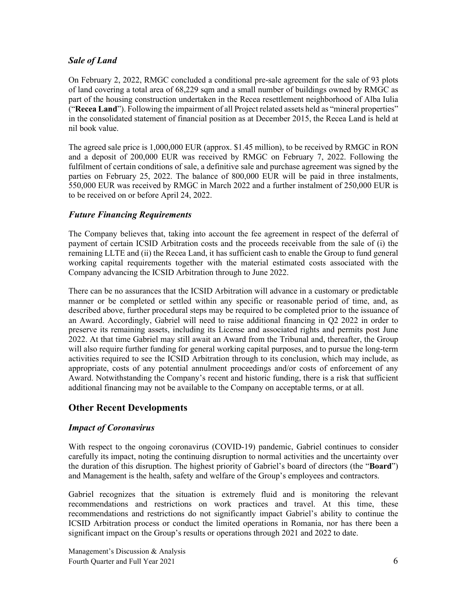# *Sale of Land*

On February 2, 2022, RMGC concluded a conditional pre-sale agreement for the sale of 93 plots of land covering a total area of 68,229 sqm and a small number of buildings owned by RMGC as part of the housing construction undertaken in the Recea resettlement neighborhood of Alba Iulia ("**Recea Land**"). Following the impairment of all Project related assets held as "mineral properties" in the consolidated statement of financial position as at December 2015, the Recea Land is held at nil book value.

The agreed sale price is 1,000,000 EUR (approx. \$1.45 million), to be received by RMGC in RON and a deposit of 200,000 EUR was received by RMGC on February 7, 2022. Following the fulfilment of certain conditions of sale, a definitive sale and purchase agreement was signed by the parties on February 25, 2022. The balance of 800,000 EUR will be paid in three instalments, 550,000 EUR was received by RMGC in March 2022 and a further instalment of 250,000 EUR is to be received on or before April 24, 2022.

# *Future Financing Requirements*

The Company believes that, taking into account the fee agreement in respect of the deferral of payment of certain ICSID Arbitration costs and the proceeds receivable from the sale of (i) the remaining LLTE and (ii) the Recea Land, it has sufficient cash to enable the Group to fund general working capital requirements together with the material estimated costs associated with the Company advancing the ICSID Arbitration through to June 2022.

There can be no assurances that the ICSID Arbitration will advance in a customary or predictable manner or be completed or settled within any specific or reasonable period of time, and, as described above, further procedural steps may be required to be completed prior to the issuance of an Award. Accordingly, Gabriel will need to raise additional financing in Q2 2022 in order to preserve its remaining assets, including its License and associated rights and permits post June 2022. At that time Gabriel may still await an Award from the Tribunal and, thereafter, the Group will also require further funding for general working capital purposes, and to pursue the long-term activities required to see the ICSID Arbitration through to its conclusion, which may include, as appropriate, costs of any potential annulment proceedings and/or costs of enforcement of any Award. Notwithstanding the Company's recent and historic funding, there is a risk that sufficient additional financing may not be available to the Company on acceptable terms, or at all.

# **Other Recent Developments**

# *Impact of Coronavirus*

With respect to the ongoing coronavirus (COVID-19) pandemic, Gabriel continues to consider carefully its impact, noting the continuing disruption to normal activities and the uncertainty over the duration of this disruption. The highest priority of Gabriel's board of directors (the "**Board**") and Management is the health, safety and welfare of the Group's employees and contractors.

Gabriel recognizes that the situation is extremely fluid and is monitoring the relevant recommendations and restrictions on work practices and travel. At this time, these recommendations and restrictions do not significantly impact Gabriel's ability to continue the ICSID Arbitration process or conduct the limited operations in Romania, nor has there been a significant impact on the Group's results or operations through 2021 and 2022 to date.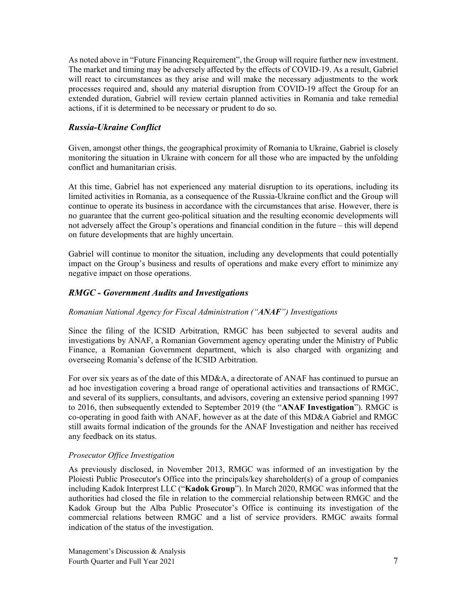As noted above in "Future Financing Requirement", the Group will require further new investment. The market and timing may be adversely affected by the effects of COVID-19. As a result, Gabriel will react to circumstances as they arise and will make the necessary adjustments to the work processes required and, should any material disruption from COVID-19 affect the Group for an extended duration, Gabriel will review certain planned activities in Romania and take remedial actions, if it is determined to be necessary or prudent to do so.

## *Russia-Ukraine Conflict*

Given, amongst other things, the geographical proximity of Romania to Ukraine, Gabriel is closely monitoring the situation in Ukraine with concern for all those who are impacted by the unfolding conflict and humanitarian crisis.

At this time, Gabriel has not experienced any material disruption to its operations, including its limited activities in Romania, as a consequence of the Russia-Ukraine conflict and the Group will continue to operate its business in accordance with the circumstances that arise. However, there is no guarantee that the current geo-political situation and the resulting economic developments will not adversely affect the Group's operations and financial condition in the future – this will depend on future developments that are highly uncertain.

Gabriel will continue to monitor the situation, including any developments that could potentially impact on the Group's business and results of operations and make every effort to minimize any negative impact on those operations.

## *RMGC - Government Audits and Investigations*

#### *Romanian National Agency for Fiscal Administration ("ANAF") Investigations*

Since the filing of the ICSID Arbitration, RMGC has been subjected to several audits and investigations by ANAF, a Romanian Government agency operating under the Ministry of Public Finance, a Romanian Government department, which is also charged with organizing and overseeing Romania's defense of the ICSID Arbitration.

For over six years as of the date of this MD&A, a directorate of ANAF has continued to pursue an ad hoc investigation covering a broad range of operational activities and transactions of RMGC, and several of its suppliers, consultants, and advisors, covering an extensive period spanning 1997 to 2016, then subsequently extended to September 2019 (the "**ANAF Investigation**"). RMGC is co-operating in good faith with ANAF, however as at the date of this MD&A Gabriel and RMGC still awaits formal indication of the grounds for the ANAF Investigation and neither has received any feedback on its status.

#### *Prosecutor Office Investigation*

As previously disclosed, in November 2013, RMGC was informed of an investigation by the Ploiesti Public Prosecutor's Office into the principals/key shareholder(s) of a group of companies including Kadok Interprest LLC ("**Kadok Group**"). In March 2020, RMGC was informed that the authorities had closed the file in relation to the commercial relationship between RMGC and the Kadok Group but the Alba Public Prosecutor's Office is continuing its investigation of the commercial relations between RMGC and a list of service providers. RMGC awaits formal indication of the status of the investigation.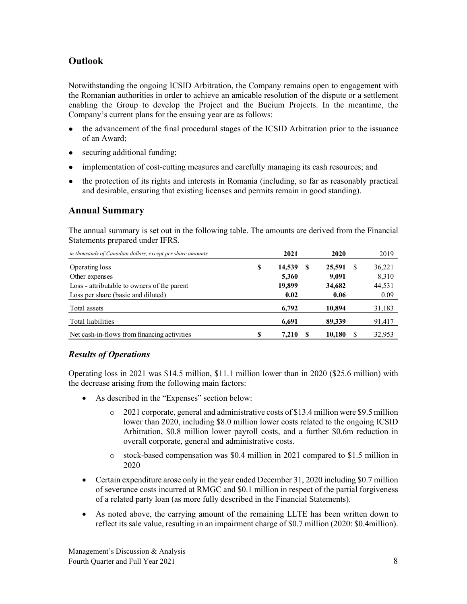# **Outlook**

Notwithstanding the ongoing ICSID Arbitration, the Company remains open to engagement with the Romanian authorities in order to achieve an amicable resolution of the dispute or a settlement enabling the Group to develop the Project and the Bucium Projects. In the meantime, the Company's current plans for the ensuing year are as follows:

- the advancement of the final procedural stages of the ICSID Arbitration prior to the issuance of an Award;
- securing additional funding;
- implementation of cost-cutting measures and carefully managing its cash resources; and
- the protection of its rights and interests in Romania (including, so far as reasonably practical and desirable, ensuring that existing licenses and permits remain in good standing).

# **Annual Summary**

The annual summary is set out in the following table. The amounts are derived from the Financial Statements prepared under IFRS.

| in thousands of Canadian dollars, except per share amounts |    | 2021   | 2020         | 2019        |
|------------------------------------------------------------|----|--------|--------------|-------------|
| Operating loss                                             | \$ | 14,539 | 25,591<br>-S | 36,221<br>S |
| Other expenses                                             |    | 5,360  | 9.091        | 8,310       |
| Loss - attributable to owners of the parent                |    | 19,899 | 34,682       | 44,531      |
| Loss per share (basic and diluted)                         |    | 0.02   | 0.06         | 0.09        |
| Total assets                                               |    | 6,792  | 10.894       | 31,183      |
| Total liabilities                                          |    | 6,691  | 89,339       | 91,417      |
| Net cash-in-flows from financing activities                | S  | 7.210  | 10.180       | 32,953      |

# *Results of Operations*

Operating loss in 2021 was \$14.5 million, \$11.1 million lower than in 2020 (\$25.6 million) with the decrease arising from the following main factors:

- As described in the "Expenses" section below:
	- $2021$  corporate, general and administrative costs of \$13.4 million were \$9.5 million lower than 2020, including \$8.0 million lower costs related to the ongoing ICSID Arbitration, \$0.8 million lower payroll costs, and a further \$0.6m reduction in overall corporate, general and administrative costs.
	- o stock-based compensation was \$0.4 million in 2021 compared to \$1.5 million in 2020
- Certain expenditure arose only in the year ended December 31, 2020 including \$0.7 million of severance costs incurred at RMGC and \$0.1 million in respect of the partial forgiveness of a related party loan (as more fully described in the Financial Statements).
- As noted above, the carrying amount of the remaining LLTE has been written down to reflect its sale value, resulting in an impairment charge of \$0.7 million (2020: \$0.4million).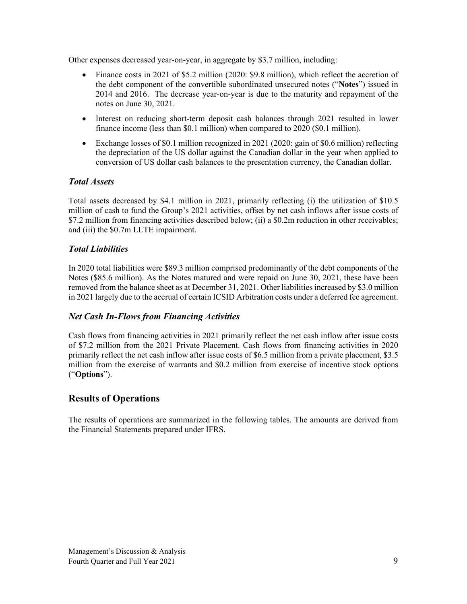Other expenses decreased year-on-year, in aggregate by \$3.7 million, including:

- Finance costs in 2021 of \$5.2 million (2020: \$9.8 million), which reflect the accretion of the debt component of the convertible subordinated unsecured notes ("**Notes**") issued in 2014 and 2016. The decrease year-on-year is due to the maturity and repayment of the notes on June 30, 2021.
- Interest on reducing short-term deposit cash balances through 2021 resulted in lower finance income (less than \$0.1 million) when compared to 2020 (\$0.1 million).
- Exchange losses of \$0.1 million recognized in 2021 (2020: gain of \$0.6 million) reflecting the depreciation of the US dollar against the Canadian dollar in the year when applied to conversion of US dollar cash balances to the presentation currency, the Canadian dollar.

## *Total Assets*

Total assets decreased by \$4.1 million in 2021, primarily reflecting (i) the utilization of \$10.5 million of cash to fund the Group's 2021 activities, offset by net cash inflows after issue costs of \$7.2 million from financing activities described below; (ii) a \$0.2m reduction in other receivables; and (iii) the \$0.7m LLTE impairment.

## *Total Liabilities*

In 2020 total liabilities were \$89.3 million comprised predominantly of the debt components of the Notes (\$85.6 million). As the Notes matured and were repaid on June 30, 2021, these have been removed from the balance sheet as at December 31, 2021. Other liabilities increased by \$3.0 million in 2021 largely due to the accrual of certain ICSID Arbitration costs under a deferred fee agreement.

## *Net Cash In-Flows from Financing Activities*

Cash flows from financing activities in 2021 primarily reflect the net cash inflow after issue costs of \$7.2 million from the 2021 Private Placement. Cash flows from financing activities in 2020 primarily reflect the net cash inflow after issue costs of \$6.5 million from a private placement, \$3.5 million from the exercise of warrants and \$0.2 million from exercise of incentive stock options ("**Options**").

# **Results of Operations**

The results of operations are summarized in the following tables. The amounts are derived from the Financial Statements prepared under IFRS.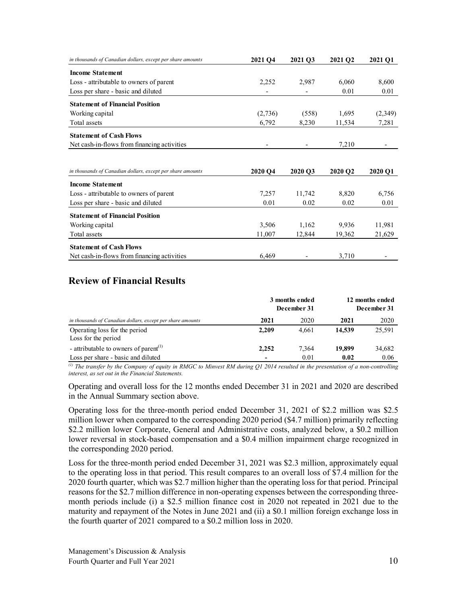| in thousands of Canadian dollars, except per share amounts | 2021 O <sub>4</sub> | 2021 O3 | 2021 O <sub>2</sub> | 2021 O1 |
|------------------------------------------------------------|---------------------|---------|---------------------|---------|
| <b>Income Statement</b>                                    |                     |         |                     |         |
| Loss - attributable to owners of parent                    | 2,252               | 2,987   | 6,060               | 8,600   |
| Loss per share - basic and diluted                         |                     |         | 0.01                | 0.01    |
| <b>Statement of Financial Position</b>                     |                     |         |                     |         |
| Working capital                                            | (2,736)             | (558)   | 1,695               | (2,349) |
| Total assets                                               | 6,792               | 8,230   | 11,534              | 7,281   |
| <b>Statement of Cash Flows</b>                             |                     |         |                     |         |
| Net cash-in-flows from financing activities                |                     |         | 7,210               |         |
|                                                            |                     |         |                     |         |
| in thousands of Canadian dollars, except per share amounts | 2020 O4             | 2020 O3 | 2020 Q2             | 2020 Q1 |
| <b>Income Statement</b>                                    |                     |         |                     |         |
| Loss - attributable to owners of parent                    | 7,257               | 11,742  | 8,820               | 6,756   |
| Loss per share - basic and diluted                         | 0.01                | 0.02    | 0.02                | 0.01    |
| <b>Statement of Financial Position</b>                     |                     |         |                     |         |
| Working capital                                            | 3,506               | 1,162   | 9,936               | 11,981  |
| Total assets                                               | 11,007              | 12,844  | 19,362              | 21,629  |
| <b>Statement of Cash Flows</b>                             |                     |         |                     |         |
| Net cash-in-flows from financing activities                | 6,469               |         | 3,710               |         |

# **Review of Financial Results**

|                                                                |       | 3 months ended<br>December 31 | 12 months ended<br>December 31 |        |  |
|----------------------------------------------------------------|-------|-------------------------------|--------------------------------|--------|--|
| in thousands of Canadian dollars, except per share amounts     | 2021  | 2020                          | 2021                           | 2020   |  |
| Operating loss for the period<br>Loss for the period           | 2.209 | 4.661                         | 14.539                         | 25,591 |  |
| - attributable to owners of parent <sup><math>(1)</math></sup> | 2,252 | 7.364                         | 19,899                         | 34,682 |  |
| Loss per share - basic and diluted                             |       | 0.01                          | 0.02                           | 0.06   |  |

*(1) The transfer by the Company of equity in RMGC to Minvest RM during Q1 2014 resulted in the presentation of a non-controlling interest, as set out in the Financial Statements.*

Operating and overall loss for the 12 months ended December 31 in 2021 and 2020 are described in the Annual Summary section above.

Operating loss for the three-month period ended December 31, 2021 of \$2.2 million was \$2.5 million lower when compared to the corresponding 2020 period (\$4.7 million) primarily reflecting \$2.2 million lower Corporate, General and Administrative costs, analyzed below, a \$0.2 million lower reversal in stock-based compensation and a \$0.4 million impairment charge recognized in the corresponding 2020 period.

Loss for the three-month period ended December 31, 2021 was \$2.3 million, approximately equal to the operating loss in that period. This result compares to an overall loss of \$7.4 million for the 2020 fourth quarter, which was \$2.7 million higher than the operating loss for that period. Principal reasons for the \$2.7 million difference in non-operating expenses between the corresponding threemonth periods include (i) a \$2.5 million finance cost in 2020 not repeated in 2021 due to the maturity and repayment of the Notes in June 2021 and (ii) a \$0.1 million foreign exchange loss in the fourth quarter of 2021 compared to a \$0.2 million loss in 2020.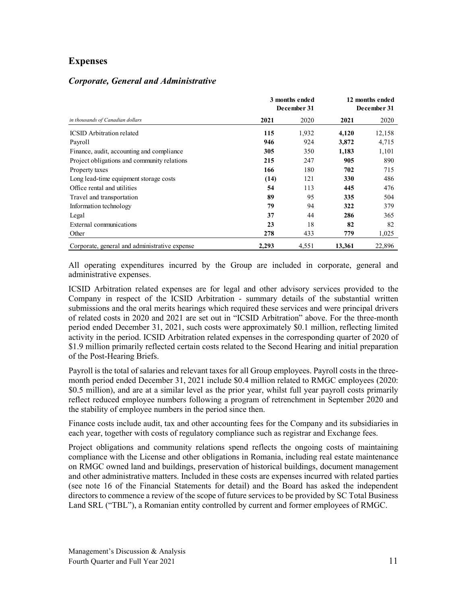# **Expenses**

|                                               | 3 months ended<br>December 31 | 12 months ended<br>December 31 |        |        |
|-----------------------------------------------|-------------------------------|--------------------------------|--------|--------|
| in thousands of Canadian dollars              | 2021                          | 2020                           | 2021   | 2020   |
| <b>ICSID</b> Arbitration related              | 115                           | 1,932                          | 4,120  | 12,158 |
| Payroll                                       | 946                           | 924                            | 3,872  | 4,715  |
| Finance, audit, accounting and compliance     | 305                           | 350                            | 1,183  | 1,101  |
| Project obligations and community relations   | 215                           | 247                            | 905    | 890    |
| Property taxes                                | 166                           | 180                            | 702    | 715    |
| Long lead-time equipment storage costs        | (14)                          | 121                            | 330    | 486    |
| Office rental and utilities                   | 54                            | 113                            | 445    | 476    |
| Travel and transportation                     | 89                            | 95                             | 335    | 504    |
| Information technology                        | 79                            | 94                             | 322    | 379    |
| Legal                                         | 37                            | 44                             | 286    | 365    |
| External communications                       | 23                            | 18                             | 82     | 82     |
| Other                                         | 278                           | 433                            | 779    | 1,025  |
| Corporate, general and administrative expense | 2,293                         | 4,551                          | 13,361 | 22,896 |

### *Corporate, General and Administrative*

All operating expenditures incurred by the Group are included in corporate, general and administrative expenses.

ICSID Arbitration related expenses are for legal and other advisory services provided to the Company in respect of the ICSID Arbitration - summary details of the substantial written submissions and the oral merits hearings which required these services and were principal drivers of related costs in 2020 and 2021 are set out in "ICSID Arbitration" above. For the three-month period ended December 31, 2021, such costs were approximately \$0.1 million, reflecting limited activity in the period. ICSID Arbitration related expenses in the corresponding quarter of 2020 of \$1.9 million primarily reflected certain costs related to the Second Hearing and initial preparation of the Post-Hearing Briefs.

Payroll is the total of salaries and relevant taxes for all Group employees. Payroll costs in the threemonth period ended December 31, 2021 include \$0.4 million related to RMGC employees (2020: \$0.5 million), and are at a similar level as the prior year, whilst full year payroll costs primarily reflect reduced employee numbers following a program of retrenchment in September 2020 and the stability of employee numbers in the period since then.

Finance costs include audit, tax and other accounting fees for the Company and its subsidiaries in each year, together with costs of regulatory compliance such as registrar and Exchange fees.

Project obligations and community relations spend reflects the ongoing costs of maintaining compliance with the License and other obligations in Romania, including real estate maintenance on RMGC owned land and buildings, preservation of historical buildings, document management and other administrative matters. Included in these costs are expenses incurred with related parties (see note 16 of the Financial Statements for detail) and the Board has asked the independent directors to commence a review of the scope of future services to be provided by SC Total Business Land SRL ("TBL"), a Romanian entity controlled by current and former employees of RMGC.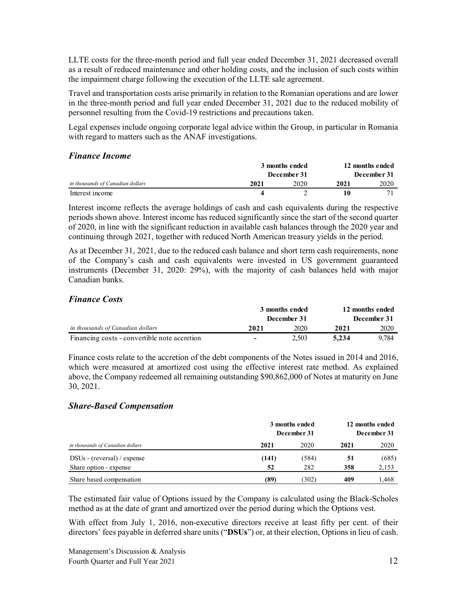LLTE costs for the three-month period and full year ended December 31, 2021 decreased overall as a result of reduced maintenance and other holding costs, and the inclusion of such costs within the impairment charge following the execution of the LLTE sale agreement.

Travel and transportation costs arise primarily in relation to the Romanian operations and are lower in the three-month period and full year ended December 31, 2021 due to the reduced mobility of personnel resulting from the Covid-19 restrictions and precautions taken.

Legal expenses include ongoing corporate legal advice within the Group, in particular in Romania with regard to matters such as the ANAF investigations.

### *Finance Income*

|                                  | 3 months ended |      | 12 months ended |      |  |
|----------------------------------|----------------|------|-----------------|------|--|
|                                  | December 31    |      | December 31     |      |  |
| in thousands of Canadian dollars | 2021           | 2020 | 2021            | 2020 |  |
| Interest income                  |                |      |                 |      |  |

Interest income reflects the average holdings of cash and cash equivalents during the respective periods shown above. Interest income has reduced significantly since the start of the second quarter of 2020, in line with the significant reduction in available cash balances through the 2020 year and continuing through 2021, together with reduced North American treasury yields in the period.

As at December 31, 2021, due to the reduced cash balance and short term cash requirements, none of the Company's cash and cash equivalents were invested in US government guaranteed instruments (December 31, 2020: 29%), with the majority of cash balances held with major Canadian banks.

# *Finance Costs*

|                                              | 3 months ended           |             | 12 months ended |             |  |
|----------------------------------------------|--------------------------|-------------|-----------------|-------------|--|
|                                              |                          | December 31 |                 | December 31 |  |
| in thousands of Canadian dollars             | 2021                     | 2020        | 2021            | 2020        |  |
| Financing costs - convertible note accretion | $\overline{\phantom{a}}$ | 2.503       | 5.234           | 9.784       |  |

Finance costs relate to the accretion of the debt components of the Notes issued in 2014 and 2016, which were measured at amortized cost using the effective interest rate method. As explained above, the Company redeemed all remaining outstanding \$90,862,000 of Notes at maturity on June 30, 2021.

## *Share-Based Compensation*

|                                  |       | 3 months ended<br>December 31 | 12 months ended<br>December 31 |       |  |
|----------------------------------|-------|-------------------------------|--------------------------------|-------|--|
| in thousands of Canadian dollars | 2021  | 2020                          | 2021                           | 2020  |  |
| $DSUs - (reversal) / expense$    | (141) | (584)                         | 51                             | (685) |  |
| Share option - expense           | 52    | 282                           | 358                            | 2,153 |  |
| Share based compensation         | (89)  | (302)                         | 409                            | l.468 |  |

The estimated fair value of Options issued by the Company is calculated using the Black-Scholes method as at the date of grant and amortized over the period during which the Options vest.

With effect from July 1, 2016, non-executive directors receive at least fifty per cent. of their directors' fees payable in deferred share units ("**DSUs**") or, at their election, Options in lieu of cash.

Management's Discussion & Analysis Fourth Quarter and Full Year 2021 12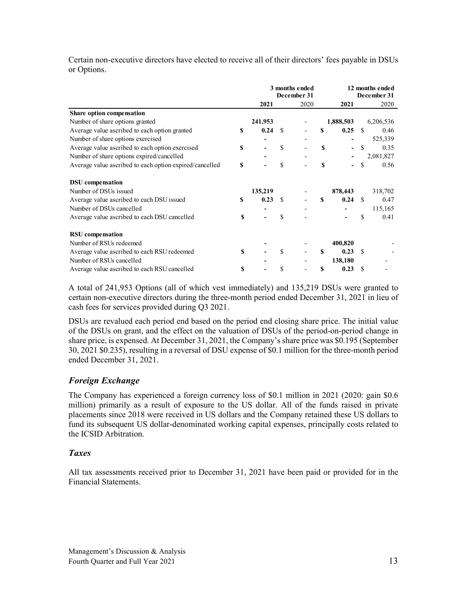Certain non-executive directors have elected to receive all of their directors' fees payable in DSUs or Options.

|                                                         |    | 3 months ended<br>December 31 |    |      | 12 months ended<br>December 31 |           |     |           |
|---------------------------------------------------------|----|-------------------------------|----|------|--------------------------------|-----------|-----|-----------|
|                                                         |    | 2021                          |    | 2020 |                                | 2021      |     | 2020      |
| Share option compensation                               |    |                               |    |      |                                |           |     |           |
| Number of share options granted                         |    | 241,953                       |    |      |                                | 1,888,503 |     | 6,206,536 |
| Average value ascribed to each option granted           | S  | 0.24                          | -S |      | \$                             | 0.25      | -\$ | 0.46      |
| Number of share options exercised                       |    |                               |    |      |                                |           |     | 525,339   |
| Average value ascribed to each option exercised         | \$ |                               | S  |      | S                              |           | \$  | 0.35      |
| Number of share options expired/cancelled               |    |                               |    |      |                                |           |     | 2,081,827 |
| Average value ascribed to each option expired/cancelled | S  |                               | S  |      | S                              |           | \$  | 0.56      |
| <b>DSU</b> compensation                                 |    |                               |    |      |                                |           |     |           |
| Number of DSUs issued                                   |    | 135,219                       |    |      |                                | 878,443   |     | 318,702   |
| Average value ascribed to each DSU issued               | S  | 0.23                          | -S |      | S                              | 0.24      | -S  | 0.47      |
| Number of DSUs cancelled                                |    |                               |    |      |                                |           |     | 115,165   |
| Average value ascribed to each DSU cancelled            | S  |                               | \$ |      |                                |           | S   | 0.41      |
| <b>RSU</b> compensation                                 |    |                               |    |      |                                |           |     |           |
| Number of RSUs redeemed                                 |    |                               |    |      |                                | 400,820   |     |           |
| Average value ascribed to each RSU redeemed             | \$ |                               | S  |      | S                              | 0.23      | -\$ |           |
| Number of RSUs cancelled                                |    |                               |    |      |                                | 138,180   |     |           |
| Average value ascribed to each RSU cancelled            | \$ |                               | \$ |      | \$                             | 0.23      | S   |           |

A total of 241,953 Options (all of which vest immediately) and 135,219 DSUs were granted to certain non-executive directors during the three-month period ended December 31, 2021 in lieu of cash fees for services provided during Q3 2021.

DSUs are revalued each period end based on the period end closing share price. The initial value of the DSUs on grant, and the effect on the valuation of DSUs of the period-on-period change in share price, is expensed. At December 31, 2021, the Company's share price was \$0.195 (September 30, 2021 \$0.235), resulting in a reversal of DSU expense of \$0.1 million for the three-month period ended December 31, 2021.

## *Foreign Exchange*

The Company has experienced a foreign currency loss of \$0.1 million in 2021 (2020: gain \$0.6 million) primarily as a result of exposure to the US dollar. All of the funds raised in private placements since 2018 were received in US dollars and the Company retained these US dollars to fund its subsequent US dollar-denominated working capital expenses, principally costs related to the ICSID Arbitration.

## *Taxes*

All tax assessments received prior to December 31, 2021 have been paid or provided for in the Financial Statements.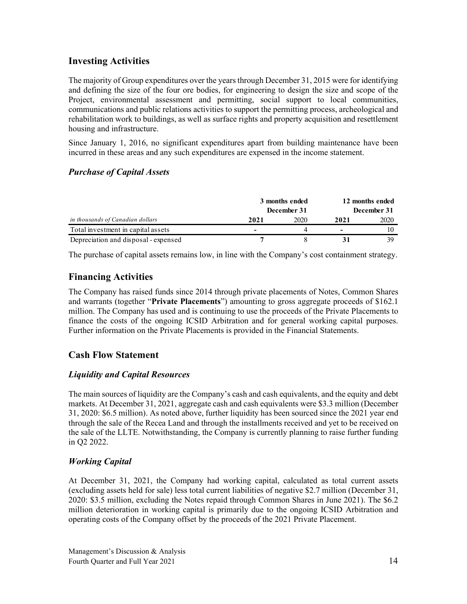# **Investing Activities**

The majority of Group expenditures over the years through December 31, 2015 were for identifying and defining the size of the four ore bodies, for engineering to design the size and scope of the Project, environmental assessment and permitting, social support to local communities, communications and public relations activities to support the permitting process, archeological and rehabilitation work to buildings, as well as surface rights and property acquisition and resettlement housing and infrastructure.

Since January 1, 2016, no significant expenditures apart from building maintenance have been incurred in these areas and any such expenditures are expensed in the income statement.

# *Purchase of Capital Assets*

|                                      | 3 months ended           |             | 12 months ended |             |  |  |
|--------------------------------------|--------------------------|-------------|-----------------|-------------|--|--|
|                                      |                          | December 31 |                 | December 31 |  |  |
| in thousands of Canadian dollars     | 2021                     | 2020        | 2021            | 2020        |  |  |
| Total investment in capital assets   | $\overline{\phantom{0}}$ |             | -               |             |  |  |
| Depreciation and disposal - expensed |                          |             |                 |             |  |  |

The purchase of capital assets remains low, in line with the Company's cost containment strategy.

# **Financing Activities**

The Company has raised funds since 2014 through private placements of Notes, Common Shares and warrants (together "**Private Placements**") amounting to gross aggregate proceeds of \$162.1 million. The Company has used and is continuing to use the proceeds of the Private Placements to finance the costs of the ongoing ICSID Arbitration and for general working capital purposes. Further information on the Private Placements is provided in the Financial Statements.

# **Cash Flow Statement**

# *Liquidity and Capital Resources*

The main sources of liquidity are the Company's cash and cash equivalents, and the equity and debt markets. At December 31, 2021, aggregate cash and cash equivalents were \$3.3 million (December 31, 2020: \$6.5 million). As noted above, further liquidity has been sourced since the 2021 year end through the sale of the Recea Land and through the installments received and yet to be received on the sale of the LLTE. Notwithstanding, the Company is currently planning to raise further funding in Q2 2022.

# *Working Capital*

At December 31, 2021, the Company had working capital, calculated as total current assets (excluding assets held for sale) less total current liabilities of negative \$2.7 million (December 31, 2020: \$3.5 million, excluding the Notes repaid through Common Shares in June 2021). The \$6.2 million deterioration in working capital is primarily due to the ongoing ICSID Arbitration and operating costs of the Company offset by the proceeds of the 2021 Private Placement.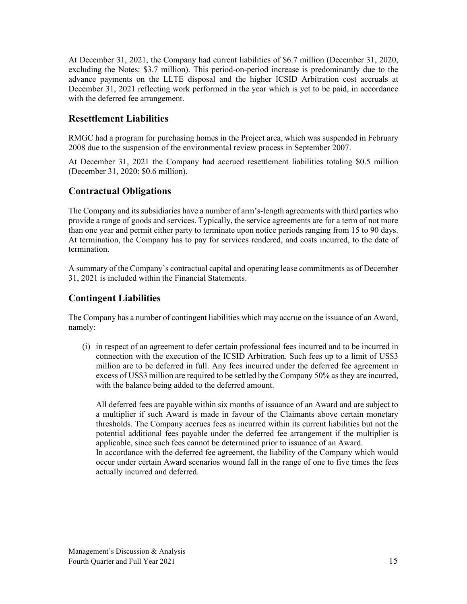At December 31, 2021, the Company had current liabilities of \$6.7 million (December 31, 2020, excluding the Notes: \$3.7 million). This period-on-period increase is predominantly due to the advance payments on the LLTE disposal and the higher ICSID Arbitration cost accruals at December 31, 2021 reflecting work performed in the year which is yet to be paid, in accordance with the deferred fee arrangement.

# **Resettlement Liabilities**

RMGC had a program for purchasing homes in the Project area, which was suspended in February 2008 due to the suspension of the environmental review process in September 2007.

At December 31, 2021 the Company had accrued resettlement liabilities totaling \$0.5 million (December 31, 2020: \$0.6 million).

# **Contractual Obligations**

The Company and its subsidiaries have a number of arm's-length agreements with third parties who provide a range of goods and services. Typically, the service agreements are for a term of not more than one year and permit either party to terminate upon notice periods ranging from 15 to 90 days. At termination, the Company has to pay for services rendered, and costs incurred, to the date of termination.

A summary of the Company's contractual capital and operating lease commitments as of December 31, 2021 is included within the Financial Statements.

# **Contingent Liabilities**

The Company has a number of contingent liabilities which may accrue on the issuance of an Award, namely:

(i) in respect of an agreement to defer certain professional fees incurred and to be incurred in connection with the execution of the ICSID Arbitration. Such fees up to a limit of US\$3 million are to be deferred in full. Any fees incurred under the deferred fee agreement in excess of US\$3 million are required to be settled by the Company 50% as they are incurred, with the balance being added to the deferred amount.

All deferred fees are payable within six months of issuance of an Award and are subject to a multiplier if such Award is made in favour of the Claimants above certain monetary thresholds. The Company accrues fees as incurred within its current liabilities but not the potential additional fees payable under the deferred fee arrangement if the multiplier is applicable, since such fees cannot be determined prior to issuance of an Award. In accordance with the deferred fee agreement, the liability of the Company which would occur under certain Award scenarios wound fall in the range of one to five times the fees actually incurred and deferred.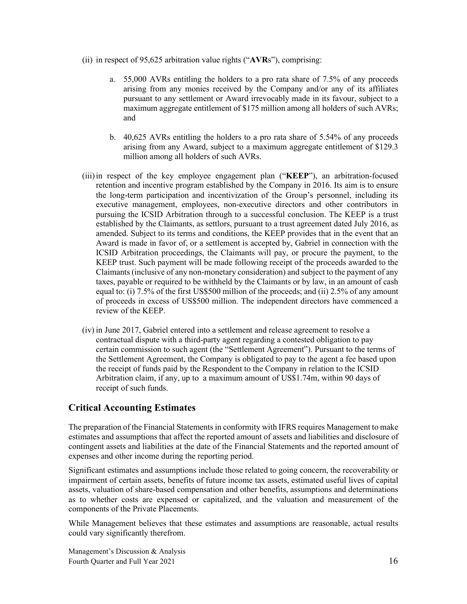- (ii) in respect of 95,625 arbitration value rights ("**AVR**s"), comprising:
	- a. 55,000 AVRs entitling the holders to a pro rata share of 7.5% of any proceeds arising from any monies received by the Company and/or any of its affiliates pursuant to any settlement or Award irrevocably made in its favour, subject to a maximum aggregate entitlement of \$175 million among all holders of such AVRs; and
	- b. 40,625 AVRs entitling the holders to a pro rata share of 5.54% of any proceeds arising from any Award, subject to a maximum aggregate entitlement of \$129.3 million among all holders of such AVRs.
- (iii)in respect of the key employee engagement plan ("**KEEP**"), an arbitration-focused retention and incentive program established by the Company in 2016. Its aim is to ensure the long-term participation and incentivization of the Group's personnel, including its executive management, employees, non-executive directors and other contributors in pursuing the ICSID Arbitration through to a successful conclusion. The KEEP is a trust established by the Claimants, as settlors, pursuant to a trust agreement dated July 2016, as amended. Subject to its terms and conditions, the KEEP provides that in the event that an Award is made in favor of, or a settlement is accepted by, Gabriel in connection with the ICSID Arbitration proceedings, the Claimants will pay, or procure the payment, to the KEEP trust. Such payment will be made following receipt of the proceeds awarded to the Claimants (inclusive of any non-monetary consideration) and subject to the payment of any taxes, payable or required to be withheld by the Claimants or by law, in an amount of cash equal to: (i) 7.5% of the first US\$500 million of the proceeds; and (ii) 2.5% of any amount of proceeds in excess of US\$500 million. The independent directors have commenced a review of the KEEP.
- (iv) in June 2017, Gabriel entered into a settlement and release agreement to resolve a contractual dispute with a third-party agent regarding a contested obligation to pay certain commission to such agent (the "Settlement Agreement"). Pursuant to the terms of the Settlement Agreement, the Company is obligated to pay to the agent a fee based upon the receipt of funds paid by the Respondent to the Company in relation to the ICSID Arbitration claim, if any, up to a maximum amount of US\$1.74m, within 90 days of receipt of such funds.

# **Critical Accounting Estimates**

The preparation of the Financial Statements in conformity with IFRS requires Management to make estimates and assumptions that affect the reported amount of assets and liabilities and disclosure of contingent assets and liabilities at the date of the Financial Statements and the reported amount of expenses and other income during the reporting period.

Significant estimates and assumptions include those related to going concern, the recoverability or impairment of certain assets, benefits of future income tax assets, estimated useful lives of capital assets, valuation of share-based compensation and other benefits, assumptions and determinations as to whether costs are expensed or capitalized, and the valuation and measurement of the components of the Private Placements.

While Management believes that these estimates and assumptions are reasonable, actual results could vary significantly therefrom.

Management's Discussion & Analysis Fourth Quarter and Full Year 2021 16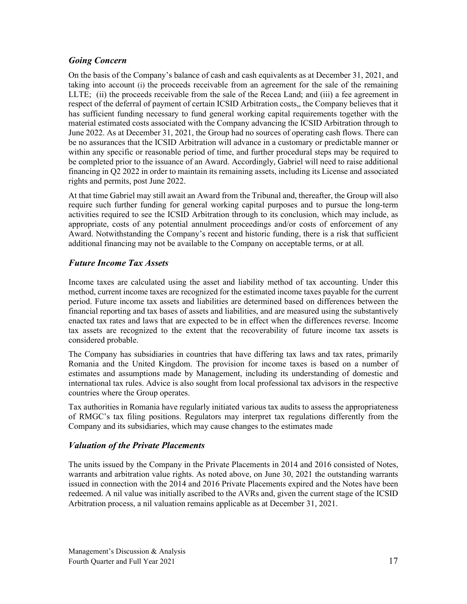# *Going Concern*

On the basis of the Company's balance of cash and cash equivalents as at December 31, 2021, and taking into account (i) the proceeds receivable from an agreement for the sale of the remaining LLTE; (ii) the proceeds receivable from the sale of the Recea Land; and (iii) a fee agreement in respect of the deferral of payment of certain ICSID Arbitration costs,, the Company believes that it has sufficient funding necessary to fund general working capital requirements together with the material estimated costs associated with the Company advancing the ICSID Arbitration through to June 2022. As at December 31, 2021, the Group had no sources of operating cash flows. There can be no assurances that the ICSID Arbitration will advance in a customary or predictable manner or within any specific or reasonable period of time, and further procedural steps may be required to be completed prior to the issuance of an Award. Accordingly, Gabriel will need to raise additional financing in Q2 2022 in order to maintain its remaining assets, including its License and associated rights and permits, post June 2022.

At that time Gabriel may still await an Award from the Tribunal and, thereafter, the Group will also require such further funding for general working capital purposes and to pursue the long-term activities required to see the ICSID Arbitration through to its conclusion, which may include, as appropriate, costs of any potential annulment proceedings and/or costs of enforcement of any Award. Notwithstanding the Company's recent and historic funding, there is a risk that sufficient additional financing may not be available to the Company on acceptable terms, or at all.

## *Future Income Tax Assets*

Income taxes are calculated using the asset and liability method of tax accounting. Under this method, current income taxes are recognized for the estimated income taxes payable for the current period. Future income tax assets and liabilities are determined based on differences between the financial reporting and tax bases of assets and liabilities, and are measured using the substantively enacted tax rates and laws that are expected to be in effect when the differences reverse. Income tax assets are recognized to the extent that the recoverability of future income tax assets is considered probable.

The Company has subsidiaries in countries that have differing tax laws and tax rates, primarily Romania and the United Kingdom. The provision for income taxes is based on a number of estimates and assumptions made by Management, including its understanding of domestic and international tax rules. Advice is also sought from local professional tax advisors in the respective countries where the Group operates.

Tax authorities in Romania have regularly initiated various tax audits to assess the appropriateness of RMGC's tax filing positions. Regulators may interpret tax regulations differently from the Company and its subsidiaries, which may cause changes to the estimates made

## *Valuation of the Private Placements*

The units issued by the Company in the Private Placements in 2014 and 2016 consisted of Notes, warrants and arbitration value rights. As noted above, on June 30, 2021 the outstanding warrants issued in connection with the 2014 and 2016 Private Placements expired and the Notes have been redeemed. A nil value was initially ascribed to the AVRs and, given the current stage of the ICSID Arbitration process, a nil valuation remains applicable as at December 31, 2021.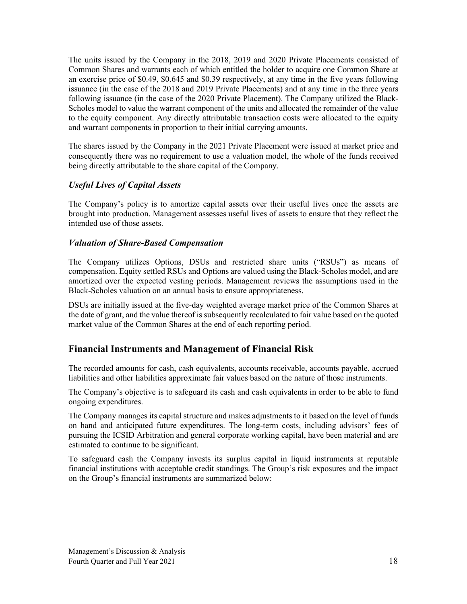The units issued by the Company in the 2018, 2019 and 2020 Private Placements consisted of Common Shares and warrants each of which entitled the holder to acquire one Common Share at an exercise price of \$0.49, \$0.645 and \$0.39 respectively, at any time in the five years following issuance (in the case of the 2018 and 2019 Private Placements) and at any time in the three years following issuance (in the case of the 2020 Private Placement). The Company utilized the Black-Scholes model to value the warrant component of the units and allocated the remainder of the value to the equity component. Any directly attributable transaction costs were allocated to the equity and warrant components in proportion to their initial carrying amounts.

The shares issued by the Company in the 2021 Private Placement were issued at market price and consequently there was no requirement to use a valuation model, the whole of the funds received being directly attributable to the share capital of the Company.

# *Useful Lives of Capital Assets*

The Company's policy is to amortize capital assets over their useful lives once the assets are brought into production. Management assesses useful lives of assets to ensure that they reflect the intended use of those assets.

### *Valuation of Share-Based Compensation*

The Company utilizes Options, DSUs and restricted share units ("RSUs") as means of compensation. Equity settled RSUs and Options are valued using the Black-Scholes model, and are amortized over the expected vesting periods. Management reviews the assumptions used in the Black-Scholes valuation on an annual basis to ensure appropriateness.

DSUs are initially issued at the five-day weighted average market price of the Common Shares at the date of grant, and the value thereof is subsequently recalculated to fair value based on the quoted market value of the Common Shares at the end of each reporting period.

# **Financial Instruments and Management of Financial Risk**

The recorded amounts for cash, cash equivalents, accounts receivable, accounts payable, accrued liabilities and other liabilities approximate fair values based on the nature of those instruments.

The Company's objective is to safeguard its cash and cash equivalents in order to be able to fund ongoing expenditures.

The Company manages its capital structure and makes adjustments to it based on the level of funds on hand and anticipated future expenditures. The long-term costs, including advisors' fees of pursuing the ICSID Arbitration and general corporate working capital, have been material and are estimated to continue to be significant.

To safeguard cash the Company invests its surplus capital in liquid instruments at reputable financial institutions with acceptable credit standings. The Group's risk exposures and the impact on the Group's financial instruments are summarized below: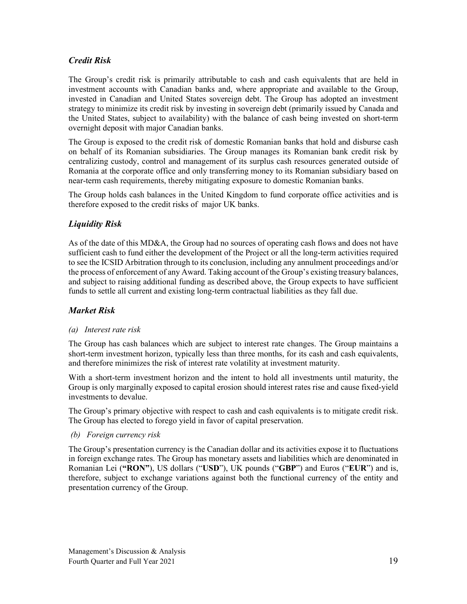# *Credit Risk*

The Group's credit risk is primarily attributable to cash and cash equivalents that are held in investment accounts with Canadian banks and, where appropriate and available to the Group, invested in Canadian and United States sovereign debt. The Group has adopted an investment strategy to minimize its credit risk by investing in sovereign debt (primarily issued by Canada and the United States, subject to availability) with the balance of cash being invested on short-term overnight deposit with major Canadian banks.

The Group is exposed to the credit risk of domestic Romanian banks that hold and disburse cash on behalf of its Romanian subsidiaries. The Group manages its Romanian bank credit risk by centralizing custody, control and management of its surplus cash resources generated outside of Romania at the corporate office and only transferring money to its Romanian subsidiary based on near-term cash requirements, thereby mitigating exposure to domestic Romanian banks.

The Group holds cash balances in the United Kingdom to fund corporate office activities and is therefore exposed to the credit risks of major UK banks.

## *Liquidity Risk*

As of the date of this MD&A, the Group had no sources of operating cash flows and does not have sufficient cash to fund either the development of the Project or all the long-term activities required to see the ICSID Arbitration through to its conclusion, including any annulment proceedings and/or the process of enforcement of any Award. Taking account of the Group's existing treasury balances, and subject to raising additional funding as described above, the Group expects to have sufficient funds to settle all current and existing long-term contractual liabilities as they fall due.

## *Market Risk*

#### *(a) Interest rate risk*

The Group has cash balances which are subject to interest rate changes. The Group maintains a short-term investment horizon, typically less than three months, for its cash and cash equivalents, and therefore minimizes the risk of interest rate volatility at investment maturity.

With a short-term investment horizon and the intent to hold all investments until maturity, the Group is only marginally exposed to capital erosion should interest rates rise and cause fixed-yield investments to devalue.

The Group's primary objective with respect to cash and cash equivalents is to mitigate credit risk. The Group has elected to forego yield in favor of capital preservation.

*(b) Foreign currency risk*

The Group's presentation currency is the Canadian dollar and its activities expose it to fluctuations in foreign exchange rates. The Group has monetary assets and liabilities which are denominated in Romanian Lei (**"RON"**), US dollars ("**USD**"), UK pounds ("**GBP**") and Euros ("**EUR**") and is, therefore, subject to exchange variations against both the functional currency of the entity and presentation currency of the Group.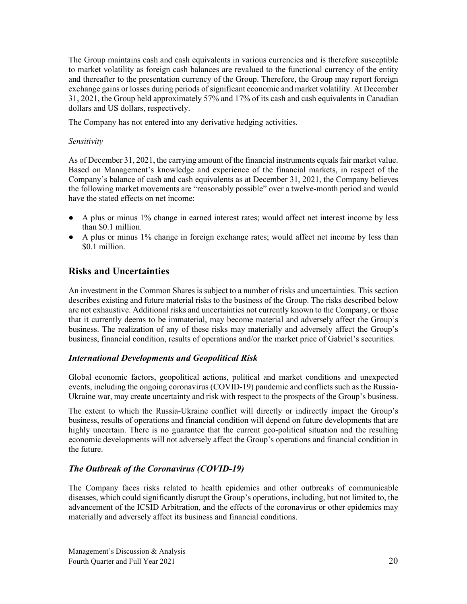The Group maintains cash and cash equivalents in various currencies and is therefore susceptible to market volatility as foreign cash balances are revalued to the functional currency of the entity and thereafter to the presentation currency of the Group. Therefore, the Group may report foreign exchange gains or losses during periods of significant economic and market volatility. At December 31, 2021, the Group held approximately 57% and 17% of its cash and cash equivalents in Canadian dollars and US dollars, respectively.

The Company has not entered into any derivative hedging activities.

### *Sensitivity*

As of December 31, 2021, the carrying amount of the financial instruments equals fair market value. Based on Management's knowledge and experience of the financial markets, in respect of the Company's balance of cash and cash equivalents as at December 31, 2021, the Company believes the following market movements are "reasonably possible" over a twelve-month period and would have the stated effects on net income:

- A plus or minus 1% change in earned interest rates; would affect net interest income by less than \$0.1 million.
- A plus or minus 1% change in foreign exchange rates; would affect net income by less than \$0.1 million.

# **Risks and Uncertainties**

An investment in the Common Shares is subject to a number of risks and uncertainties. This section describes existing and future material risks to the business of the Group. The risks described below are not exhaustive. Additional risks and uncertainties not currently known to the Company, or those that it currently deems to be immaterial, may become material and adversely affect the Group's business. The realization of any of these risks may materially and adversely affect the Group's business, financial condition, results of operations and/or the market price of Gabriel's securities.

## *International Developments and Geopolitical Risk*

Global economic factors, geopolitical actions, political and market conditions and unexpected events, including the ongoing coronavirus (COVID-19) pandemic and conflicts such as the Russia-Ukraine war, may create uncertainty and risk with respect to the prospects of the Group's business.

The extent to which the Russia-Ukraine conflict will directly or indirectly impact the Group's business, results of operations and financial condition will depend on future developments that are highly uncertain. There is no guarantee that the current geo-political situation and the resulting economic developments will not adversely affect the Group's operations and financial condition in the future.

## *The Outbreak of the Coronavirus (COVID‐19)*

The Company faces risks related to health epidemics and other outbreaks of communicable diseases, which could significantly disrupt the Group's operations, including, but not limited to, the advancement of the ICSID Arbitration, and the effects of the coronavirus or other epidemics may materially and adversely affect its business and financial conditions.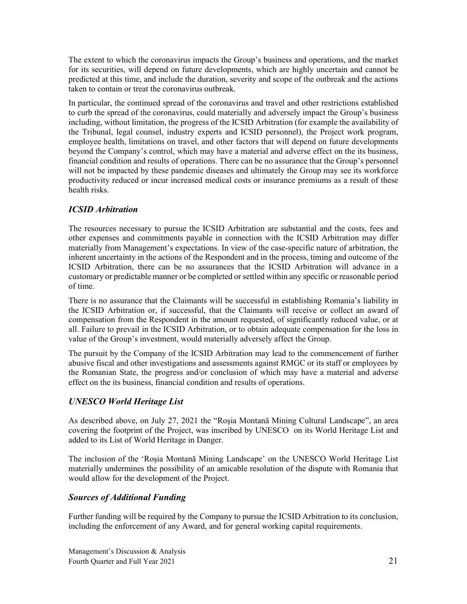The extent to which the coronavirus impacts the Group's business and operations, and the market for its securities, will depend on future developments, which are highly uncertain and cannot be predicted at this time, and include the duration, severity and scope of the outbreak and the actions taken to contain or treat the coronavirus outbreak.

In particular, the continued spread of the coronavirus and travel and other restrictions established to curb the spread of the coronavirus, could materially and adversely impact the Group's business including, without limitation, the progress of the ICSID Arbitration (for example the availability of the Tribunal, legal counsel, industry experts and ICSID personnel), the Project work program, employee health, limitations on travel, and other factors that will depend on future developments beyond the Company's control, which may have a material and adverse effect on the its business, financial condition and results of operations. There can be no assurance that the Group's personnel will not be impacted by these pandemic diseases and ultimately the Group may see its workforce productivity reduced or incur increased medical costs or insurance premiums as a result of these health risks.

# *ICSID Arbitration*

The resources necessary to pursue the ICSID Arbitration are substantial and the costs, fees and other expenses and commitments payable in connection with the ICSID Arbitration may differ materially from Management's expectations. In view of the case-specific nature of arbitration, the inherent uncertainty in the actions of the Respondent and in the process, timing and outcome of the ICSID Arbitration, there can be no assurances that the ICSID Arbitration will advance in a customary or predictable manner or be completed or settled within any specific or reasonable period of time.

There is no assurance that the Claimants will be successful in establishing Romania's liability in the ICSID Arbitration or, if successful, that the Claimants will receive or collect an award of compensation from the Respondent in the amount requested, of significantly reduced value, or at all. Failure to prevail in the ICSID Arbitration, or to obtain adequate compensation for the loss in value of the Group's investment, would materially adversely affect the Group.

The pursuit by the Company of the ICSID Arbitration may lead to the commencement of further abusive fiscal and other investigations and assessments against RMGC or its staff or employees by the Romanian State, the progress and/or conclusion of which may have a material and adverse effect on the its business, financial condition and results of operations.

# *UNESCO World Heritage List*

As described above, on July 27, 2021 the "Roşia Montană Mining Cultural Landscape", an area covering the footprint of the Project, was inscribed by UNESCO on its World Heritage List and added to its List of World Heritage in Danger.

The inclusion of the 'Roşia Montană Mining Landscape' on the UNESCO World Heritage List materially undermines the possibility of an amicable resolution of the dispute with Romania that would allow for the development of the Project.

# *Sources of Additional Funding*

Further funding will be required by the Company to pursue the ICSID Arbitration to its conclusion, including the enforcement of any Award, and for general working capital requirements.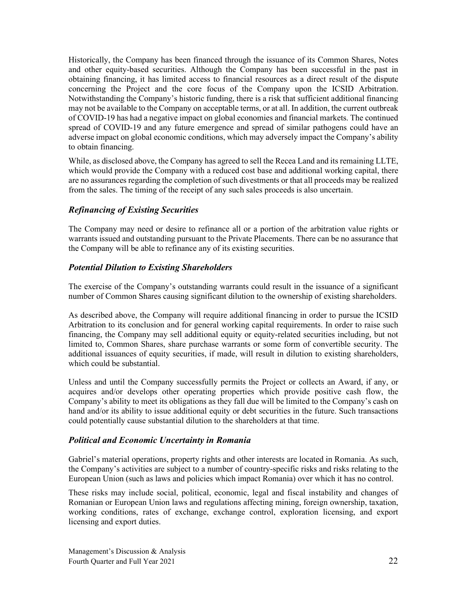Historically, the Company has been financed through the issuance of its Common Shares, Notes and other equity-based securities. Although the Company has been successful in the past in obtaining financing, it has limited access to financial resources as a direct result of the dispute concerning the Project and the core focus of the Company upon the ICSID Arbitration. Notwithstanding the Company's historic funding, there is a risk that sufficient additional financing may not be available to the Company on acceptable terms, or at all. In addition, the current outbreak of COVID-19 has had a negative impact on global economies and financial markets. The continued spread of COVID-19 and any future emergence and spread of similar pathogens could have an adverse impact on global economic conditions, which may adversely impact the Company's ability to obtain financing.

While, as disclosed above, the Company has agreed to sell the Recea Land and its remaining LLTE, which would provide the Company with a reduced cost base and additional working capital, there are no assurances regarding the completion of such divestments or that all proceeds may be realized from the sales. The timing of the receipt of any such sales proceeds is also uncertain.

# *Refinancing of Existing Securities*

The Company may need or desire to refinance all or a portion of the arbitration value rights or warrants issued and outstanding pursuant to the Private Placements. There can be no assurance that the Company will be able to refinance any of its existing securities.

## *Potential Dilution to Existing Shareholders*

The exercise of the Company's outstanding warrants could result in the issuance of a significant number of Common Shares causing significant dilution to the ownership of existing shareholders.

As described above, the Company will require additional financing in order to pursue the ICSID Arbitration to its conclusion and for general working capital requirements. In order to raise such financing, the Company may sell additional equity or equity-related securities including, but not limited to, Common Shares, share purchase warrants or some form of convertible security. The additional issuances of equity securities, if made, will result in dilution to existing shareholders, which could be substantial.

Unless and until the Company successfully permits the Project or collects an Award, if any, or acquires and/or develops other operating properties which provide positive cash flow, the Company's ability to meet its obligations as they fall due will be limited to the Company's cash on hand and/or its ability to issue additional equity or debt securities in the future. Such transactions could potentially cause substantial dilution to the shareholders at that time.

# *Political and Economic Uncertainty in Romania*

Gabriel's material operations, property rights and other interests are located in Romania. As such, the Company's activities are subject to a number of country-specific risks and risks relating to the European Union (such as laws and policies which impact Romania) over which it has no control.

These risks may include social, political, economic, legal and fiscal instability and changes of Romanian or European Union laws and regulations affecting mining, foreign ownership, taxation, working conditions, rates of exchange, exchange control, exploration licensing, and export licensing and export duties.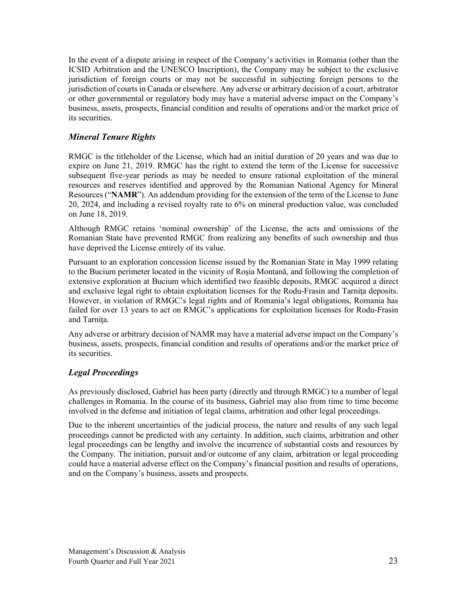In the event of a dispute arising in respect of the Company's activities in Romania (other than the ICSID Arbitration and the UNESCO Inscription), the Company may be subject to the exclusive jurisdiction of foreign courts or may not be successful in subjecting foreign persons to the jurisdiction of courts in Canada or elsewhere. Any adverse or arbitrary decision of a court, arbitrator or other governmental or regulatory body may have a material adverse impact on the Company's business, assets, prospects, financial condition and results of operations and/or the market price of its securities.

## *Mineral Tenure Rights*

RMGC is the titleholder of the License, which had an initial duration of 20 years and was due to expire on June 21, 2019. RMGC has the right to extend the term of the License for successive subsequent five-year periods as may be needed to ensure rational exploitation of the mineral resources and reserves identified and approved by the Romanian National Agency for Mineral Resources ("**NAMR**"). An addendum providing for the extension of the term of the License to June 20, 2024, and including a revised royalty rate to 6% on mineral production value, was concluded on June 18, 2019.

Although RMGC retains 'nominal ownership' of the License, the acts and omissions of the Romanian State have prevented RMGC from realizing any benefits of such ownership and thus have deprived the License entirely of its value.

Pursuant to an exploration concession license issued by the Romanian State in May 1999 relating to the Bucium perimeter located in the vicinity of Roşia Montană, and following the completion of extensive exploration at Bucium which identified two feasible deposits, RMGC acquired a direct and exclusive legal right to obtain exploitation licenses for the Rodu-Frasin and Tarnita deposits. However, in violation of RMGC's legal rights and of Romania's legal obligations, Romania has failed for over 13 years to act on RMGC's applications for exploitation licenses for Rodu-Frasin and Tarnita.

Any adverse or arbitrary decision of NAMR may have a material adverse impact on the Company's business, assets, prospects, financial condition and results of operations and/or the market price of its securities.

# *Legal Proceedings*

As previously disclosed, Gabriel has been party (directly and through RMGC) to a number of legal challenges in Romania. In the course of its business, Gabriel may also from time to time become involved in the defense and initiation of legal claims, arbitration and other legal proceedings.

Due to the inherent uncertainties of the judicial process, the nature and results of any such legal proceedings cannot be predicted with any certainty. In addition, such claims, arbitration and other legal proceedings can be lengthy and involve the incurrence of substantial costs and resources by the Company. The initiation, pursuit and/or outcome of any claim, arbitration or legal proceeding could have a material adverse effect on the Company's financial position and results of operations, and on the Company's business, assets and prospects.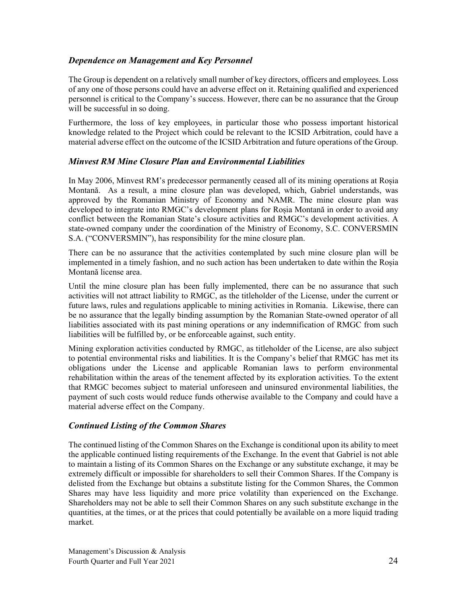## *Dependence on Management and Key Personnel*

The Group is dependent on a relatively small number of key directors, officers and employees. Loss of any one of those persons could have an adverse effect on it. Retaining qualified and experienced personnel is critical to the Company's success. However, there can be no assurance that the Group will be successful in so doing.

Furthermore, the loss of key employees, in particular those who possess important historical knowledge related to the Project which could be relevant to the ICSID Arbitration, could have a material adverse effect on the outcome of the ICSID Arbitration and future operations of the Group.

## *Minvest RM Mine Closure Plan and Environmental Liabilities*

In May 2006, Minvest RM's predecessor permanently ceased all of its mining operations at Roșia Montană. As a result, a mine closure plan was developed, which, Gabriel understands, was approved by the Romanian Ministry of Economy and NAMR. The mine closure plan was developed to integrate into RMGC's development plans for Roșia Montană in order to avoid any conflict between the Romanian State's closure activities and RMGC's development activities. A state-owned company under the coordination of the Ministry of Economy, S.C. CONVERSMIN S.A. ("CONVERSMIN"), has responsibility for the mine closure plan.

There can be no assurance that the activities contemplated by such mine closure plan will be implemented in a timely fashion, and no such action has been undertaken to date within the Roșia Montană license area.

Until the mine closure plan has been fully implemented, there can be no assurance that such activities will not attract liability to RMGC, as the titleholder of the License, under the current or future laws, rules and regulations applicable to mining activities in Romania. Likewise, there can be no assurance that the legally binding assumption by the Romanian State-owned operator of all liabilities associated with its past mining operations or any indemnification of RMGC from such liabilities will be fulfilled by, or be enforceable against, such entity.

Mining exploration activities conducted by RMGC, as titleholder of the License, are also subject to potential environmental risks and liabilities. It is the Company's belief that RMGC has met its obligations under the License and applicable Romanian laws to perform environmental rehabilitation within the areas of the tenement affected by its exploration activities. To the extent that RMGC becomes subject to material unforeseen and uninsured environmental liabilities, the payment of such costs would reduce funds otherwise available to the Company and could have a material adverse effect on the Company.

# *Continued Listing of the Common Shares*

The continued listing of the Common Shares on the Exchange is conditional upon its ability to meet the applicable continued listing requirements of the Exchange. In the event that Gabriel is not able to maintain a listing of its Common Shares on the Exchange or any substitute exchange, it may be extremely difficult or impossible for shareholders to sell their Common Shares. If the Company is delisted from the Exchange but obtains a substitute listing for the Common Shares, the Common Shares may have less liquidity and more price volatility than experienced on the Exchange. Shareholders may not be able to sell their Common Shares on any such substitute exchange in the quantities, at the times, or at the prices that could potentially be available on a more liquid trading market.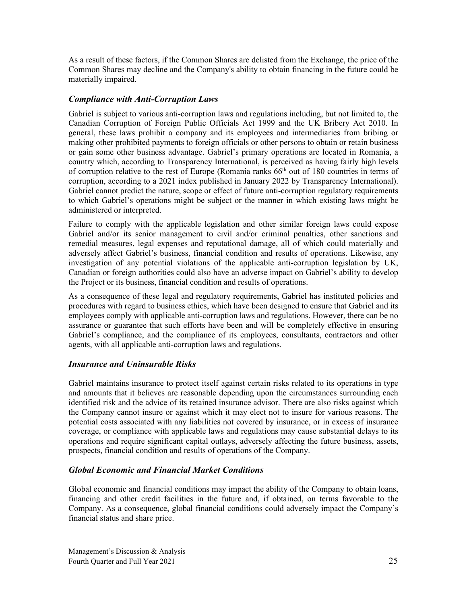As a result of these factors, if the Common Shares are delisted from the Exchange, the price of the Common Shares may decline and the Company's ability to obtain financing in the future could be materially impaired.

## *Compliance with Anti-Corruption Laws*

Gabriel is subject to various anti-corruption laws and regulations including, but not limited to, the Canadian Corruption of Foreign Public Officials Act 1999 and the UK Bribery Act 2010. In general, these laws prohibit a company and its employees and intermediaries from bribing or making other prohibited payments to foreign officials or other persons to obtain or retain business or gain some other business advantage. Gabriel's primary operations are located in Romania, a country which, according to Transparency International, is perceived as having fairly high levels of corruption relative to the rest of Europe (Romania ranks 66<sup>th</sup> out of 180 countries in terms of corruption, according to a 2021 index published in January 2022 by Transparency International). Gabriel cannot predict the nature, scope or effect of future anti-corruption regulatory requirements to which Gabriel's operations might be subject or the manner in which existing laws might be administered or interpreted.

Failure to comply with the applicable legislation and other similar foreign laws could expose Gabriel and/or its senior management to civil and/or criminal penalties, other sanctions and remedial measures, legal expenses and reputational damage, all of which could materially and adversely affect Gabriel's business, financial condition and results of operations. Likewise, any investigation of any potential violations of the applicable anti-corruption legislation by UK, Canadian or foreign authorities could also have an adverse impact on Gabriel's ability to develop the Project or its business, financial condition and results of operations.

As a consequence of these legal and regulatory requirements, Gabriel has instituted policies and procedures with regard to business ethics, which have been designed to ensure that Gabriel and its employees comply with applicable anti-corruption laws and regulations. However, there can be no assurance or guarantee that such efforts have been and will be completely effective in ensuring Gabriel's compliance, and the compliance of its employees, consultants, contractors and other agents, with all applicable anti-corruption laws and regulations.

## *Insurance and Uninsurable Risks*

Gabriel maintains insurance to protect itself against certain risks related to its operations in type and amounts that it believes are reasonable depending upon the circumstances surrounding each identified risk and the advice of its retained insurance advisor. There are also risks against which the Company cannot insure or against which it may elect not to insure for various reasons. The potential costs associated with any liabilities not covered by insurance, or in excess of insurance coverage, or compliance with applicable laws and regulations may cause substantial delays to its operations and require significant capital outlays, adversely affecting the future business, assets, prospects, financial condition and results of operations of the Company.

# *Global Economic and Financial Market Conditions*

Global economic and financial conditions may impact the ability of the Company to obtain loans, financing and other credit facilities in the future and, if obtained, on terms favorable to the Company. As a consequence, global financial conditions could adversely impact the Company's financial status and share price.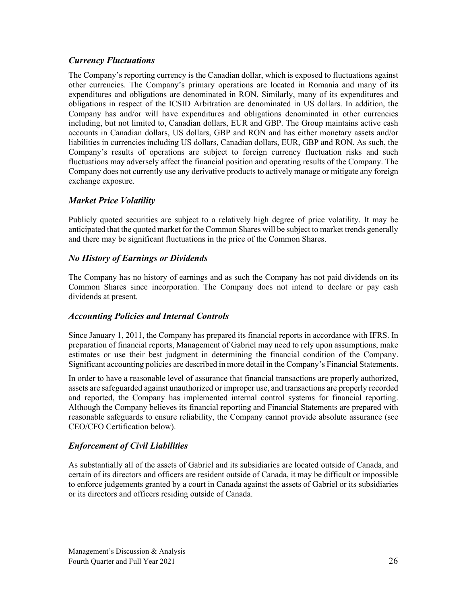## *Currency Fluctuations*

The Company's reporting currency is the Canadian dollar, which is exposed to fluctuations against other currencies. The Company's primary operations are located in Romania and many of its expenditures and obligations are denominated in RON. Similarly, many of its expenditures and obligations in respect of the ICSID Arbitration are denominated in US dollars. In addition, the Company has and/or will have expenditures and obligations denominated in other currencies including, but not limited to, Canadian dollars, EUR and GBP. The Group maintains active cash accounts in Canadian dollars, US dollars, GBP and RON and has either monetary assets and/or liabilities in currencies including US dollars, Canadian dollars, EUR, GBP and RON. As such, the Company's results of operations are subject to foreign currency fluctuation risks and such fluctuations may adversely affect the financial position and operating results of the Company. The Company does not currently use any derivative products to actively manage or mitigate any foreign exchange exposure.

## *Market Price Volatility*

Publicly quoted securities are subject to a relatively high degree of price volatility. It may be anticipated that the quoted market for the Common Shares will be subject to market trends generally and there may be significant fluctuations in the price of the Common Shares.

## *No History of Earnings or Dividends*

The Company has no history of earnings and as such the Company has not paid dividends on its Common Shares since incorporation. The Company does not intend to declare or pay cash dividends at present.

## *Accounting Policies and Internal Controls*

Since January 1, 2011, the Company has prepared its financial reports in accordance with IFRS. In preparation of financial reports, Management of Gabriel may need to rely upon assumptions, make estimates or use their best judgment in determining the financial condition of the Company. Significant accounting policies are described in more detail in the Company's Financial Statements.

In order to have a reasonable level of assurance that financial transactions are properly authorized, assets are safeguarded against unauthorized or improper use, and transactions are properly recorded and reported, the Company has implemented internal control systems for financial reporting. Although the Company believes its financial reporting and Financial Statements are prepared with reasonable safeguards to ensure reliability, the Company cannot provide absolute assurance (see CEO/CFO Certification below).

# *Enforcement of Civil Liabilities*

As substantially all of the assets of Gabriel and its subsidiaries are located outside of Canada, and certain of its directors and officers are resident outside of Canada, it may be difficult or impossible to enforce judgements granted by a court in Canada against the assets of Gabriel or its subsidiaries or its directors and officers residing outside of Canada.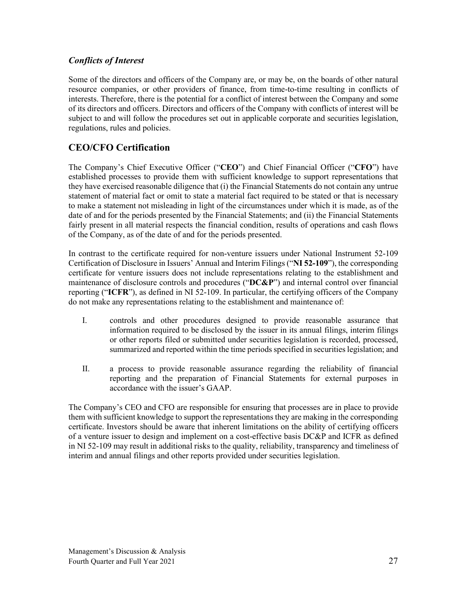# *Conflicts of Interest*

Some of the directors and officers of the Company are, or may be, on the boards of other natural resource companies, or other providers of finance, from time-to-time resulting in conflicts of interests. Therefore, there is the potential for a conflict of interest between the Company and some of its directors and officers. Directors and officers of the Company with conflicts of interest will be subject to and will follow the procedures set out in applicable corporate and securities legislation, regulations, rules and policies.

# **CEO/CFO Certification**

The Company's Chief Executive Officer ("**CEO**") and Chief Financial Officer ("**CFO**") have established processes to provide them with sufficient knowledge to support representations that they have exercised reasonable diligence that (i) the Financial Statements do not contain any untrue statement of material fact or omit to state a material fact required to be stated or that is necessary to make a statement not misleading in light of the circumstances under which it is made, as of the date of and for the periods presented by the Financial Statements; and (ii) the Financial Statements fairly present in all material respects the financial condition, results of operations and cash flows of the Company, as of the date of and for the periods presented.

In contrast to the certificate required for non-venture issuers under National Instrument 52-109 Certification of Disclosure in Issuers' Annual and Interim Filings ("**NI 52-109**"), the corresponding certificate for venture issuers does not include representations relating to the establishment and maintenance of disclosure controls and procedures ("**DC&P**") and internal control over financial reporting ("**ICFR**"), as defined in NI 52-109. In particular, the certifying officers of the Company do not make any representations relating to the establishment and maintenance of:

- I. controls and other procedures designed to provide reasonable assurance that information required to be disclosed by the issuer in its annual filings, interim filings or other reports filed or submitted under securities legislation is recorded, processed, summarized and reported within the time periods specified in securities legislation; and
- II. a process to provide reasonable assurance regarding the reliability of financial reporting and the preparation of Financial Statements for external purposes in accordance with the issuer's GAAP.

The Company's CEO and CFO are responsible for ensuring that processes are in place to provide them with sufficient knowledge to support the representations they are making in the corresponding certificate. Investors should be aware that inherent limitations on the ability of certifying officers of a venture issuer to design and implement on a cost-effective basis DC&P and ICFR as defined in NI 52-109 may result in additional risks to the quality, reliability, transparency and timeliness of interim and annual filings and other reports provided under securities legislation.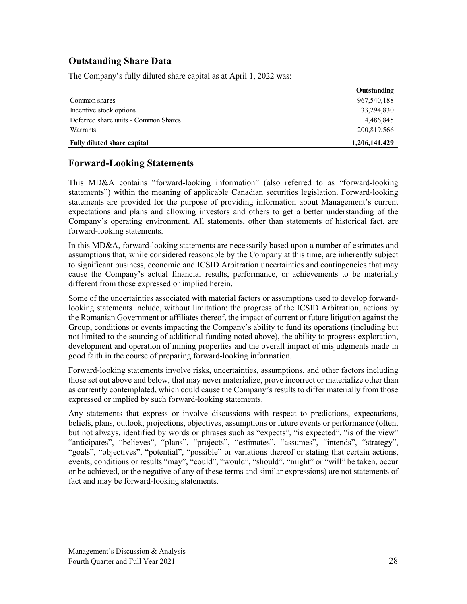# **Outstanding Share Data**

The Company's fully diluted share capital as at April 1, 2022 was:

|                                      | Outstanding   |
|--------------------------------------|---------------|
| Common shares                        | 967,540,188   |
| Incentive stock options              | 33,294,830    |
| Deferred share units - Common Shares | 4,486,845     |
| Warrants                             | 200,819,566   |
| <b>Fully diluted share capital</b>   | 1,206,141,429 |

# **Forward-Looking Statements**

This MD&A contains "forward-looking information" (also referred to as "forward-looking statements") within the meaning of applicable Canadian securities legislation. Forward-looking statements are provided for the purpose of providing information about Management's current expectations and plans and allowing investors and others to get a better understanding of the Company's operating environment. All statements, other than statements of historical fact, are forward-looking statements.

In this MD&A, forward-looking statements are necessarily based upon a number of estimates and assumptions that, while considered reasonable by the Company at this time, are inherently subject to significant business, economic and ICSID Arbitration uncertainties and contingencies that may cause the Company's actual financial results, performance, or achievements to be materially different from those expressed or implied herein.

Some of the uncertainties associated with material factors or assumptions used to develop forwardlooking statements include, without limitation: the progress of the ICSID Arbitration, actions by the Romanian Government or affiliates thereof, the impact of current or future litigation against the Group, conditions or events impacting the Company's ability to fund its operations (including but not limited to the sourcing of additional funding noted above), the ability to progress exploration, development and operation of mining properties and the overall impact of misjudgments made in good faith in the course of preparing forward-looking information.

Forward-looking statements involve risks, uncertainties, assumptions, and other factors including those set out above and below, that may never materialize, prove incorrect or materialize other than as currently contemplated, which could cause the Company's results to differ materially from those expressed or implied by such forward-looking statements.

Any statements that express or involve discussions with respect to predictions, expectations, beliefs, plans, outlook, projections, objectives, assumptions or future events or performance (often, but not always, identified by words or phrases such as "expects", "is expected", "is of the view" "anticipates", "believes", "plans", "projects", "estimates", "assumes", "intends", "strategy", "goals", "objectives", "potential", "possible" or variations thereof or stating that certain actions, events, conditions or results "may", "could", "would", "should", "might" or "will" be taken, occur or be achieved, or the negative of any of these terms and similar expressions) are not statements of fact and may be forward-looking statements.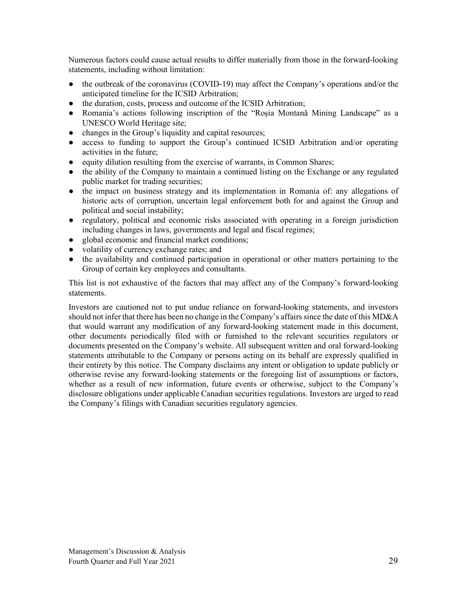Numerous factors could cause actual results to differ materially from those in the forward-looking statements, including without limitation:

- the outbreak of the coronavirus (COVID-19) may affect the Company's operations and/or the anticipated timeline for the ICSID Arbitration;
- the duration, costs, process and outcome of the ICSID Arbitration;
- Romania's actions following inscription of the "Roşia Montană Mining Landscape" as a UNESCO World Heritage site;
- changes in the Group's liquidity and capital resources;
- access to funding to support the Group's continued ICSID Arbitration and/or operating activities in the future;
- equity dilution resulting from the exercise of warrants, in Common Shares;
- the ability of the Company to maintain a continued listing on the Exchange or any regulated public market for trading securities;
- the impact on business strategy and its implementation in Romania of: any allegations of historic acts of corruption, uncertain legal enforcement both for and against the Group and political and social instability;
- regulatory, political and economic risks associated with operating in a foreign jurisdiction including changes in laws, governments and legal and fiscal regimes;
- global economic and financial market conditions;
- volatility of currency exchange rates; and
- the availability and continued participation in operational or other matters pertaining to the Group of certain key employees and consultants.

This list is not exhaustive of the factors that may affect any of the Company's forward-looking statements.

Investors are cautioned not to put undue reliance on forward-looking statements, and investors should not infer that there has been no change in the Company's affairs since the date of this MD&A that would warrant any modification of any forward-looking statement made in this document, other documents periodically filed with or furnished to the relevant securities regulators or documents presented on the Company's website. All subsequent written and oral forward-looking statements attributable to the Company or persons acting on its behalf are expressly qualified in their entirety by this notice. The Company disclaims any intent or obligation to update publicly or otherwise revise any forward-looking statements or the foregoing list of assumptions or factors, whether as a result of new information, future events or otherwise, subject to the Company's disclosure obligations under applicable Canadian securities regulations. Investors are urged to read the Company's filings with Canadian securities regulatory agencies.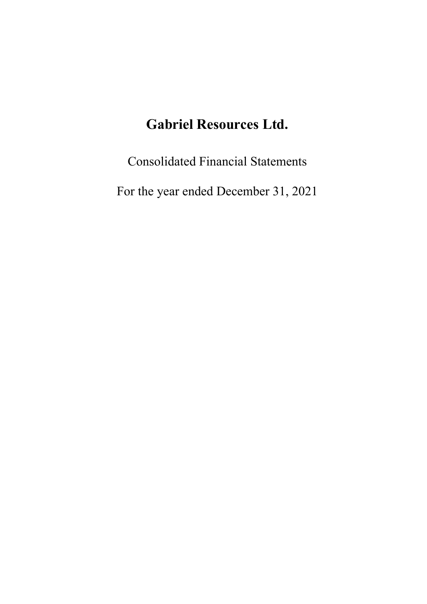# **Gabriel Resources Ltd.**

Consolidated Financial Statements

For the year ended December 31, 2021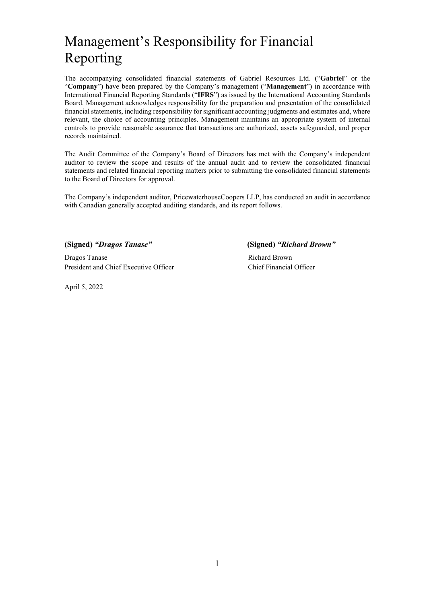# Management's Responsibility for Financial Reporting

The accompanying consolidated financial statements of Gabriel Resources Ltd. ("**Gabriel**" or the "**Company**") have been prepared by the Company's management ("**Management**") in accordance with International Financial Reporting Standards ("**IFRS**") as issued by the International Accounting Standards Board. Management acknowledges responsibility for the preparation and presentation of the consolidated financial statements, including responsibility for significant accounting judgments and estimates and, where relevant, the choice of accounting principles. Management maintains an appropriate system of internal controls to provide reasonable assurance that transactions are authorized, assets safeguarded, and proper records maintained.

The Audit Committee of the Company's Board of Directors has met with the Company's independent auditor to review the scope and results of the annual audit and to review the consolidated financial statements and related financial reporting matters prior to submitting the consolidated financial statements to the Board of Directors for approval.

The Company's independent auditor, PricewaterhouseCoopers LLP, has conducted an audit in accordance with Canadian generally accepted auditing standards, and its report follows.

**(Signed)** *"Dragos Tanase"* **(Signed)** *"Richard Brown"*

Dragos Tanase Richard Brown President and Chief Executive Officer Chief Financial Officer

April 5, 2022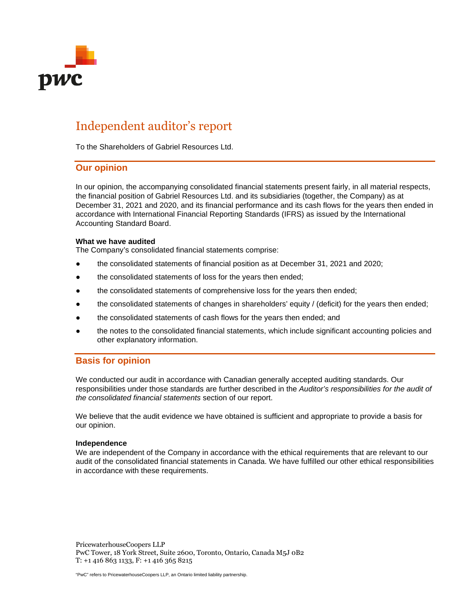

# Independent auditor's report

To the Shareholders of Gabriel Resources Ltd.

### **Our opinion**

In our opinion, the accompanying consolidated financial statements present fairly, in all material respects, the financial position of Gabriel Resources Ltd. and its subsidiaries (together, the Company) as at December 31, 2021 and 2020, and its financial performance and its cash flows for the years then ended in accordance with International Financial Reporting Standards (IFRS) as issued by the International Accounting Standard Board.

#### **What we have audited**

The Company's consolidated financial statements comprise:

- the consolidated statements of financial position as at December 31, 2021 and 2020;
- the consolidated statements of loss for the years then ended;
- the consolidated statements of comprehensive loss for the years then ended;
- the consolidated statements of changes in shareholders' equity / (deficit) for the years then ended;
- the consolidated statements of cash flows for the years then ended; and
- the notes to the consolidated financial statements, which include significant accounting policies and other explanatory information.

## **Basis for opinion**

We conducted our audit in accordance with Canadian generally accepted auditing standards. Our responsibilities under those standards are further described in the *Auditor's responsibilities for the audit of the consolidated financial statements* section of our report.

We believe that the audit evidence we have obtained is sufficient and appropriate to provide a basis for our opinion.

#### **Independence**

We are independent of the Company in accordance with the ethical requirements that are relevant to our audit of the consolidated financial statements in Canada. We have fulfilled our other ethical responsibilities in accordance with these requirements.

PricewaterhouseCoopers LLP PwC Tower, 18 York Street, Suite 2600, Toronto, Ontario, Canada M5J 0B2 T: +1 416 863 1133, F: +1 416 365 8215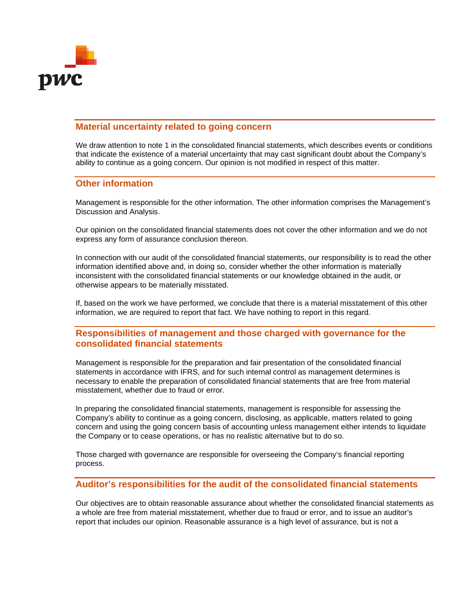

### **Material uncertainty related to going concern**

We draw attention to note 1 in the consolidated financial statements, which describes events or conditions that indicate the existence of a material uncertainty that may cast significant doubt about the Company's ability to continue as a going concern. Our opinion is not modified in respect of this matter.

### **Other information**

Management is responsible for the other information. The other information comprises the Management's Discussion and Analysis.

Our opinion on the consolidated financial statements does not cover the other information and we do not express any form of assurance conclusion thereon.

In connection with our audit of the consolidated financial statements, our responsibility is to read the other information identified above and, in doing so, consider whether the other information is materially inconsistent with the consolidated financial statements or our knowledge obtained in the audit, or otherwise appears to be materially misstated.

If, based on the work we have performed, we conclude that there is a material misstatement of this other information, we are required to report that fact. We have nothing to report in this regard.

## **Responsibilities of management and those charged with governance for the consolidated financial statements**

Management is responsible for the preparation and fair presentation of the consolidated financial statements in accordance with IFRS, and for such internal control as management determines is necessary to enable the preparation of consolidated financial statements that are free from material misstatement, whether due to fraud or error.

In preparing the consolidated financial statements, management is responsible for assessing the Company's ability to continue as a going concern, disclosing, as applicable, matters related to going concern and using the going concern basis of accounting unless management either intends to liquidate the Company or to cease operations, or has no realistic alternative but to do so.

Those charged with governance are responsible for overseeing the Company's financial reporting process.

## **Auditor's responsibilities for the audit of the consolidated financial statements**

Our objectives are to obtain reasonable assurance about whether the consolidated financial statements as a whole are free from material misstatement, whether due to fraud or error, and to issue an auditor's report that includes our opinion. Reasonable assurance is a high level of assurance, but is not a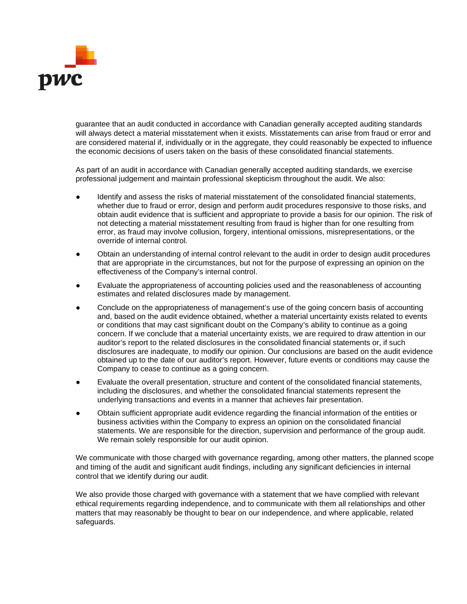

guarantee that an audit conducted in accordance with Canadian generally accepted auditing standards will always detect a material misstatement when it exists. Misstatements can arise from fraud or error and are considered material if, individually or in the aggregate, they could reasonably be expected to influence the economic decisions of users taken on the basis of these consolidated financial statements.

As part of an audit in accordance with Canadian generally accepted auditing standards, we exercise professional judgement and maintain professional skepticism throughout the audit. We also:

- Identify and assess the risks of material misstatement of the consolidated financial statements, whether due to fraud or error, design and perform audit procedures responsive to those risks, and obtain audit evidence that is sufficient and appropriate to provide a basis for our opinion. The risk of not detecting a material misstatement resulting from fraud is higher than for one resulting from error, as fraud may involve collusion, forgery, intentional omissions, misrepresentations, or the override of internal control.
- Obtain an understanding of internal control relevant to the audit in order to design audit procedures that are appropriate in the circumstances, but not for the purpose of expressing an opinion on the effectiveness of the Company's internal control.
- Evaluate the appropriateness of accounting policies used and the reasonableness of accounting estimates and related disclosures made by management.
- Conclude on the appropriateness of management's use of the going concern basis of accounting and, based on the audit evidence obtained, whether a material uncertainty exists related to events or conditions that may cast significant doubt on the Company's ability to continue as a going concern. If we conclude that a material uncertainty exists, we are required to draw attention in our auditor's report to the related disclosures in the consolidated financial statements or, if such disclosures are inadequate, to modify our opinion. Our conclusions are based on the audit evidence obtained up to the date of our auditor's report. However, future events or conditions may cause the Company to cease to continue as a going concern.
- Evaluate the overall presentation, structure and content of the consolidated financial statements, including the disclosures, and whether the consolidated financial statements represent the underlying transactions and events in a manner that achieves fair presentation.
- Obtain sufficient appropriate audit evidence regarding the financial information of the entities or business activities within the Company to express an opinion on the consolidated financial statements. We are responsible for the direction, supervision and performance of the group audit. We remain solely responsible for our audit opinion.

We communicate with those charged with governance regarding, among other matters, the planned scope and timing of the audit and significant audit findings, including any significant deficiencies in internal control that we identify during our audit.

We also provide those charged with governance with a statement that we have complied with relevant ethical requirements regarding independence, and to communicate with them all relationships and other matters that may reasonably be thought to bear on our independence, and where applicable, related safeguards.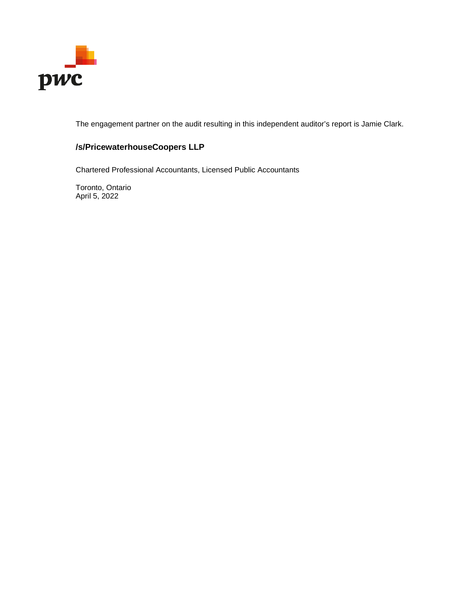

The engagement partner on the audit resulting in this independent auditor's report is Jamie Clark.

## **/s/PricewaterhouseCoopers LLP**

Chartered Professional Accountants, Licensed Public Accountants

Toronto, Ontario April 5, 2022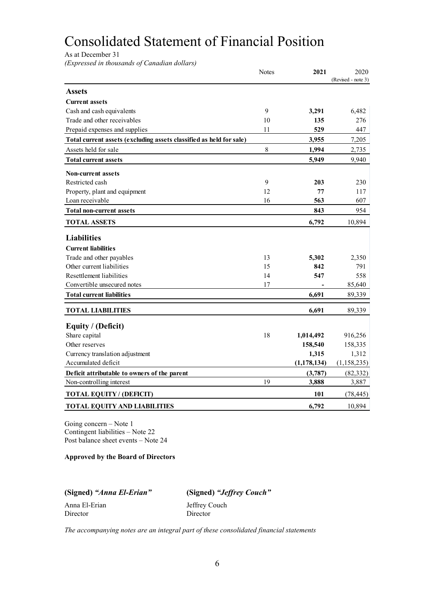# Consolidated Statement of Financial Position

As at December 31

*(Expressed in thousands of Canadian dollars)* 

|                                                                     | <b>Notes</b> | 2021          | 2020               |
|---------------------------------------------------------------------|--------------|---------------|--------------------|
|                                                                     |              |               | (Revised - note 3) |
| <b>Assets</b>                                                       |              |               |                    |
| <b>Current assets</b>                                               |              |               |                    |
| Cash and cash equivalents                                           | 9            | 3,291         | 6,482              |
| Trade and other receivables                                         | 10           | 135           | 276                |
| Prepaid expenses and supplies                                       | 11           | 529           | 447                |
| Total current assets (excluding assets classified as held for sale) |              | 3,955         | 7,205              |
| Assets held for sale                                                | 8            | 1,994         | 2,735              |
| <b>Total current assets</b>                                         |              | 5,949         | 9,940              |
| <b>Non-current assets</b>                                           |              |               |                    |
| Restricted cash                                                     | 9            | 203           | 230                |
| Property, plant and equipment                                       | 12           | 77            | 117                |
| Loan receivable                                                     | 16           | 563           | 607                |
| <b>Total non-current assets</b>                                     |              | 843           | 954                |
| <b>TOTAL ASSETS</b>                                                 |              | 6,792         | 10,894             |
| <b>Liabilities</b>                                                  |              |               |                    |
| <b>Current liabilities</b>                                          |              |               |                    |
| Trade and other payables                                            | 13           | 5,302         | 2,350              |
| Other current liabilities                                           | 15           | 842           | 791                |
| Resettlement liabilities                                            | 14           | 547           | 558                |
| Convertible unsecured notes                                         | 17           |               | 85,640             |
| <b>Total current liabilities</b>                                    |              | 6,691         | 89,339             |
|                                                                     |              |               |                    |
| <b>TOTAL LIABILITIES</b>                                            |              | 6,691         | 89,339             |
| Equity / (Deficit)                                                  |              |               |                    |
| Share capital                                                       | 18           | 1,014,492     | 916,256            |
| Other reserves                                                      |              | 158,540       | 158,335            |
| Currency translation adjustment                                     |              | 1,315         | 1,312              |
| Accumulated deficit                                                 |              | (1, 178, 134) | (1, 158, 235)      |
| Deficit attributable to owners of the parent                        |              | (3,787)       | (82, 332)          |
| Non-controlling interest                                            | 19           | 3,888         | 3,887              |
| <b>TOTAL EQUITY / (DEFICIT)</b>                                     |              | 101           | (78, 445)          |
| <b>TOTAL EQUITY AND LIABILITIES</b>                                 |              | 6,792         | 10,894             |

Going concern – Note 1 Contingent liabilities – Note 22 Post balance sheet events – Note 24

**Approved by the Board of Directors**

Anna El-Erian Jeffrey Couch<br>Director Director Director Director

**(Signed)** *"Anna El-Erian"* **(Signed)** *"Jeffrey Couch"*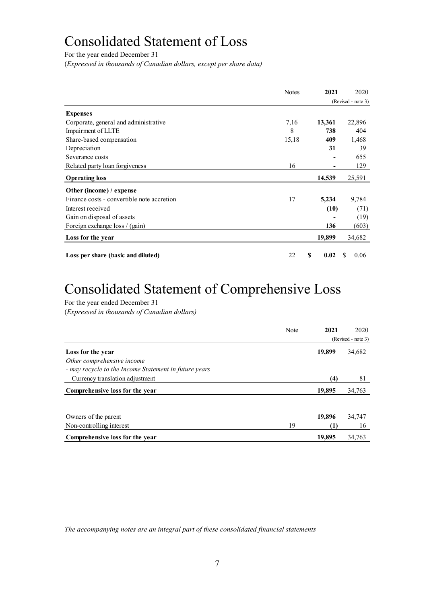# Consolidated Statement of Loss

For the year ended December 31

(*Expressed in thousands of Canadian dollars, except per share data)*

|                                            | <b>Notes</b> | 2021      | 2020               |
|--------------------------------------------|--------------|-----------|--------------------|
|                                            |              |           | (Revised - note 3) |
| <b>Expenses</b>                            |              |           |                    |
| Corporate, general and administrative      | 7,16         | 13,361    | 22,896             |
| Impairment of LLTE                         | 8            | 738       | 404                |
| Share-based compensation                   | 15,18        | 409       | 1,468              |
| Depreciation                               |              | 31        | 39                 |
| Severance costs                            |              |           | 655                |
| Related party loan forgiveness             | 16           |           | 129                |
| <b>Operating loss</b>                      |              | 14,539    | 25,591             |
| Other (income) / expense                   |              |           |                    |
| Finance costs - convertible note accretion | 17           | 5,234     | 9,784              |
| Interest received                          |              | (10)      | (71)               |
| Gain on disposal of assets                 |              |           | (19)               |
| Foreign exchange loss / (gain)             |              | 136       | (603)              |
| Loss for the year                          |              | 19,899    | 34,682             |
| Loss per share (basic and diluted)         | 22           | S<br>0.02 | 0.06<br>S          |

# Consolidated Statement of Comprehensive Loss

For the year ended December 31

(*Expressed in thousands of Canadian dollars)*

|                                                       | Note | 2021             | 2020               |
|-------------------------------------------------------|------|------------------|--------------------|
|                                                       |      |                  | (Revised - note 3) |
| Loss for the year                                     |      | 19,899           | 34,682             |
| Other comprehensive income                            |      |                  |                    |
| - may recycle to the Income Statement in future years |      |                  |                    |
| Currency translation adjustment                       |      | (4)              | 81                 |
| Comprehensive loss for the year                       |      | 19,895           | 34,763             |
|                                                       |      |                  |                    |
| Owners of the parent                                  |      | 19,896           | 34,747             |
| Non-controlling interest                              | 19   | $\left(1\right)$ | 16                 |
| Comprehensive loss for the year                       |      | 19,895           | 34,763             |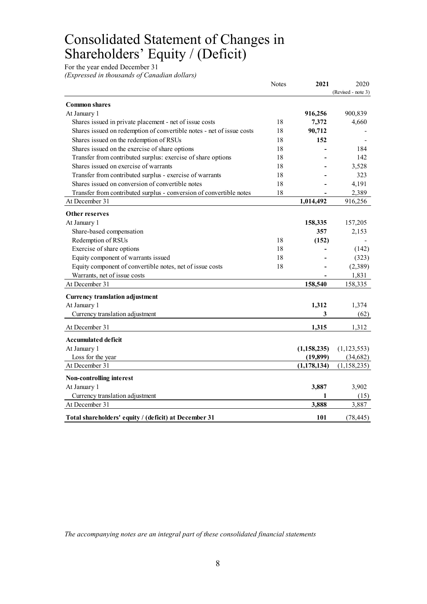# Consolidated Statement of Changes in Shareholders' Equity / (Deficit)

For the year ended December 31

*(Expressed in thousands of Canadian dollars)*

|                                                                       | <b>Notes</b> | 2021          | 2020               |
|-----------------------------------------------------------------------|--------------|---------------|--------------------|
|                                                                       |              |               | (Revised - note 3) |
| <b>Common shares</b>                                                  |              |               |                    |
| At January 1                                                          |              | 916,256       | 900,839            |
| Shares issued in private placement - net of issue costs               | 18           | 7,372         | 4,660              |
| Shares issued on redemption of convertible notes - net of issue costs | 18           | 90,712        |                    |
| Shares issued on the redemption of RSUs                               | 18           | 152           |                    |
| Shares issued on the exercise of share options                        | 18           |               | 184                |
| Transfer from contributed surplus: exercise of share options          | 18           |               | 142                |
| Shares issued on exercise of warrants                                 | 18           |               | 3,528              |
| Transfer from contributed surplus - exercise of warrants              | 18           |               | 323                |
| Shares issued on conversion of convertible notes                      | 18           |               | 4,191              |
| Transfer from contributed surplus - conversion of convertible notes   | 18           |               | 2,389              |
| At December 31                                                        |              | 1,014,492     | 916,256            |
| <b>Other reserves</b>                                                 |              |               |                    |
| At January 1                                                          |              | 158,335       | 157,205            |
| Share-based compensation                                              |              | 357           | 2,153              |
| Redemption of RSUs                                                    | 18           | (152)         |                    |
| Exercise of share options                                             | 18           |               | (142)              |
| Equity component of warrants issued                                   | 18           |               | (323)              |
| Equity component of convertible notes, net of issue costs             | 18           |               | (2,389)            |
| Warrants, net of issue costs                                          |              |               | 1,831              |
| At December 31                                                        |              | 158,540       | 158,335            |
| <b>Currency translation adjustment</b>                                |              |               |                    |
| At January 1                                                          |              | 1,312         | 1,374              |
| Currency translation adjustment                                       |              | 3             | (62)               |
|                                                                       |              |               |                    |
| At December 31                                                        |              | 1,315         | 1,312              |
| <b>Accumulated deficit</b>                                            |              |               |                    |
| At January 1                                                          |              | (1, 158, 235) | (1, 123, 553)      |
| Loss for the year                                                     |              | (19, 899)     | (34, 682)          |
| At December 31                                                        |              | (1, 178, 134) | (1, 158, 235)      |
| <b>Non-controlling interest</b>                                       |              |               |                    |
| At January 1                                                          |              | 3,887         | 3,902              |
| Currency translation adjustment                                       |              | 1             | (15)               |
| At December 31                                                        |              | 3,888         | 3,887              |
| Total shareholders' equity / (deficit) at December 31                 |              | 101           | (78, 445)          |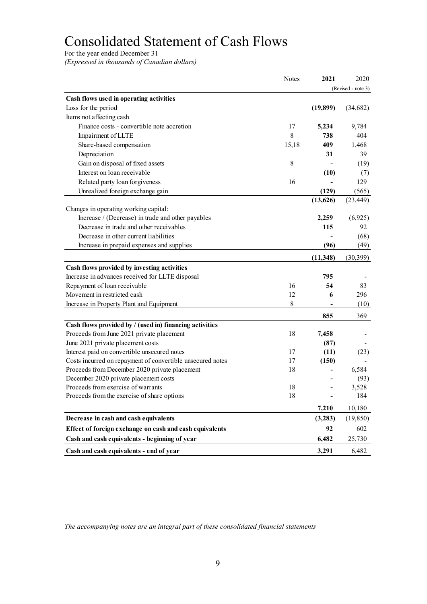# Consolidated Statement of Cash Flows

For the year ended December 31

*(Expressed in thousands of Canadian dollars)*

|                                                            | <b>Notes</b> | 2021      | 2020               |
|------------------------------------------------------------|--------------|-----------|--------------------|
|                                                            |              |           | (Revised - note 3) |
| Cash flows used in operating activities                    |              |           |                    |
| Loss for the period                                        |              | (19, 899) | (34,682)           |
| Items not affecting cash                                   |              |           |                    |
| Finance costs - convertible note accretion                 | 17           | 5,234     | 9,784              |
| Impairment of LLTE                                         | 8            | 738       | 404                |
| Share-based compensation                                   | 15,18        | 409       | 1,468              |
| Depreciation                                               |              | 31        | 39                 |
| Gain on disposal of fixed assets                           | 8            |           | (19)               |
| Interest on loan receivable                                |              | (10)      | (7)                |
| Related party loan forgiveness                             | 16           |           | 129                |
| Unrealized foreign exchange gain                           |              | (129)     | (565)              |
|                                                            |              | (13, 626) | (23, 449)          |
| Changes in operating working capital:                      |              |           |                    |
| Increase / (Decrease) in trade and other payables          |              | 2,259     | (6,925)            |
| Decrease in trade and other receivables                    |              | 115       | 92                 |
| Decrease in other current liabilities                      |              |           | (68)               |
| Increase in prepaid expenses and supplies                  |              | (96)      | (49)               |
|                                                            |              | (11, 348) | (30, 399)          |
| Cash flows provided by investing activities                |              |           |                    |
| Increase in advances received for LLTE disposal            |              | 795       |                    |
| Repayment of loan receivable                               | 16           | 54        | 83                 |
| Movement in restricted cash                                | 12           | 6         | 296                |
| Increase in Property Plant and Equipment                   | $8\,$        |           | (10)               |
|                                                            |              | 855       | 369                |
| Cash flows provided by / (used in) financing activities    |              |           |                    |
| Proceeds from June 2021 private placement                  | 18           | 7,458     |                    |
| June 2021 private placement costs                          |              | (87)      |                    |
| Interest paid on convertible unsecured notes               | 17           | (11)      | (23)               |
| Costs incurred on repayment of convertible unsecured notes | 17           | (150)     |                    |
| Proceeds from December 2020 private placement              | 18           |           | 6,584              |
| December 2020 private placement costs                      |              |           | (93)               |
| Proceeds from exercise of warrants                         | 18           |           | 3,528              |
| Proceeds from the exercise of share options                | 18           | -         | 184                |
|                                                            |              | 7,210     | 10,180             |
| Decrease in cash and cash equivalents                      |              | (3,283)   | (19, 850)          |
| Effect of foreign exchange on cash and cash equivalents    |              | 92        | 602                |
| Cash and cash equivalents - beginning of year              |              | 6,482     | 25,730             |
| Cash and cash equivalents - end of year                    |              | 3,291     | 6,482              |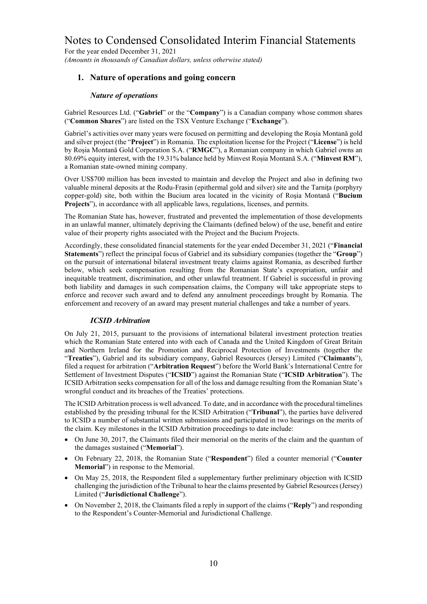For the year ended December 31, 2021 *(Amounts in thousands of Canadian dollars, unless otherwise stated)*

## **1. Nature of operations and going concern**

### *Nature of operations*

Gabriel Resources Ltd. ("**Gabriel**" or the "**Company**") is a Canadian company whose common shares ("**Common Shares**") are listed on the TSX Venture Exchange ("**Exchange**").

Gabriel's activities over many years were focused on permitting and developing the Roșia Montană gold and silver project (the "**Project**") in Romania. The exploitation license for the Project ("**License**") is held by Roșia Montană Gold Corporation S.A. ("**RMGC**"), a Romanian company in which Gabriel owns an 80.69% equity interest, with the 19.31% balance held by Minvest Roșia Montană S.A. ("**Minvest RM**"), a Romanian state-owned mining company.

Over US\$700 million has been invested to maintain and develop the Project and also in defining two valuable mineral deposits at the Rodu-Frasin (epithermal gold and silver) site and the Tarnita (porphyry copper-gold) site, both within the Bucium area located in the vicinity of Roşia Montană ("**Bucium Projects**"), in accordance with all applicable laws, regulations, licenses, and permits.

The Romanian State has, however, frustrated and prevented the implementation of those developments in an unlawful manner, ultimately depriving the Claimants (defined below) of the use, benefit and entire value of their property rights associated with the Project and the Bucium Projects.

Accordingly, these consolidated financial statements for the year ended December 31, 2021 ("**Financial Statements**") reflect the principal focus of Gabriel and its subsidiary companies (together the "**Group**") on the pursuit of international bilateral investment treaty claims against Romania, as described further below, which seek compensation resulting from the Romanian State's expropriation, unfair and inequitable treatment, discrimination, and other unlawful treatment. If Gabriel is successful in proving both liability and damages in such compensation claims, the Company will take appropriate steps to enforce and recover such award and to defend any annulment proceedings brought by Romania. The enforcement and recovery of an award may present material challenges and take a number of years.

#### *ICSID Arbitration*

On July 21, 2015, pursuant to the provisions of international bilateral investment protection treaties which the Romanian State entered into with each of Canada and the United Kingdom of Great Britain and Northern Ireland for the Promotion and Reciprocal Protection of Investments (together the "**Treaties**"), Gabriel and its subsidiary company, Gabriel Resources (Jersey) Limited ("**Claimants**"), filed a request for arbitration ("**Arbitration Request**") before the World Bank's International Centre for Settlement of Investment Disputes ("**ICSID**") against the Romanian State ("**ICSID Arbitration**"). The ICSID Arbitration seeks compensation for all of the loss and damage resulting from the Romanian State's wrongful conduct and its breaches of the Treaties' protections.

The ICSID Arbitration processis well advanced. To date, and in accordance with the procedural timelines established by the presiding tribunal for the ICSID Arbitration ("**Tribunal**"), the parties have delivered to ICSID a number of substantial written submissions and participated in two hearings on the merits of the claim. Key milestones in the ICSID Arbitration proceedings to date include:

- On June 30, 2017, the Claimants filed their memorial on the merits of the claim and the quantum of the damages sustained ("**Memorial**").
- On February 22, 2018, the Romanian State ("**Respondent**") filed a counter memorial ("**Counter Memorial**") in response to the Memorial.
- On May 25, 2018, the Respondent filed a supplementary further preliminary objection with ICSID challenging the jurisdiction of the Tribunal to hear the claims presented by Gabriel Resources (Jersey) Limited ("**Jurisdictional Challenge**").
- On November 2, 2018, the Claimants filed a reply in support of the claims ("**Reply**") and responding to the Respondent's Counter-Memorial and Jurisdictional Challenge.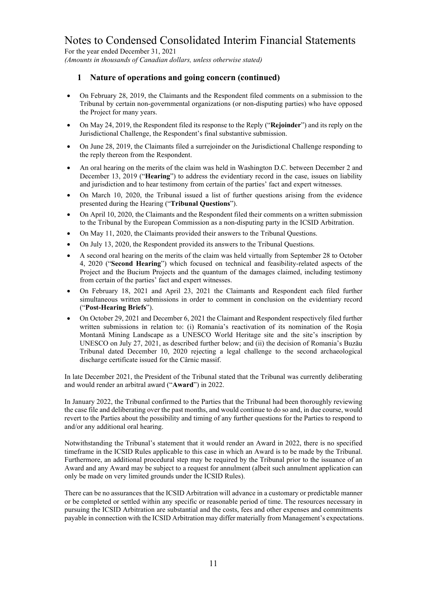For the year ended December 31, 2021 *(Amounts in thousands of Canadian dollars, unless otherwise stated)*

# **1 Nature of operations and going concern (continued)**

- On February 28, 2019, the Claimants and the Respondent filed comments on a submission to the Tribunal by certain non-governmental organizations (or non-disputing parties) who have opposed the Project for many years.
- On May 24, 2019, the Respondent filed its response to the Reply ("**Rejoinder**") and its reply on the Jurisdictional Challenge, the Respondent's final substantive submission.
- On June 28, 2019, the Claimants filed a surrejoinder on the Jurisdictional Challenge responding to the reply thereon from the Respondent.
- An oral hearing on the merits of the claim was held in Washington D.C. between December 2 and December 13, 2019 ("**Hearing**") to address the evidentiary record in the case, issues on liability and jurisdiction and to hear testimony from certain of the parties' fact and expert witnesses.
- On March 10, 2020, the Tribunal issued a list of further questions arising from the evidence presented during the Hearing ("**Tribunal Questions**").
- On April 10, 2020, the Claimants and the Respondent filed their comments on a written submission to the Tribunal by the European Commission as a non-disputing party in the ICSID Arbitration.
- On May 11, 2020, the Claimants provided their answers to the Tribunal Questions.
- On July 13, 2020, the Respondent provided its answers to the Tribunal Questions.
- A second oral hearing on the merits of the claim was held virtually from September 28 to October 4, 2020 ("**Second Hearing**") which focused on technical and feasibility-related aspects of the Project and the Bucium Projects and the quantum of the damages claimed, including testimony from certain of the parties' fact and expert witnesses.
- On February 18, 2021 and April 23, 2021 the Claimants and Respondent each filed further simultaneous written submissions in order to comment in conclusion on the evidentiary record ("**Post-Hearing Briefs**").
- On October 29, 2021 and December 6, 2021 the Claimant and Respondent respectively filed further written submissions in relation to: (i) Romania's reactivation of its nomination of the Roşia Montană Mining Landscape as a UNESCO World Heritage site and the site's inscription by UNESCO on July 27, 2021, as described further below; and (ii) the decision of Romania's Buzău Tribunal dated December 10, 2020 rejecting a legal challenge to the second archaeological discharge certificate issued for the Cârnic massif.

In late December 2021, the President of the Tribunal stated that the Tribunal was currently deliberating and would render an arbitral award ("**Award**") in 2022.

In January 2022, the Tribunal confirmed to the Parties that the Tribunal had been thoroughly reviewing the case file and deliberating over the past months, and would continue to do so and, in due course, would revert to the Parties about the possibility and timing of any further questions for the Parties to respond to and/or any additional oral hearing.

Notwithstanding the Tribunal's statement that it would render an Award in 2022, there is no specified timeframe in the ICSID Rules applicable to this case in which an Award is to be made by the Tribunal. Furthermore, an additional procedural step may be required by the Tribunal prior to the issuance of an Award and any Award may be subject to a request for annulment (albeit such annulment application can only be made on very limited grounds under the ICSID Rules).

There can be no assurances that the ICSID Arbitration will advance in a customary or predictable manner or be completed or settled within any specific or reasonable period of time. The resources necessary in pursuing the ICSID Arbitration are substantial and the costs, fees and other expenses and commitments payable in connection with the ICSID Arbitration may differ materially from Management's expectations.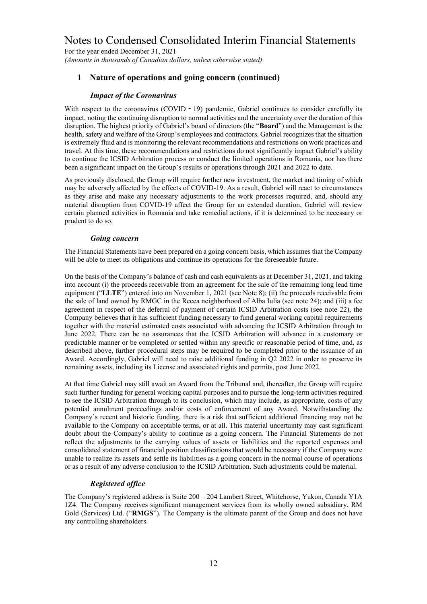For the year ended December 31, 2021 *(Amounts in thousands of Canadian dollars, unless otherwise stated)*

# **1 Nature of operations and going concern (continued)**

#### *Impact of the Coronavirus*

With respect to the coronavirus (COVID - 19) pandemic, Gabriel continues to consider carefully its impact, noting the continuing disruption to normal activities and the uncertainty over the duration of this disruption. The highest priority of Gabriel's board of directors (the "**Board**") and the Management is the health, safety and welfare of the Group's employees and contractors. Gabriel recognizes that the situation is extremely fluid and is monitoring the relevant recommendations and restrictions on work practices and travel. At this time, these recommendations and restrictions do not significantly impact Gabriel's ability to continue the ICSID Arbitration process or conduct the limited operations in Romania, nor has there been a significant impact on the Group's results or operations through 2021 and 2022 to date.

As previously disclosed, the Group will require further new investment, the market and timing of which may be adversely affected by the effects of COVID-19. As a result, Gabriel will react to circumstances as they arise and make any necessary adjustments to the work processes required, and, should any material disruption from COVID-19 affect the Group for an extended duration, Gabriel will review certain planned activities in Romania and take remedial actions, if it is determined to be necessary or prudent to do so.

#### *Going concern*

The Financial Statements have been prepared on a going concern basis, which assumes that the Company will be able to meet its obligations and continue its operations for the foreseeable future.

On the basis of the Company's balance of cash and cash equivalents as at December 31, 2021, and taking into account (i) the proceeds receivable from an agreement for the sale of the remaining long lead time equipment ("**LLTE**") entered into on November 1, 2021 (see Note 8); (ii) the proceeds receivable from the sale of land owned by RMGC in the Recea neighborhood of Alba Iulia (see note 24); and (iii) a fee agreement in respect of the deferral of payment of certain ICSID Arbitration costs (see note 22), the Company believes that it has sufficient funding necessary to fund general working capital requirements together with the material estimated costs associated with advancing the ICSID Arbitration through to June 2022. There can be no assurances that the ICSID Arbitration will advance in a customary or predictable manner or be completed or settled within any specific or reasonable period of time, and, as described above, further procedural steps may be required to be completed prior to the issuance of an Award. Accordingly, Gabriel will need to raise additional funding in Q2 2022 in order to preserve its remaining assets, including its License and associated rights and permits, post June 2022.

At that time Gabriel may still await an Award from the Tribunal and, thereafter, the Group will require such further funding for general working capital purposes and to pursue the long-term activities required to see the ICSID Arbitration through to its conclusion, which may include, as appropriate, costs of any potential annulment proceedings and/or costs of enforcement of any Award. Notwithstanding the Company's recent and historic funding, there is a risk that sufficient additional financing may not be available to the Company on acceptable terms, or at all. This material uncertainty may cast significant doubt about the Company's ability to continue as a going concern. The Financial Statements do not reflect the adjustments to the carrying values of assets or liabilities and the reported expenses and consolidated statement of financial position classifications that would be necessary if the Company were unable to realize its assets and settle its liabilities as a going concern in the normal course of operations or as a result of any adverse conclusion to the ICSID Arbitration. Such adjustments could be material.

#### *Registered office*

The Company's registered address is Suite 200 – 204 Lambert Street, Whitehorse, Yukon, Canada Y1A 1Z4. The Company receives significant management services from its wholly owned subsidiary, RM Gold (Services) Ltd. ("**RMGS**"). The Company is the ultimate parent of the Group and does not have any controlling shareholders.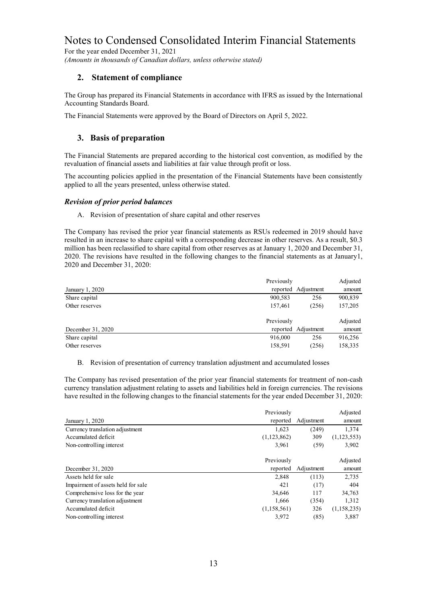For the year ended December 31, 2021 *(Amounts in thousands of Canadian dollars, unless otherwise stated)*

## **2. Statement of compliance**

The Group has prepared its Financial Statements in accordance with IFRS as issued by the International Accounting Standards Board.

The Financial Statements were approved by the Board of Directors on April 5, 2022.

# **3. Basis of preparation**

The Financial Statements are prepared according to the historical cost convention, as modified by the revaluation of financial assets and liabilities at fair value through profit or loss.

The accounting policies applied in the presentation of the Financial Statements have been consistently applied to all the years presented, unless otherwise stated.

#### *Revision of prior period balances*

A. Revision of presentation of share capital and other reserves

The Company has revised the prior year financial statements as RSUs redeemed in 2019 should have resulted in an increase to share capital with a corresponding decrease in other reserves. As a result, \$0.3 million has been reclassified to share capital from other reserves as at January 1, 2020 and December 31, 2020. The revisions have resulted in the following changes to the financial statements as at January1, 2020 and December 31, 2020:

|         |                          | Adjusted                                   |
|---------|--------------------------|--------------------------------------------|
|         |                          | amount                                     |
| 900,583 | 256                      | 900,839                                    |
| 157,461 | (256)                    | 157,205                                    |
|         |                          | Adjusted                                   |
|         |                          | amount                                     |
| 916,000 | 256                      | 916,256                                    |
| 158,591 | (256)                    | 158,335                                    |
|         | Previously<br>Previously | reported Adjustment<br>reported Adjustment |

B. Revision of presentation of currency translation adjustment and accumulated losses

The Company has revised presentation of the prior year financial statements for treatment of non-cash currency translation adjustment relating to assets and liabilities held in foreign currencies. The revisions have resulted in the following changes to the financial statements for the year ended December 31, 2020:

|                                    | Previously  |            | Adjusted      |
|------------------------------------|-------------|------------|---------------|
| January 1, 2020                    | reported    | Adjustment | amount        |
| Currency translation adjustment    | 1,623       | (249)      | 1,374         |
| Accumulated deficit                | (1,123,862) | 309        | (1, 123, 553) |
| Non-controlling interest           | 3,961       | (59)       | 3,902         |
|                                    | Previously  |            | Adjusted      |
| December 31, 2020                  | reported    | Adjustment | amount        |
| Assets held for sale               | 2.848       | (113)      | 2,735         |
| Impairment of assets held for sale | 421         | (17)       | 404           |
| Comprehensive loss for the year    | 34,646      | 117        | 34,763        |
| Currency translation adjustment    | 1.666       | (354)      | 1,312         |
| Accumulated deficit                | (1,158,561) | 326        | (1, 158, 235) |
| Non-controlling interest           | 3,972       | (85)       | 3,887         |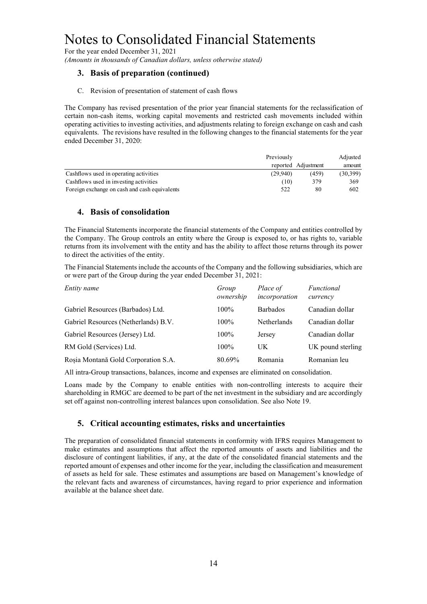For the year ended December 31, 2021

*(Amounts in thousands of Canadian dollars, unless otherwise stated)*

#### **3. Basis of preparation (continued)**

C. Revision of presentation of statement of cash flows

The Company has revised presentation of the prior year financial statements for the reclassification of certain non-cash items, working capital movements and restricted cash movements included within operating activities to investing activities, and adjustments relating to foreign exchange on cash and cash equivalents. The revisions have resulted in the following changes to the financial statements for the year ended December 31, 2020:

|                                               | Previously |                     | Adjusted |  |
|-----------------------------------------------|------------|---------------------|----------|--|
|                                               |            | reported Adjustment | amount   |  |
| Cashflows used in operating activities        | (29.940)   | (459)               | (30,399) |  |
| Cashflows used in investing activities        | (10)       | 379                 | 369      |  |
| Foreign exchange on cash and cash equivalents | 522        | 80                  | 602      |  |

### **4. Basis of consolidation**

The Financial Statements incorporate the financial statements of the Company and entities controlled by the Company. The Group controls an entity where the Group is exposed to, or has rights to, variable returns from its involvement with the entity and has the ability to affect those returns through its power to direct the activities of the entity.

The Financial Statements include the accounts of the Company and the following subsidiaries, which are or were part of the Group during the year ended December 31, 2021:

| Entity name                          | Group<br>ownership | Place of<br>incorporation | Functional<br>currency |
|--------------------------------------|--------------------|---------------------------|------------------------|
| Gabriel Resources (Barbados) Ltd.    | 100%               | <b>Barbados</b>           | Canadian dollar        |
| Gabriel Resources (Netherlands) B.V. | $100\%$            | <b>Netherlands</b>        | Canadian dollar        |
| Gabriel Resources (Jersey) Ltd.      | 100%               | Jersey                    | Canadian dollar        |
| RM Gold (Services) Ltd.              | $100\%$            | UK                        | UK pound sterling      |
| Roșia Montană Gold Corporation S.A.  | 80.69%             | Romania                   | Romanian leu           |

All intra-Group transactions, balances, income and expenses are eliminated on consolidation.

Loans made by the Company to enable entities with non-controlling interests to acquire their shareholding in RMGC are deemed to be part of the net investment in the subsidiary and are accordingly set off against non-controlling interest balances upon consolidation. See also Note 19.

## **5. Critical accounting estimates, risks and uncertainties**

The preparation of consolidated financial statements in conformity with IFRS requires Management to make estimates and assumptions that affect the reported amounts of assets and liabilities and the disclosure of contingent liabilities, if any, at the date of the consolidated financial statements and the reported amount of expenses and other income for the year, including the classification and measurement of assets as held for sale. These estimates and assumptions are based on Management's knowledge of the relevant facts and awareness of circumstances, having regard to prior experience and information available at the balance sheet date.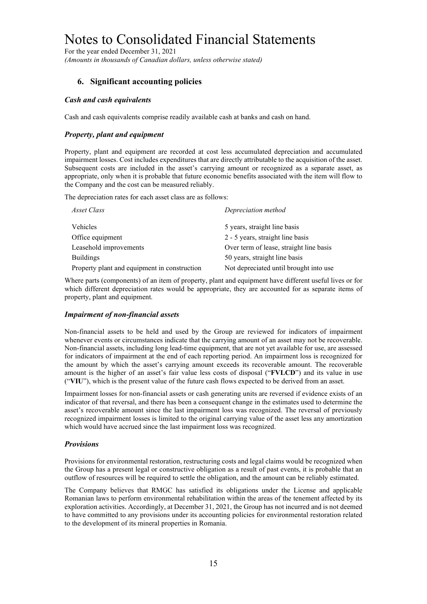For the year ended December 31, 2021 *(Amounts in thousands of Canadian dollars, unless otherwise stated)*

## **6. Significant accounting policies**

#### *Cash and cash equivalents*

Cash and cash equivalents comprise readily available cash at banks and cash on hand.

#### *Property, plant and equipment*

Property, plant and equipment are recorded at cost less accumulated depreciation and accumulated impairment losses. Cost includes expenditures that are directly attributable to the acquisition of the asset. Subsequent costs are included in the asset's carrying amount or recognized as a separate asset, as appropriate, only when it is probable that future economic benefits associated with the item will flow to the Company and the cost can be measured reliably.

The depreciation rates for each asset class are as follows:

| Asset Class                                  | Depreciation method                     |
|----------------------------------------------|-----------------------------------------|
| <b>Vehicles</b>                              | 5 years, straight line basis            |
| Office equipment                             | 2 - 5 years, straight line basis        |
| Leasehold improvements                       | Over term of lease, straight line basis |
| <b>Buildings</b>                             | 50 years, straight line basis           |
| Property plant and equipment in construction | Not depreciated until brought into use  |

Where parts (components) of an item of property, plant and equipment have different useful lives or for which different depreciation rates would be appropriate, they are accounted for as separate items of property, plant and equipment.

#### *Impairment of non-financial assets*

Non-financial assets to be held and used by the Group are reviewed for indicators of impairment whenever events or circumstances indicate that the carrying amount of an asset may not be recoverable. Non-financial assets, including long lead-time equipment, that are not yet available for use, are assessed for indicators of impairment at the end of each reporting period. An impairment loss is recognized for the amount by which the asset's carrying amount exceeds its recoverable amount. The recoverable amount is the higher of an asset's fair value less costs of disposal ("**FVLCD**") and its value in use ("**VIU**"), which is the present value of the future cash flows expected to be derived from an asset.

Impairment losses for non-financial assets or cash generating units are reversed if evidence exists of an indicator of that reversal, and there has been a consequent change in the estimates used to determine the asset's recoverable amount since the last impairment loss was recognized. The reversal of previously recognized impairment losses is limited to the original carrying value of the asset less any amortization which would have accrued since the last impairment loss was recognized.

#### *Provisions*

Provisions for environmental restoration, restructuring costs and legal claims would be recognized when the Group has a present legal or constructive obligation as a result of past events, it is probable that an outflow of resources will be required to settle the obligation, and the amount can be reliably estimated.

The Company believes that RMGC has satisfied its obligations under the License and applicable Romanian laws to perform environmental rehabilitation within the areas of the tenement affected by its exploration activities. Accordingly, at December 31, 2021, the Group has not incurred and is not deemed to have committed to any provisions under its accounting policies for environmental restoration related to the development of its mineral properties in Romania.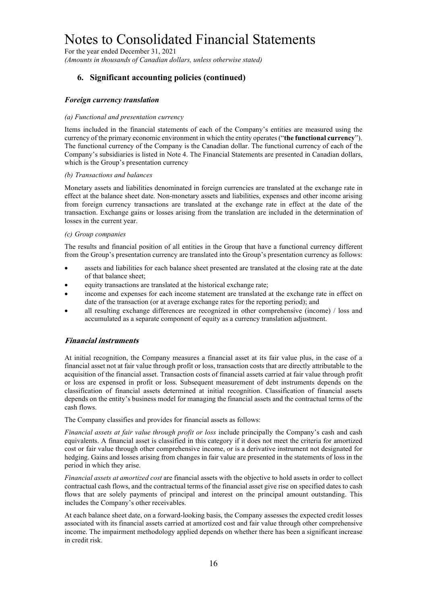For the year ended December 31, 2021 *(Amounts in thousands of Canadian dollars, unless otherwise stated)*

# **6. Significant accounting policies (continued)**

### *Foreign currency translation*

#### *(a) Functional and presentation currency*

Items included in the financial statements of each of the Company's entities are measured using the currency of the primary economic environment in which the entity operates ("**the functional currency**"). The functional currency of the Company is the Canadian dollar. The functional currency of each of the Company's subsidiaries is listed in Note 4. The Financial Statements are presented in Canadian dollars, which is the Group's presentation currency

#### *(b) Transactions and balances*

Monetary assets and liabilities denominated in foreign currencies are translated at the exchange rate in effect at the balance sheet date. Non-monetary assets and liabilities, expenses and other income arising from foreign currency transactions are translated at the exchange rate in effect at the date of the transaction. Exchange gains or losses arising from the translation are included in the determination of losses in the current year.

#### *(c) Group companies*

The results and financial position of all entities in the Group that have a functional currency different from the Group's presentation currency are translated into the Group's presentation currency as follows:

- assets and liabilities for each balance sheet presented are translated at the closing rate at the date of that balance sheet;
- equity transactions are translated at the historical exchange rate;
- income and expenses for each income statement are translated at the exchange rate in effect on date of the transaction (or at average exchange rates for the reporting period); and
- all resulting exchange differences are recognized in other comprehensive (income) / loss and accumulated as a separate component of equity as a currency translation adjustment.

## **Financial instruments**

At initial recognition, the Company measures a financial asset at its fair value plus, in the case of a financial asset not at fair value through profit or loss, transaction costs that are directly attributable to the acquisition of the financial asset. Transaction costs of financial assets carried at fair value through profit or loss are expensed in profit or loss. Subsequent measurement of debt instruments depends on the classification of financial assets determined at initial recognition. Classification of financial assets depends on the entity's business model for managing the financial assets and the contractual terms of the cash flows.

The Company classifies and provides for financial assets as follows:

*Financial assets at fair value through profit or loss* include principally the Company's cash and cash equivalents. A financial asset is classified in this category if it does not meet the criteria for amortized cost or fair value through other comprehensive income, or is a derivative instrument not designated for hedging. Gains and losses arising from changes in fair value are presented in the statements of loss in the period in which they arise.

*Financial assets at amortized cost* are financial assets with the objective to hold assets in order to collect contractual cash flows, and the contractual terms of the financial asset give rise on specified dates to cash flows that are solely payments of principal and interest on the principal amount outstanding. This includes the Company's other receivables.

At each balance sheet date, on a forward-looking basis, the Company assesses the expected credit losses associated with its financial assets carried at amortized cost and fair value through other comprehensive income. The impairment methodology applied depends on whether there has been a significant increase in credit risk.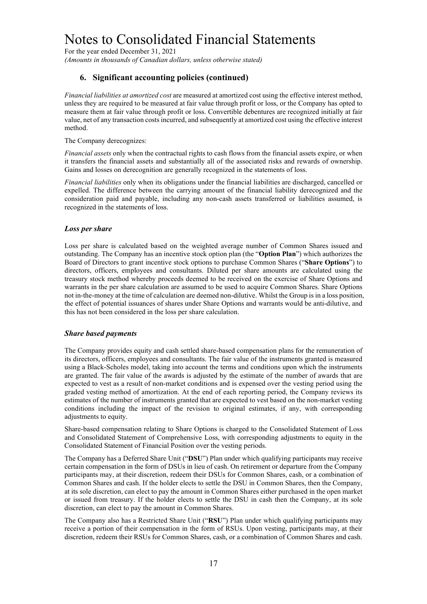For the year ended December 31, 2021 *(Amounts in thousands of Canadian dollars, unless otherwise stated)*

# **6. Significant accounting policies (continued)**

*Financial liabilities at amortized cost* are measured at amortized cost using the effective interest method, unless they are required to be measured at fair value through profit or loss, or the Company has opted to measure them at fair value through profit or loss. Convertible debentures are recognized initially at fair value, net of any transaction costs incurred, and subsequently at amortized cost using the effective interest method.

The Company derecognizes:

*Financial assets* only when the contractual rights to cash flows from the financial assets expire, or when it transfers the financial assets and substantially all of the associated risks and rewards of ownership. Gains and losses on derecognition are generally recognized in the statements of loss.

*Financial liabilities* only when its obligations under the financial liabilities are discharged, cancelled or expelled. The difference between the carrying amount of the financial liability derecognized and the consideration paid and payable, including any non-cash assets transferred or liabilities assumed, is recognized in the statements of loss.

### *Loss per share*

Loss per share is calculated based on the weighted average number of Common Shares issued and outstanding. The Company has an incentive stock option plan (the "**Option Plan**") which authorizes the Board of Directors to grant incentive stock options to purchase Common Shares ("**Share Options**") to directors, officers, employees and consultants. Diluted per share amounts are calculated using the treasury stock method whereby proceeds deemed to be received on the exercise of Share Options and warrants in the per share calculation are assumed to be used to acquire Common Shares. Share Options not in-the-money at the time of calculation are deemed non-dilutive. Whilst the Group is in a loss position, the effect of potential issuances of shares under Share Options and warrants would be anti-dilutive, and this has not been considered in the loss per share calculation.

#### *Share based payments*

The Company provides equity and cash settled share-based compensation plans for the remuneration of its directors, officers, employees and consultants. The fair value of the instruments granted is measured using a Black-Scholes model, taking into account the terms and conditions upon which the instruments are granted. The fair value of the awards is adjusted by the estimate of the number of awards that are expected to vest as a result of non-market conditions and is expensed over the vesting period using the graded vesting method of amortization. At the end of each reporting period, the Company reviews its estimates of the number of instruments granted that are expected to vest based on the non-market vesting conditions including the impact of the revision to original estimates, if any, with corresponding adjustments to equity.

Share-based compensation relating to Share Options is charged to the Consolidated Statement of Loss and Consolidated Statement of Comprehensive Loss, with corresponding adjustments to equity in the Consolidated Statement of Financial Position over the vesting periods.

The Company has a Deferred Share Unit ("**DSU**") Plan under which qualifying participants may receive certain compensation in the form of DSUs in lieu of cash. On retirement or departure from the Company participants may, at their discretion, redeem their DSUs for Common Shares, cash, or a combination of Common Shares and cash. If the holder elects to settle the DSU in Common Shares, then the Company, at its sole discretion, can elect to pay the amount in Common Shares either purchased in the open market or issued from treasury. If the holder elects to settle the DSU in cash then the Company, at its sole discretion, can elect to pay the amount in Common Shares.

The Company also has a Restricted Share Unit ("**RSU**") Plan under which qualifying participants may receive a portion of their compensation in the form of RSUs. Upon vesting, participants may, at their discretion, redeem their RSUs for Common Shares, cash, or a combination of Common Shares and cash.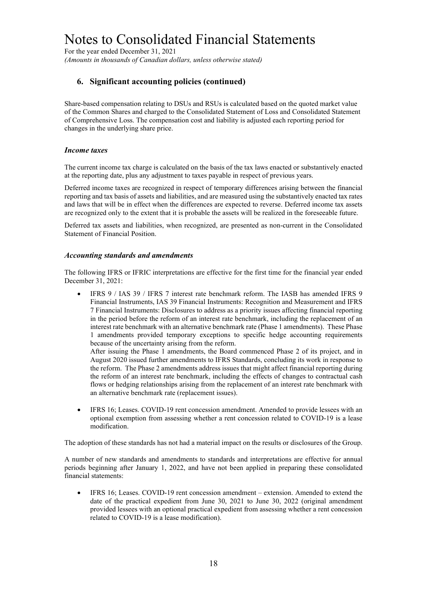For the year ended December 31, 2021 *(Amounts in thousands of Canadian dollars, unless otherwise stated)*

# **6. Significant accounting policies (continued)**

Share-based compensation relating to DSUs and RSUs is calculated based on the quoted market value of the Common Shares and charged to the Consolidated Statement of Loss and Consolidated Statement of Comprehensive Loss. The compensation cost and liability is adjusted each reporting period for changes in the underlying share price.

#### *Income taxes*

The current income tax charge is calculated on the basis of the tax laws enacted or substantively enacted at the reporting date, plus any adjustment to taxes payable in respect of previous years.

Deferred income taxes are recognized in respect of temporary differences arising between the financial reporting and tax basis of assets and liabilities, and are measured using the substantively enacted tax rates and laws that will be in effect when the differences are expected to reverse. Deferred income tax assets are recognized only to the extent that it is probable the assets will be realized in the foreseeable future.

Deferred tax assets and liabilities, when recognized, are presented as non-current in the Consolidated Statement of Financial Position.

#### *Accounting standards and amendments*

The following IFRS or IFRIC interpretations are effective for the first time for the financial year ended December 31, 2021:

• IFRS 9 / IAS 39 / IFRS 7 interest rate benchmark reform. The IASB has amended IFRS 9 Financial Instruments, IAS 39 Financial Instruments: Recognition and Measurement and IFRS 7 Financial Instruments: Disclosures to address as a priority issues affecting financial reporting in the period before the reform of an interest rate benchmark, including the replacement of an interest rate benchmark with an alternative benchmark rate (Phase 1 amendments). These Phase 1 amendments provided temporary exceptions to specific hedge accounting requirements because of the uncertainty arising from the reform.

After issuing the Phase 1 amendments, the Board commenced Phase 2 of its project, and in August 2020 issued further amendments to IFRS Standards, concluding its work in response to the reform. The Phase 2 amendments address issues that might affect financial reporting during the reform of an interest rate benchmark, including the effects of changes to contractual cash flows or hedging relationships arising from the replacement of an interest rate benchmark with an alternative benchmark rate (replacement issues).

• IFRS 16; Leases. COVID-19 rent concession amendment. Amended to provide lessees with an optional exemption from assessing whether a rent concession related to COVID-19 is a lease modification.

The adoption of these standards has not had a material impact on the results or disclosures of the Group.

A number of new standards and amendments to standards and interpretations are effective for annual periods beginning after January 1, 2022, and have not been applied in preparing these consolidated financial statements:

• IFRS 16; Leases. COVID-19 rent concession amendment – extension. Amended to extend the date of the practical expedient from June 30, 2021 to June 30, 2022 (original amendment provided lessees with an optional practical expedient from assessing whether a rent concession related to COVID-19 is a lease modification).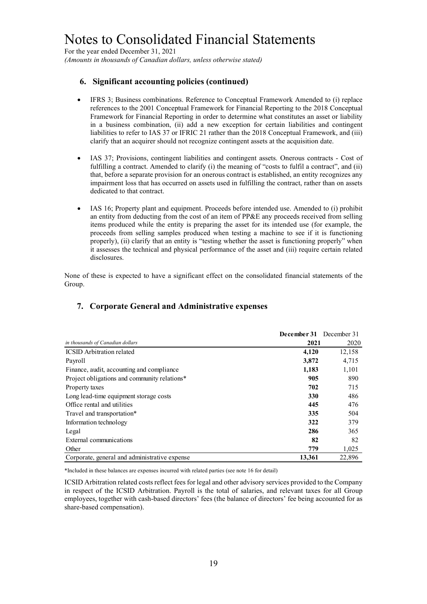For the year ended December 31, 2021 *(Amounts in thousands of Canadian dollars, unless otherwise stated)*

## **6. Significant accounting policies (continued)**

- IFRS 3; Business combinations. Reference to Conceptual Framework Amended to (i) replace references to the 2001 Conceptual Framework for Financial Reporting to the 2018 Conceptual Framework for Financial Reporting in order to determine what constitutes an asset or liability in a business combination, (ii) add a new exception for certain liabilities and contingent liabilities to refer to IAS 37 or IFRIC 21 rather than the 2018 Conceptual Framework, and (iii) clarify that an acquirer should not recognize contingent assets at the acquisition date.
- IAS 37; Provisions, contingent liabilities and contingent assets. Onerous contracts Cost of fulfilling a contract. Amended to clarify (i) the meaning of "costs to fulfil a contract", and (ii) that, before a separate provision for an onerous contract is established, an entity recognizes any impairment loss that has occurred on assets used in fulfilling the contract, rather than on assets dedicated to that contract.
- IAS 16; Property plant and equipment. Proceeds before intended use. Amended to (i) prohibit an entity from deducting from the cost of an item of PP&E any proceeds received from selling items produced while the entity is preparing the asset for its intended use (for example, the proceeds from selling samples produced when testing a machine to see if it is functioning properly), (ii) clarify that an entity is "testing whether the asset is functioning properly" when it assesses the technical and physical performance of the asset and (iii) require certain related disclosures.

None of these is expected to have a significant effect on the consolidated financial statements of the Group.

# **7. Corporate General and Administrative expenses**

|                                               | <b>December 31</b> December 31 |        |
|-----------------------------------------------|--------------------------------|--------|
| in thousands of Canadian dollars              | 2021                           | 2020   |
| <b>ICSID</b> Arbitration related              | 4,120                          | 12,158 |
| Payroll                                       | 3,872                          | 4,715  |
| Finance, audit, accounting and compliance     | 1,183                          | 1,101  |
| Project obligations and community relations*  | 905                            | 890    |
| Property taxes                                | 702                            | 715    |
| Long lead-time equipment storage costs        | 330                            | 486    |
| Office rental and utilities                   | 445                            | 476    |
| Travel and transportation*                    | 335                            | 504    |
| Information technology                        | 322                            | 379    |
| Legal                                         | 286                            | 365    |
| External communications                       | 82                             | 82     |
| Other                                         | 779                            | 1,025  |
| Corporate, general and administrative expense | 13.361                         | 22,896 |

\*Included in these balances are expenses incurred with related parties (see note 16 for detail)

ICSID Arbitration related costs reflect fees for legal and other advisory services provided to the Company in respect of the ICSID Arbitration. Payroll is the total of salaries, and relevant taxes for all Group employees, together with cash-based directors' fees (the balance of directors' fee being accounted for as share-based compensation).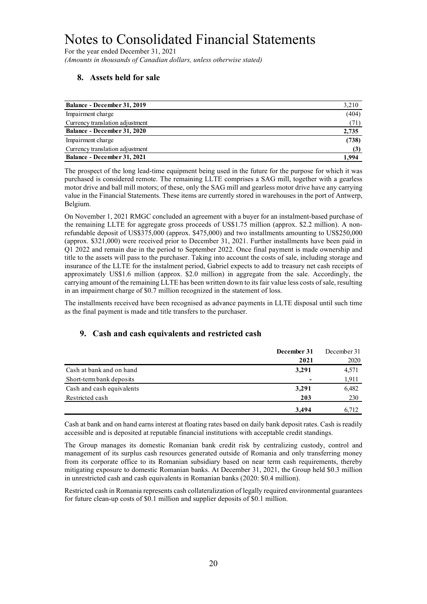For the year ended December 31, 2021 *(Amounts in thousands of Canadian dollars, unless otherwise stated)*

# **8. Assets held for sale**

| <b>Balance - December 31, 2019</b> | 3,210 |
|------------------------------------|-------|
| Impairment charge                  | (404) |
| Currency translation adjustment    | (71)  |
| <b>Balance - December 31, 2020</b> | 2,735 |
| Impairment charge                  | (738) |
| Currency translation adjustment    | (3)   |
| <b>Balance - December 31, 2021</b> | 1 994 |

The prospect of the long lead-time equipment being used in the future for the purpose for which it was purchased is considered remote. The remaining LLTE comprises a SAG mill, together with a gearless motor drive and ball mill motors; of these, only the SAG mill and gearless motor drive have any carrying value in the Financial Statements. These items are currently stored in warehouses in the port of Antwerp, Belgium.

On November 1, 2021 RMGC concluded an agreement with a buyer for an instalment-based purchase of the remaining LLTE for aggregate gross proceeds of US\$1.75 million (approx. \$2.2 million). A nonrefundable deposit of US\$375,000 (approx. \$475,000) and two installments amounting to US\$250,000 (approx. \$321,000) were received prior to December 31, 2021. Further installments have been paid in Q1 2022 and remain due in the period to September 2022. Once final payment is made ownership and title to the assets will pass to the purchaser. Taking into account the costs of sale, including storage and insurance of the LLTE for the instalment period, Gabriel expects to add to treasury net cash receipts of approximately US\$1.6 million (approx. \$2.0 million) in aggregate from the sale. Accordingly, the carrying amount of the remaining LLTE has been written down to its fair value less costs of sale, resulting in an impairment charge of \$0.7 million recognized in the statement of loss.

The installments received have been recognised as advance payments in LLTE disposal until such time as the final payment is made and title transfers to the purchaser.

## **9. Cash and cash equivalents and restricted cash**

|                           | December 31 | December 31 |
|---------------------------|-------------|-------------|
|                           | 2021        | 2020        |
| Cash at bank and on hand  | 3,291       | 4,571       |
| Short-term bank deposits  |             | 1,911       |
| Cash and cash equivalents | 3,291       | 6,482       |
| Restricted cash           | 203         | 230         |
|                           | 3.494       | 6.712       |

Cash at bank and on hand earns interest at floating rates based on daily bank deposit rates. Cash is readily accessible and is deposited at reputable financial institutions with acceptable credit standings.

The Group manages its domestic Romanian bank credit risk by centralizing custody, control and management of its surplus cash resources generated outside of Romania and only transferring money from its corporate office to its Romanian subsidiary based on near term cash requirements, thereby mitigating exposure to domestic Romanian banks. At December 31, 2021, the Group held \$0.3 million in unrestricted cash and cash equivalents in Romanian banks (2020: \$0.4 million).

Restricted cash in Romania represents cash collateralization of legally required environmental guarantees for future clean-up costs of \$0.1 million and supplier deposits of \$0.1 million.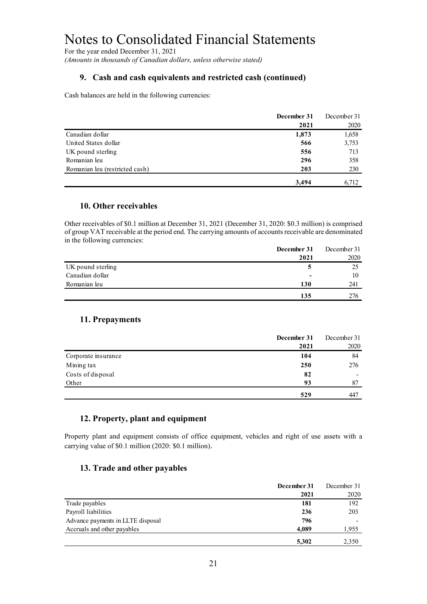For the year ended December 31, 2021 *(Amounts in thousands of Canadian dollars, unless otherwise stated)*

# **9. Cash and cash equivalents and restricted cash (continued)**

Cash balances are held in the following currencies:

|                                | December 31 | December 31 |
|--------------------------------|-------------|-------------|
|                                | 2021        | 2020        |
| Canadian dollar                | 1,873       | 1,658       |
| United States dollar           | 566         | 3,753       |
| UK pound sterling              | 556         | 713         |
| Romanian leu                   | 296         | 358         |
| Romanian leu (restricted cash) | 203         | 230         |
|                                | 3,494       | 6.712       |

## **10. Other receivables**

Other receivables of \$0.1 million at December 31, 2021 (December 31, 2020: \$0.3 million) is comprised of group VAT receivable at the period end. The carrying amounts of accounts receivable are denominated in the following currencies:

|                   | December 31              | December 31 |
|-------------------|--------------------------|-------------|
|                   | 2021                     | 2020        |
| UK pound sterling |                          |             |
| Canadian dollar   | $\overline{\phantom{0}}$ | 10          |
| Romanian leu      | 130                      | 241         |
|                   | 135                      | 276         |

## **11. Prepayments**

|                     | December 31 | December 31              |
|---------------------|-------------|--------------------------|
|                     | 2021        | 2020                     |
| Corporate insurance | 104         | 84                       |
| Mining tax          | 250         | 276                      |
| Costs of disposal   | 82          | $\overline{\phantom{a}}$ |
| Other               | 93          | 87                       |
|                     | 529         | 447                      |

## **12. Property, plant and equipment**

Property plant and equipment consists of office equipment, vehicles and right of use assets with a carrying value of \$0.1 million (2020: \$0.1 million).

## **13. Trade and other payables**

|                                   | December 31 | December 31 |
|-----------------------------------|-------------|-------------|
|                                   | 2021        | 2020        |
| Trade payables                    | 181         | 192         |
| Payroll liabilities               | 236         | 203         |
| Advance payments in LLTE disposal | 796         |             |
| Accruals and other payables       | 4.089       | 1,955       |
|                                   | 5,302       | 2,350       |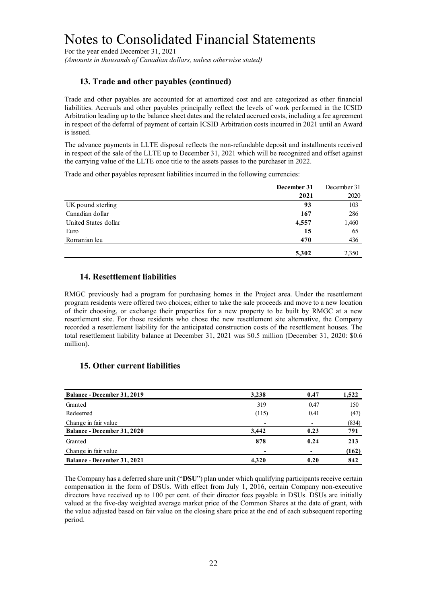For the year ended December 31, 2021 *(Amounts in thousands of Canadian dollars, unless otherwise stated)*

## **13. Trade and other payables (continued)**

Trade and other payables are accounted for at amortized cost and are categorized as other financial liabilities. Accruals and other payables principally reflect the levels of work performed in the ICSID Arbitration leading up to the balance sheet dates and the related accrued costs, including a fee agreement in respect of the deferral of payment of certain ICSID Arbitration costs incurred in 2021 until an Award is issued.

The advance payments in LLTE disposal reflects the non-refundable deposit and installments received in respect of the sale of the LLTE up to December 31, 2021 which will be recognized and offset against the carrying value of the LLTE once title to the assets passes to the purchaser in 2022.

Trade and other payables represent liabilities incurred in the following currencies:

|                      | December 31 | December 31 |
|----------------------|-------------|-------------|
|                      | 2021        | 2020        |
| UK pound sterling    | 93          | 103         |
| Canadian dollar      | 167         | 286         |
| United States dollar | 4,557       | 1,460       |
| Euro                 | 15          | 65          |
| Romanian leu         | 470         | 436         |
|                      | 5,302       | 2,350       |

## **14. Resettlement liabilities**

RMGC previously had a program for purchasing homes in the Project area. Under the resettlement program residents were offered two choices; either to take the sale proceeds and move to a new location of their choosing, or exchange their properties for a new property to be built by RMGC at a new resettlement site. For those residents who chose the new resettlement site alternative, the Company recorded a resettlement liability for the anticipated construction costs of the resettlement houses. The total resettlement liability balance at December 31, 2021 was \$0.5 million (December 31, 2020: \$0.6 million).

#### **15. Other current liabilities**

| Balance - December 31, 2019 | 3,238                    | 0.47 | 1,522 |
|-----------------------------|--------------------------|------|-------|
| Granted                     | 319                      | 0.47 | 150   |
| Redeemed                    | (115)                    | 0.41 | (47)  |
| Change in fair value        | $\overline{\phantom{a}}$ |      | (834) |
| Balance - December 31, 2020 | 3,442                    | 0.23 | 791   |
| Granted                     | 878                      | 0.24 | 213   |
| Change in fair value        | $\blacksquare$           |      | (162) |
| Balance - December 31, 2021 | 4,320                    | 0.20 | 842   |

The Company has a deferred share unit ("**DSU**") plan under which qualifying participants receive certain compensation in the form of DSUs. With effect from July 1, 2016, certain Company non-executive directors have received up to 100 per cent. of their director fees payable in DSUs. DSUs are initially valued at the five-day weighted average market price of the Common Shares at the date of grant, with the value adjusted based on fair value on the closing share price at the end of each subsequent reporting period.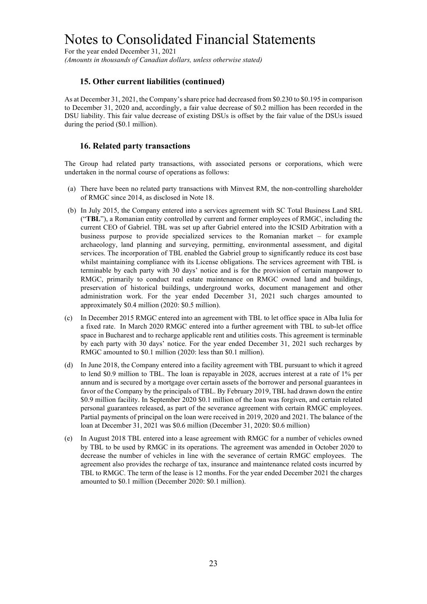For the year ended December 31, 2021 *(Amounts in thousands of Canadian dollars, unless otherwise stated)*

## **15. Other current liabilities (continued)**

As at December 31, 2021, the Company's share price had decreased from \$0.230 to \$0.195 in comparison to December 31, 2020 and, accordingly, a fair value decrease of \$0.2 million has been recorded in the DSU liability. This fair value decrease of existing DSUs is offset by the fair value of the DSUs issued during the period (\$0.1 million).

## **16. Related party transactions**

The Group had related party transactions, with associated persons or corporations, which were undertaken in the normal course of operations as follows:

- (a) There have been no related party transactions with Minvest RM, the non-controlling shareholder of RMGC since 2014, as disclosed in Note 18.
- (b) In July 2015, the Company entered into a services agreement with SC Total Business Land SRL ("**TBL**"), a Romanian entity controlled by current and former employees of RMGC, including the current CEO of Gabriel. TBL was set up after Gabriel entered into the ICSID Arbitration with a business purpose to provide specialized services to the Romanian market – for example archaeology, land planning and surveying, permitting, environmental assessment, and digital services. The incorporation of TBL enabled the Gabriel group to significantly reduce its cost base whilst maintaining compliance with its License obligations. The services agreement with TBL is terminable by each party with 30 days' notice and is for the provision of certain manpower to RMGC, primarily to conduct real estate maintenance on RMGC owned land and buildings, preservation of historical buildings, underground works, document management and other administration work. For the year ended December 31, 2021 such charges amounted to approximately \$0.4 million (2020: \$0.5 million).
- (c) In December 2015 RMGC entered into an agreement with TBL to let office space in Alba Iulia for a fixed rate. In March 2020 RMGC entered into a further agreement with TBL to sub-let office space in Bucharest and to recharge applicable rent and utilities costs. This agreement is terminable by each party with 30 days' notice. For the year ended December 31, 2021 such recharges by RMGC amounted to \$0.1 million (2020: less than \$0.1 million).
- (d) In June 2018, the Company entered into a facility agreement with TBL pursuant to which it agreed to lend \$0.9 million to TBL. The loan is repayable in 2028, accrues interest at a rate of 1% per annum and is secured by a mortgage over certain assets of the borrower and personal guarantees in favor of the Company by the principals of TBL. By February 2019, TBL had drawn down the entire \$0.9 million facility. In September 2020 \$0.1 million of the loan was forgiven, and certain related personal guarantees released, as part of the severance agreement with certain RMGC employees. Partial payments of principal on the loan were received in 2019, 2020 and 2021. The balance of the loan at December 31, 2021 was \$0.6 million (December 31, 2020: \$0.6 million)
- (e) In August 2018 TBL entered into a lease agreement with RMGC for a number of vehicles owned by TBL to be used by RMGC in its operations. The agreement was amended in October 2020 to decrease the number of vehicles in line with the severance of certain RMGC employees. The agreement also provides the recharge of tax, insurance and maintenance related costs incurred by TBL to RMGC. The term of the lease is 12 months. For the year ended December 2021 the charges amounted to \$0.1 million (December 2020: \$0.1 million).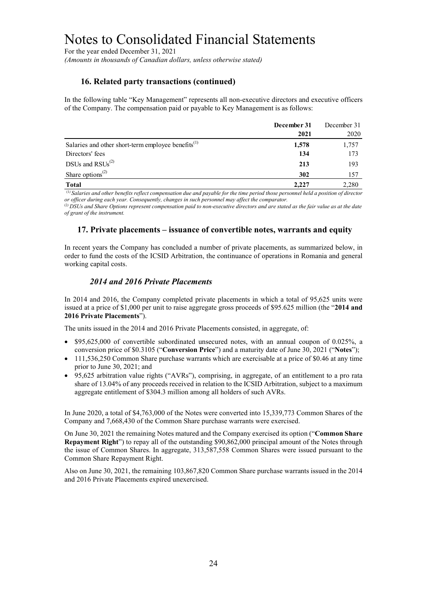For the year ended December 31, 2021 *(Amounts in thousands of Canadian dollars, unless otherwise stated)*

## **16. Related party transactions (continued)**

In the following table "Key Management" represents all non-executive directors and executive officers of the Company. The compensation paid or payable to Key Management is as follows:

|                                                                | December 31 | December 31 |
|----------------------------------------------------------------|-------------|-------------|
|                                                                | 2021        | 2020        |
| Salaries and other short-term employee benefits <sup>(1)</sup> | 1,578       | 1,757       |
| Directors' fees                                                | 134         | 173         |
| DSUs and $RSUs^{(2)}$                                          | 213         | 193         |
| Share options <sup><math>(2)</math></sup>                      | 302         | 157         |
| <b>Total</b>                                                   | 2.227       | 2.280       |

 (1*) Salaries and other benefits reflect compensation due and payable for the time period those personnel held a position of director or officer during each year. Consequently, changes in such personnel may affect the comparator.*

(2*) DSUs and Share Options represent compensation paid to non-executive directors and are stated as the fair value as at the date of grant of the instrument.* 

#### **17. Private placements – issuance of convertible notes, warrants and equity**

In recent years the Company has concluded a number of private placements, as summarized below, in order to fund the costs of the ICSID Arbitration, the continuance of operations in Romania and general working capital costs.

## *2014 and 2016 Private Placements*

In 2014 and 2016, the Company completed private placements in which a total of 95,625 units were issued at a price of \$1,000 per unit to raise aggregate gross proceeds of \$95.625 million (the "**2014 and 2016 Private Placements**").

The units issued in the 2014 and 2016 Private Placements consisted, in aggregate, of:

- \$95,625,000 of convertible subordinated unsecured notes, with an annual coupon of 0.025%, a conversion price of \$0.3105 ("**Conversion Price**") and a maturity date of June 30, 2021 ("**Notes**");
- 111,536,250 Common Share purchase warrants which are exercisable at a price of \$0.46 at any time prior to June 30, 2021; and
- 95,625 arbitration value rights ("AVRs"), comprising, in aggregate, of an entitlement to a pro rata share of 13.04% of any proceeds received in relation to the ICSID Arbitration, subject to a maximum aggregate entitlement of \$304.3 million among all holders of such AVRs.

In June 2020, a total of \$4,763,000 of the Notes were converted into 15,339,773 Common Shares of the Company and 7,668,430 of the Common Share purchase warrants were exercised.

On June 30, 2021 the remaining Notes matured and the Company exercised its option ("**Common Share Repayment Right**") to repay all of the outstanding \$90,862,000 principal amount of the Notes through the issue of Common Shares. In aggregate, 313,587,558 Common Shares were issued pursuant to the Common Share Repayment Right.

Also on June 30, 2021, the remaining 103,867,820 Common Share purchase warrants issued in the 2014 and 2016 Private Placements expired unexercised.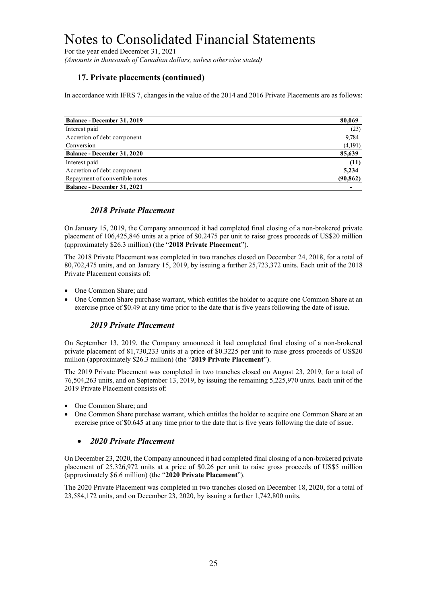For the year ended December 31, 2021 *(Amounts in thousands of Canadian dollars, unless otherwise stated)*

# **17. Private placements (continued)**

In accordance with IFRS 7, changes in the value of the 2014 and 2016 Private Placements are as follows:

| Balance - December 31, 2019    | 80,069    |
|--------------------------------|-----------|
| Interest paid                  | (23)      |
| Accretion of debt component    | 9,784     |
| Conversion                     | (4,191)   |
| Balance - December 31, 2020    | 85,639    |
| Interest paid                  | (11)      |
| Accretion of debt component    | 5,234     |
| Repayment of convertible notes | (90, 862) |
| Balance - December 31, 2021    |           |

## *2018 Private Placement*

On January 15, 2019, the Company announced it had completed final closing of a non-brokered private placement of 106,425,846 units at a price of \$0.2475 per unit to raise gross proceeds of US\$20 million (approximately \$26.3 million) (the "**2018 Private Placement**").

The 2018 Private Placement was completed in two tranches closed on December 24, 2018, for a total of 80,702,475 units, and on January 15, 2019, by issuing a further 25,723,372 units. Each unit of the 2018 Private Placement consists of:

- One Common Share; and
- One Common Share purchase warrant, which entitles the holder to acquire one Common Share at an exercise price of \$0.49 at any time prior to the date that is five years following the date of issue.

## *2019 Private Placement*

On September 13, 2019, the Company announced it had completed final closing of a non-brokered private placement of 81,730,233 units at a price of \$0.3225 per unit to raise gross proceeds of US\$20 million (approximately \$26.3 million) (the "**2019 Private Placement**").

The 2019 Private Placement was completed in two tranches closed on August 23, 2019, for a total of 76,504,263 units, and on September 13, 2019, by issuing the remaining 5,225,970 units. Each unit of the 2019 Private Placement consists of:

- One Common Share; and
- One Common Share purchase warrant, which entitles the holder to acquire one Common Share at an exercise price of \$0.645 at any time prior to the date that is five years following the date of issue.

#### • *2020 Private Placement*

On December 23, 2020, the Company announced it had completed final closing of a non-brokered private placement of 25,326,972 units at a price of \$0.26 per unit to raise gross proceeds of US\$5 million (approximately \$6.6 million) (the "**2020 Private Placement**").

The 2020 Private Placement was completed in two tranches closed on December 18, 2020, for a total of 23,584,172 units, and on December 23, 2020, by issuing a further 1,742,800 units.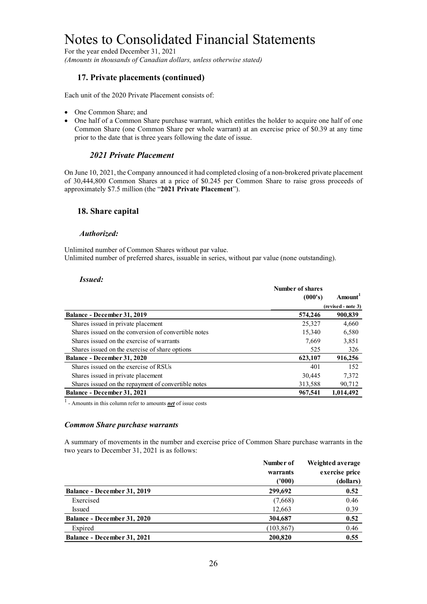For the year ended December 31, 2021 *(Amounts in thousands of Canadian dollars, unless otherwise stated)*

## **17. Private placements (continued)**

Each unit of the 2020 Private Placement consists of:

- One Common Share; and
- One half of a Common Share purchase warrant, which entitles the holder to acquire one half of one Common Share (one Common Share per whole warrant) at an exercise price of \$0.39 at any time prior to the date that is three years following the date of issue.

### *2021 Private Placement*

On June 10, 2021, the Company announced it had completed closing of a non-brokered private placement of 30,444,800 Common Shares at a price of \$0.245 per Common Share to raise gross proceeds of approximately \$7.5 million (the "**2021 Private Placement**").

### **18. Share capital**

#### *Authorized:*

Unlimited number of Common Shares without par value. Unlimited number of preferred shares, issuable in series, without par value (none outstanding).

#### *Issued:*

|                                                      | Number of shares<br>(000's) | Amount <sup>1</sup> |
|------------------------------------------------------|-----------------------------|---------------------|
|                                                      |                             | (revised - note 3)  |
| Balance - December 31, 2019                          | 574,246                     | 900,839             |
| Shares issued in private placement                   | 25,327                      | 4,660               |
| Shares issued on the conversion of convertible notes | 15,340                      | 6,580               |
| Shares issued on the exercise of warrants            | 7,669                       | 3,851               |
| Shares issued on the exercise of share options       | 525                         | 326                 |
| Balance - December 31, 2020                          | 623,107                     | 916,256             |
| Shares issued on the exercise of RSUs                | 401                         | 152                 |
| Shares issued in private placement                   | 30,445                      | 7,372               |
| Shares issued on the repayment of convertible notes  | 313,588                     | 90,712              |
| Balance - December 31, 2021                          | 967,541                     | 1,014,492           |

1 - Amounts in this column refer to amounts *net* of issue costs

#### *Common Share purchase warrants*

A summary of movements in the number and exercise price of Common Share purchase warrants in the two years to December 31, 2021 is as follows:

|                             | Number of<br>warrants | Weighted average<br>exercise price |  |
|-----------------------------|-----------------------|------------------------------------|--|
|                             | ('000)                | (dollars)                          |  |
| Balance - December 31, 2019 | 299,692               | 0.52                               |  |
| Exercised                   | (7,668)               | 0.46                               |  |
| Issued                      | 12,663                | 0.39                               |  |
| Balance - December 31, 2020 | 304,687               | 0.52                               |  |
| Expired                     | (103, 867)            | 0.46                               |  |
| Balance - December 31, 2021 | 200,820               | 0.55                               |  |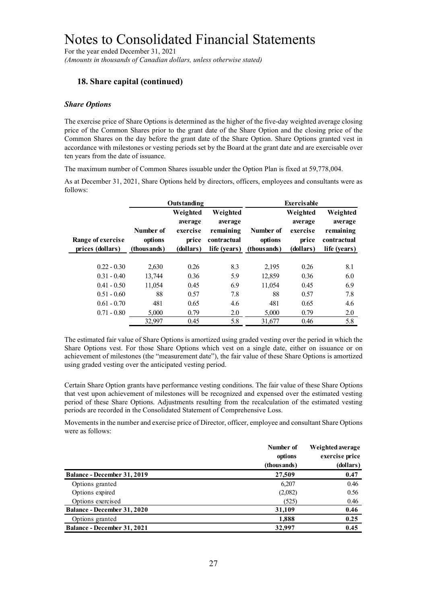For the year ended December 31, 2021 *(Amounts in thousands of Canadian dollars, unless otherwise stated)*

## **18. Share capital (continued)**

#### *Share Options*

The exercise price of Share Options is determined as the higher of the five-day weighted average closing price of the Common Shares prior to the grant date of the Share Option and the closing price of the Common Shares on the day before the grant date of the Share Option. Share Options granted vest in accordance with milestones or vesting periods set by the Board at the grant date and are exercisable over ten years from the date of issuance.

The maximum number of Common Shares issuable under the Option Plan is fixed at 59,778,004.

As at December 31, 2021, Share Options held by directors, officers, employees and consultants were as follows:

|                                       |                                     | <b>Outstanding</b>                                    |                                                                 |                                      | <b>Exercisable</b>                                    |                                                                 |
|---------------------------------------|-------------------------------------|-------------------------------------------------------|-----------------------------------------------------------------|--------------------------------------|-------------------------------------------------------|-----------------------------------------------------------------|
| Range of exercise<br>prices (dollars) | Number of<br>options<br>(thousands) | Weighted<br>average<br>exercise<br>price<br>(dollars) | Weighted<br>average<br>remaining<br>contractual<br>life (years) | Number of<br>options<br>(thous ands) | Weighted<br>average<br>exercise<br>price<br>(dollars) | Weighted<br>average<br>remaining<br>contractual<br>life (years) |
|                                       |                                     |                                                       |                                                                 |                                      |                                                       |                                                                 |
| $0.22 - 0.30$                         | 2.630                               | 0.26                                                  | 8.3                                                             | 2.195                                | 0.26                                                  | 8.1                                                             |
| $0.31 - 0.40$                         | 13,744                              | 0.36                                                  | 5.9                                                             | 12.859                               | 0.36                                                  | 6.0                                                             |
| $0.41 - 0.50$                         | 11.054                              | 0.45                                                  | 6.9                                                             | 11.054                               | 0.45                                                  | 6.9                                                             |
| $0.51 - 0.60$                         | 88                                  | 0.57                                                  | 7.8                                                             | 88                                   | 0.57                                                  | 7.8                                                             |
| $0.61 - 0.70$                         | 481                                 | 0.65                                                  | 4.6                                                             | 481                                  | 0.65                                                  | 4.6                                                             |
| $0.71 - 0.80$                         | 5,000                               | 0.79                                                  | 2.0                                                             | 5,000                                | 0.79                                                  | 2.0                                                             |
|                                       | 32,997                              | 0.45                                                  | 5.8                                                             | 31,677                               | 0.46                                                  | 5.8                                                             |

The estimated fair value of Share Options is amortized using graded vesting over the period in which the Share Options vest. For those Share Options which vest on a single date, either on issuance or on achievement of milestones (the "measurement date"), the fair value of these Share Options is amortized using graded vesting over the anticipated vesting period.

Certain Share Option grants have performance vesting conditions. The fair value of these Share Options that vest upon achievement of milestones will be recognized and expensed over the estimated vesting period of these Share Options. Adjustments resulting from the recalculation of the estimated vesting periods are recorded in the Consolidated Statement of Comprehensive Loss.

Movements in the number and exercise price of Director, officer, employee and consultant Share Options were as follows:

|                                    | Number of<br>options | Weighted average<br>exercise price |
|------------------------------------|----------------------|------------------------------------|
|                                    | (thous ands)         | (dollars)                          |
| <b>Balance - December 31, 2019</b> | 27,509               | 0.47                               |
| Options granted                    | 6,207                | 0.46                               |
| Options expired                    | (2,082)              | 0.56                               |
| Options exercised                  | (525)                | 0.46                               |
| <b>Balance - December 31, 2020</b> | 31,109               | 0.46                               |
| Options granted                    | 1,888                | 0.25                               |
| <b>Balance - December 31, 2021</b> | 32,997               | 0.45                               |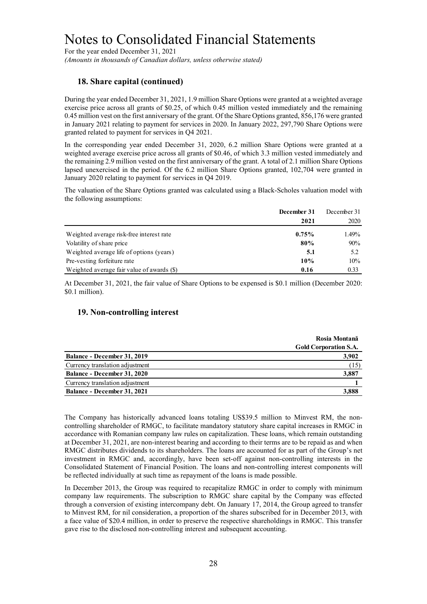For the year ended December 31, 2021 *(Amounts in thousands of Canadian dollars, unless otherwise stated)*

# **18. Share capital (continued)**

During the year ended December 31, 2021, 1.9 million Share Options were granted at a weighted average exercise price across all grants of \$0.25, of which 0.45 million vested immediately and the remaining 0.45 million vest on the first anniversary of the grant. Of the Share Options granted, 856,176 were granted in January 2021 relating to payment for services in 2020. In January 2022, 297,790 Share Options were granted related to payment for services in Q4 2021.

In the corresponding year ended December 31, 2020, 6.2 million Share Options were granted at a weighted average exercise price across all grants of \$0.46, of which 3.3 million vested immediately and the remaining 2.9 million vested on the first anniversary of the grant. A total of 2.1 million Share Options lapsed unexercised in the period. Of the 6.2 million Share Options granted, 102,704 were granted in January 2020 relating to payment for services in Q4 2019.

The valuation of the Share Options granted was calculated using a Black-Scholes valuation model with the following assumptions:

|                                            | December 31 | December 31 |
|--------------------------------------------|-------------|-------------|
|                                            | 2021        | 2020        |
| Weighted average risk-free interest rate   | $0.75\%$    | $1.49\%$    |
| Volatility of share price                  | 80%         | $90\%$      |
| Weighted average life of options (years)   | 5.1         | 5.2         |
| Pre-vesting forfeiture rate                | 10%         | 10%         |
| Weighted average fair value of awards (\$) | 0.16        | 0.33        |

At December 31, 2021, the fair value of Share Options to be expensed is \$0.1 million (December 2020: \$0.1 million).

## **19. Non-controlling interest**

|                                    | Rosia Montană                |
|------------------------------------|------------------------------|
|                                    | <b>Gold Corporation S.A.</b> |
| <b>Balance - December 31, 2019</b> | 3,902                        |
| Currency translation adjustment    | (15)                         |
| <b>Balance - December 31, 2020</b> | 3,887                        |
| Currency translation adjustment    |                              |
| <b>Balance - December 31, 2021</b> | 3,888                        |

The Company has historically advanced loans totaling US\$39.5 million to Minvest RM, the noncontrolling shareholder of RMGC, to facilitate mandatory statutory share capital increases in RMGC in accordance with Romanian company law rules on capitalization. These loans, which remain outstanding at December 31, 2021, are non-interest bearing and according to their terms are to be repaid as and when RMGC distributes dividends to its shareholders. The loans are accounted for as part of the Group's net investment in RMGC and, accordingly, have been set-off against non-controlling interests in the Consolidated Statement of Financial Position. The loans and non-controlling interest components will be reflected individually at such time as repayment of the loans is made possible.

In December 2013, the Group was required to recapitalize RMGC in order to comply with minimum company law requirements. The subscription to RMGC share capital by the Company was effected through a conversion of existing intercompany debt. On January 17, 2014, the Group agreed to transfer to Minvest RM, for nil consideration, a proportion of the shares subscribed for in December 2013, with a face value of \$20.4 million, in order to preserve the respective shareholdings in RMGC. This transfer gave rise to the disclosed non-controlling interest and subsequent accounting.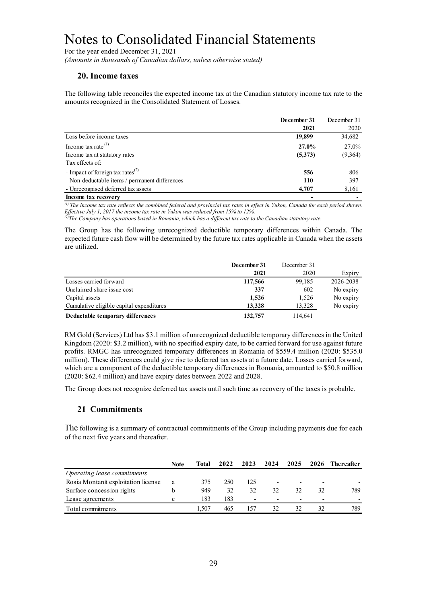For the year ended December 31, 2021

*(Amounts in thousands of Canadian dollars, unless otherwise stated)*

### **20. Income taxes**

The following table reconciles the expected income tax at the Canadian statutory income tax rate to the amounts recognized in the Consolidated Statement of Losses.

|                                                | December 31 | December 31 |
|------------------------------------------------|-------------|-------------|
|                                                | 2021        | 2020        |
| Loss before income taxes                       | 19,899      | 34,682      |
| Income tax rate $(1)$                          | 27.0%       | 27.0%       |
| Income tax at statutory rates                  | (5,373)     | (9,364)     |
| Tax effects of:                                |             |             |
| - Impact of foreign tax rates <sup>(2)</sup>   | 556         | 806         |
| - Non-deductable items / permanent differences | <b>110</b>  | 397         |
| - Unrecognised deferred tax assets             | 4,707       | 8,161       |
| Income tax recovery                            |             |             |

*(1) The income tax rate reflects the combined federal and provincial tax rates in effect in Yukon, Canada for each period shown. Effective July 1, 2017 the income tax rate in Yukon was reduced from 15% to 12%.*

*(2)The Company has operations based in Romania, which has a different tax rate to the Canadian statutory rate.* 

The Group has the following unrecognized deductible temporary differences within Canada. The expected future cash flow will be determined by the future tax rates applicable in Canada when the assets are utilized.

|                                          | December 31 | December 31 |           |
|------------------------------------------|-------------|-------------|-----------|
|                                          | 2021        | 2020        | Expiry    |
| Losses carried forward                   | 117,566     | 99,185      | 2026-2038 |
| Unclaimed share issue cost               | 337         | 602         | No expiry |
| Capital assets                           | 1,526       | 1,526       | No expiry |
| Cumulative eligible capital expenditures | 13.328      | 13,328      | No expiry |
| Deductable temporary differences         | 132,757     | 114,641     |           |

RM Gold (Services) Ltd has \$3.1 million of unrecognized deductible temporary differences in the United Kingdom (2020: \$3.2 million), with no specified expiry date, to be carried forward for use against future profits. RMGC has unrecognized temporary differences in Romania of \$559.4 million (2020: \$535.0 million). These differences could give rise to deferred tax assets at a future date. Losses carried forward, which are a component of the deductible temporary differences in Romania, amounted to \$50.8 million (2020: \$62.4 million) and have expiry dates between 2022 and 2028.

The Group does not recognize deferred tax assets until such time as recovery of the taxes is probable.

# **21 Commitments**

The following is a summary of contractual commitments of the Group including payments due for each of the next five years and thereafter.

|                                    | Note | Total | 2022 | 2023 | 2024                     | 2025 |    | 2026 Thereafter |
|------------------------------------|------|-------|------|------|--------------------------|------|----|-----------------|
| Operating lease commitments        |      |       |      |      |                          |      |    |                 |
| Rosia Montană exploitation license | a    | 375   | 250  | 125  | $\overline{\phantom{0}}$ |      |    |                 |
| Surface concession rights          | b    | 949   | 32   | 32   | 32                       | 32   | 32 | 789             |
| Lease agreements                   | с    | 183   | 183  |      | $\overline{\phantom{0}}$ |      |    |                 |
| Total commitments                  |      | .507  | 465  | 157  |                          | 32   | 32 | 789             |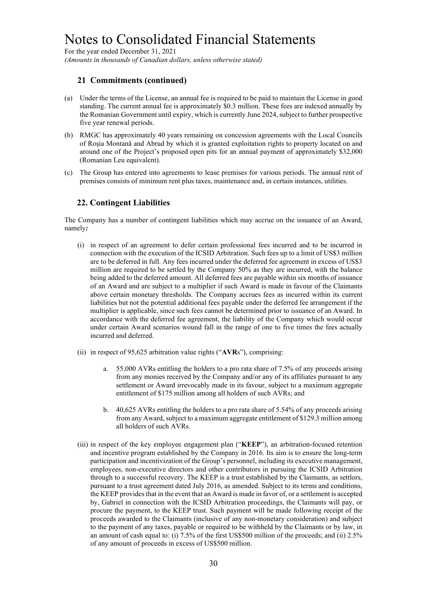For the year ended December 31, 2021 *(Amounts in thousands of Canadian dollars, unless otherwise stated)*

## **21 Commitments (continued)**

- (a) Under the terms of the License, an annual fee is required to be paid to maintain the License in good standing. The current annual fee is approximately \$0.3 million. These fees are indexed annually by the Romanian Government until expiry, which is currently June 2024, subject to further prospective five year renewal periods.
- (b) RMGC has approximately 40 years remaining on concession agreements with the Local Councils of Roșia Montană and Abrud by which it is granted exploitation rights to property located on and around one of the Project's proposed open pits for an annual payment of approximately \$32,000 (Romanian Leu equivalent).
- (c) The Group has entered into agreements to lease premises for various periods. The annual rent of premises consists of minimum rent plus taxes, maintenance and, in certain instances, utilities.

## **22. Contingent Liabilities**

The Company has a number of contingent liabilities which may accrue on the issuance of an Award, namely*:*

- (i) in respect of an agreement to defer certain professional fees incurred and to be incurred in connection with the execution of the ICSID Arbitration. Such fees up to a limit of US\$3 million are to be deferred in full. Any fees incurred under the deferred fee agreement in excess of US\$3 million are required to be settled by the Company 50% as they are incurred, with the balance being added to the deferred amount. All deferred fees are payable within six months of issuance of an Award and are subject to a multiplier if such Award is made in favour of the Claimants above certain monetary thresholds. The Company accrues fees as incurred within its current liabilities but not the potential additional fees payable under the deferred fee arrangement if the multiplier is applicable, since such fees cannot be determined prior to issuance of an Award. In accordance with the deferred fee agreement, the liability of the Company which would occur under certain Award scenarios wound fall in the range of one to five times the fees actually incurred and deferred.
- (ii) in respect of 95,625 arbitration value rights ("**AVR**s"), comprising:
	- a. 55,000 AVRs entitling the holders to a pro rata share of 7.5% of any proceeds arising from any monies received by the Company and/or any of its affiliates pursuant to any settlement or Award irrevocably made in its favour, subject to a maximum aggregate entitlement of \$175 million among all holders of such AVRs; and
	- b. 40,625 AVRs entitling the holders to a pro rata share of 5.54% of any proceeds arising from any Award, subject to a maximum aggregate entitlement of \$129.3 million among all holders of such AVRs.
- (iii) in respect of the key employee engagement plan ("**KEEP**"), an arbitration-focused retention and incentive program established by the Company in 2016. Its aim is to ensure the long-term participation and incentivization of the Group's personnel, including its executive management, employees, non-executive directors and other contributors in pursuing the ICSID Arbitration through to a successful recovery. The KEEP is a trust established by the Claimants, as settlors, pursuant to a trust agreement dated July 2016, as amended. Subject to its terms and conditions, the KEEP provides that in the event that an Award is made in favor of, or a settlement is accepted by, Gabriel in connection with the ICSID Arbitration proceedings, the Claimants will pay, or procure the payment, to the KEEP trust. Such payment will be made following receipt of the proceeds awarded to the Claimants (inclusive of any non-monetary consideration) and subject to the payment of any taxes, payable or required to be withheld by the Claimants or by law, in an amount of cash equal to: (i) 7.5% of the first US\$500 million of the proceeds; and (ii) 2.5% of any amount of proceeds in excess of US\$500 million.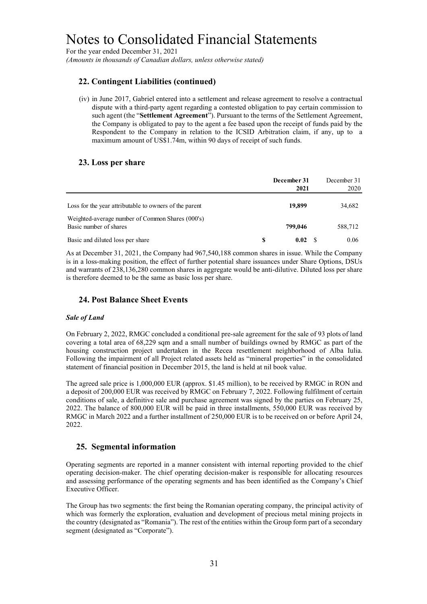For the year ended December 31, 2021

*(Amounts in thousands of Canadian dollars, unless otherwise stated)*

## **22. Contingent Liabilities (continued)**

(iv) in June 2017, Gabriel entered into a settlement and release agreement to resolve a contractual dispute with a third-party agent regarding a contested obligation to pay certain commission to such agent (the "**Settlement Agreement**"). Pursuant to the terms of the Settlement Agreement, the Company is obligated to pay to the agent a fee based upon the receipt of funds paid by the Respondent to the Company in relation to the ICSID Arbitration claim, if any, up to a maximum amount of US\$1.74m, within 90 days of receipt of such funds.

## **23. Loss per share**

|                                                                            |   | December 31 | December 31 |
|----------------------------------------------------------------------------|---|-------------|-------------|
|                                                                            |   | 2021        | 2020        |
| Loss for the year attributable to owners of the parent                     |   | 19,899      | 34,682      |
| Weighted-average number of Common Shares (000's)<br>Basic number of shares |   | 799,046     | 588,712     |
| Basic and diluted loss per share                                           | S | 0.02        | 0.06        |

As at December 31, 2021, the Company had 967,540,188 common shares in issue. While the Company is in a loss-making position, the effect of further potential share issuances under Share Options, DSUs and warrants of 238,136,280 common shares in aggregate would be anti-dilutive. Diluted loss per share is therefore deemed to be the same as basic loss per share.

## **24. Post Balance Sheet Events**

#### *Sale of Land*

On February 2, 2022, RMGC concluded a conditional pre-sale agreement for the sale of 93 plots of land covering a total area of 68,229 sqm and a small number of buildings owned by RMGC as part of the housing construction project undertaken in the Recea resettlement neighborhood of Alba Iulia. Following the impairment of all Project related assets held as "mineral properties" in the consolidated statement of financial position in December 2015, the land is held at nil book value.

The agreed sale price is 1,000,000 EUR (approx. \$1.45 million), to be received by RMGC in RON and a deposit of 200,000 EUR was received by RMGC on February 7, 2022. Following fulfilment of certain conditions of sale, a definitive sale and purchase agreement was signed by the parties on February 25, 2022. The balance of 800,000 EUR will be paid in three installments, 550,000 EUR was received by RMGC in March 2022 and a further installment of 250,000 EUR is to be received on or before April 24, 2022.

## **25. Segmental information**

Operating segments are reported in a manner consistent with internal reporting provided to the chief operating decision-maker. The chief operating decision-maker is responsible for allocating resources and assessing performance of the operating segments and has been identified as the Company's Chief Executive Officer.

The Group has two segments: the first being the Romanian operating company, the principal activity of which was formerly the exploration, evaluation and development of precious metal mining projects in the country (designated as "Romania"). The rest of the entities within the Group form part of a secondary segment (designated as "Corporate").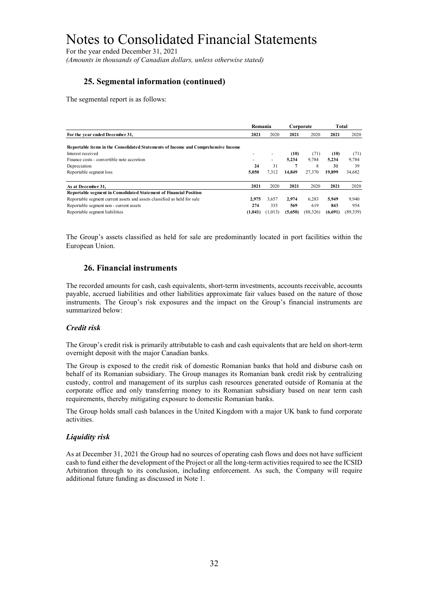For the year ended December 31, 2021 *(Amounts in thousands of Canadian dollars, unless otherwise stated)*

# **25. Segmental information (continued)**

The segmental report is as follows:

| For the year ended December 31,                                                    |         | Romania |         | Corporate |         | Total     |  |
|------------------------------------------------------------------------------------|---------|---------|---------|-----------|---------|-----------|--|
|                                                                                    |         | 2020    | 2021    | 2020      | 2021    | 2020      |  |
|                                                                                    |         |         |         |           |         |           |  |
| Reportable items in the Consolidated Statements of Income and Comprehensive Income |         |         |         |           |         |           |  |
| Interest received                                                                  | ۰       |         | (10)    | (71)      | (10)    | (71)      |  |
| Finance costs - convertible note accretion                                         | ۰       |         | 5.234   | 9.784     | 5,234   | 9,784     |  |
| Depreciation                                                                       | 24      | 31      |         | 8         | 31      | 39        |  |
| Reportable segment loss                                                            | 5,050   | 7,312   | 14.849  | 27,370    | 19,899  | 34,682    |  |
| As at December 31.                                                                 | 2021    | 2020    | 2021    | 2020      | 2021    | 2020      |  |
| Reportable segment in Consolidated Statement of Financial Position                 |         |         |         |           |         |           |  |
| Reportable segment current assets and assets classified as held for sale           | 2.975   | 3.657   | 2.974   | 6,283     | 5.949   | 9,940     |  |
| Reportable segment non - current assets                                            | 274     | 335     | 569     | 619       | 843     | 954       |  |
| Reportable segment liabilities                                                     | (1,041) | (1,013) | (5,650) | (88, 326) | (6,691) | (89, 339) |  |

The Group's assets classified as held for sale are predominantly located in port facilities within the European Union.

### **26. Financial instruments**

The recorded amounts for cash, cash equivalents, short-term investments, accounts receivable, accounts payable, accrued liabilities and other liabilities approximate fair values based on the nature of those instruments. The Group's risk exposures and the impact on the Group's financial instruments are summarized below:

#### *Credit risk*

The Group's credit risk is primarily attributable to cash and cash equivalents that are held on short-term overnight deposit with the major Canadian banks.

The Group is exposed to the credit risk of domestic Romanian banks that hold and disburse cash on behalf of its Romanian subsidiary. The Group manages its Romanian bank credit risk by centralizing custody, control and management of its surplus cash resources generated outside of Romania at the corporate office and only transferring money to its Romanian subsidiary based on near term cash requirements, thereby mitigating exposure to domestic Romanian banks.

The Group holds small cash balances in the United Kingdom with a major UK bank to fund corporate activities.

#### *Liquidity risk*

As at December 31, 2021 the Group had no sources of operating cash flows and does not have sufficient cash to fund either the development of the Project or all the long-term activities required to see the ICSID Arbitration through to its conclusion, including enforcement. As such, the Company will require additional future funding as discussed in Note 1.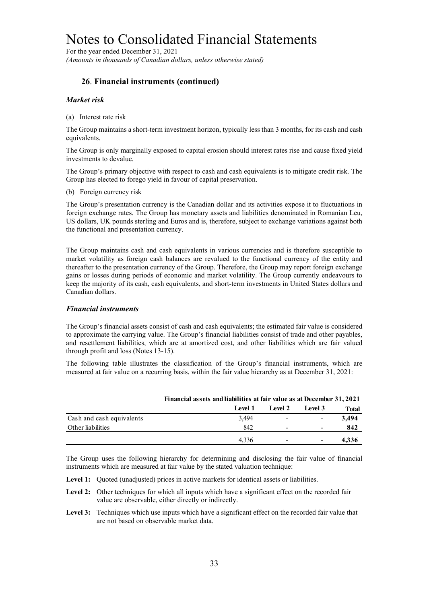For the year ended December 31, 2021 *(Amounts in thousands of Canadian dollars, unless otherwise stated)*

## **26**. **Financial instruments (continued)**

#### *Market risk*

(a) Interest rate risk

The Group maintains a short-term investment horizon, typically less than 3 months, for its cash and cash equivalents.

The Group is only marginally exposed to capital erosion should interest rates rise and cause fixed yield investments to devalue.

The Group's primary objective with respect to cash and cash equivalents is to mitigate credit risk. The Group has elected to forego yield in favour of capital preservation.

(b) Foreign currency risk

The Group's presentation currency is the Canadian dollar and its activities expose it to fluctuations in foreign exchange rates. The Group has monetary assets and liabilities denominated in Romanian Leu, US dollars, UK pounds sterling and Euros and is, therefore, subject to exchange variations against both the functional and presentation currency.

The Group maintains cash and cash equivalents in various currencies and is therefore susceptible to market volatility as foreign cash balances are revalued to the functional currency of the entity and thereafter to the presentation currency of the Group. Therefore, the Group may report foreign exchange gains or losses during periods of economic and market volatility. The Group currently endeavours to keep the majority of its cash, cash equivalents, and short-term investments in United States dollars and Canadian dollars.

#### *Financial instruments*

The Group's financial assets consist of cash and cash equivalents; the estimated fair value is considered to approximate the carrying value. The Group's financial liabilities consist of trade and other payables, and resettlement liabilities, which are at amortized cost, and other liabilities which are fair valued through profit and loss (Notes 13-15).

The following table illustrates the classification of the Group's financial instruments, which are measured at fair value on a recurring basis, within the fair value hierarchy as at December 31, 2021:

|                           | THRUCH RSSVIS RUG HRMHHUS RURIL TRIRV AS AUDUCCHING PTVHT |                          |                          |       |  |
|---------------------------|-----------------------------------------------------------|--------------------------|--------------------------|-------|--|
|                           | Level 1                                                   | Level 2                  | Level 3                  | Total |  |
| Cash and cash equivalents | 3.494                                                     | $\overline{\phantom{a}}$ | -                        | 3.494 |  |
| Other liabilities         | 842                                                       |                          | $\overline{\phantom{a}}$ | 842   |  |
|                           | 4.336                                                     | -                        | $\overline{\phantom{a}}$ | 4.336 |  |

| Financial assets and liabilities at fair value as at December 31, 2021 |  |
|------------------------------------------------------------------------|--|
|------------------------------------------------------------------------|--|

The Group uses the following hierarchy for determining and disclosing the fair value of financial instruments which are measured at fair value by the stated valuation technique:

- **Level 1:** Quoted (unadjusted) prices in active markets for identical assets or liabilities.
- Level 2: Other techniques for which all inputs which have a significant effect on the recorded fair value are observable, either directly or indirectly.
- Level 3: Techniques which use inputs which have a significant effect on the recorded fair value that are not based on observable market data.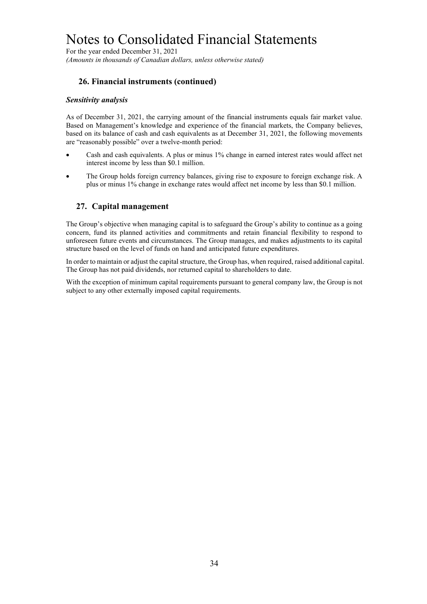For the year ended December 31, 2021 *(Amounts in thousands of Canadian dollars, unless otherwise stated)*

## **26. Financial instruments (continued)**

#### *Sensitivity analysis*

As of December 31, 2021, the carrying amount of the financial instruments equals fair market value. Based on Management's knowledge and experience of the financial markets, the Company believes, based on its balance of cash and cash equivalents as at December 31, 2021, the following movements are "reasonably possible" over a twelve-month period:

- Cash and cash equivalents. A plus or minus 1% change in earned interest rates would affect net interest income by less than \$0.1 million.
- The Group holds foreign currency balances, giving rise to exposure to foreign exchange risk. A plus or minus 1% change in exchange rates would affect net income by less than \$0.1 million.

## **27. Capital management**

The Group's objective when managing capital is to safeguard the Group's ability to continue as a going concern, fund its planned activities and commitments and retain financial flexibility to respond to unforeseen future events and circumstances. The Group manages, and makes adjustments to its capital structure based on the level of funds on hand and anticipated future expenditures.

In order to maintain or adjust the capital structure, the Group has, when required, raised additional capital. The Group has not paid dividends, nor returned capital to shareholders to date.

With the exception of minimum capital requirements pursuant to general company law, the Group is not subject to any other externally imposed capital requirements.